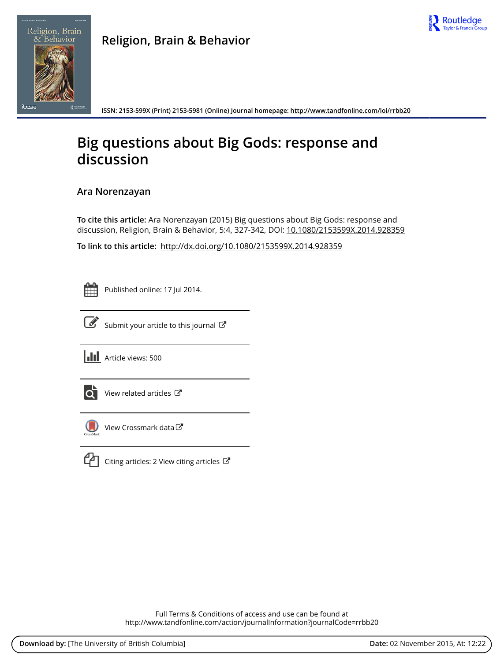



**Religion, Brain & Behavior**

**ISSN: 2153-599X (Print) 2153-5981 (Online) Journal homepage: <http://www.tandfonline.com/loi/rrbb20>**

# **Big questions about Big Gods: response and discussion**

**Ara Norenzayan**

**To cite this article:** Ara Norenzayan (2015) Big questions about Big Gods: response and discussion, Religion, Brain & Behavior, 5:4, 327-342, DOI: [10.1080/2153599X.2014.928359](http://www.tandfonline.com/action/showCitFormats?doi=10.1080/2153599X.2014.928359)

**To link to this article:** <http://dx.doi.org/10.1080/2153599X.2014.928359>

Published online: 17 Jul 2014.



 $\overrightarrow{S}$  [Submit your article to this journal](http://www.tandfonline.com/action/authorSubmission?journalCode=rrbb20&page=instructions)  $\overrightarrow{S}$ 





 $\overrightarrow{Q}$  [View related articles](http://www.tandfonline.com/doi/mlt/10.1080/2153599X.2014.928359)  $\overrightarrow{C}$ 



[View Crossmark data](http://crossmark.crossref.org/dialog/?doi=10.1080/2153599X.2014.928359&domain=pdf&date_stamp=2014-07-17)



[Citing articles: 2 View citing articles](http://www.tandfonline.com/doi/citedby/10.1080/2153599X.2014.928359#tabModule)  $\mathbb{Z}$ 

Full Terms & Conditions of access and use can be found at <http://www.tandfonline.com/action/journalInformation?journalCode=rrbb20>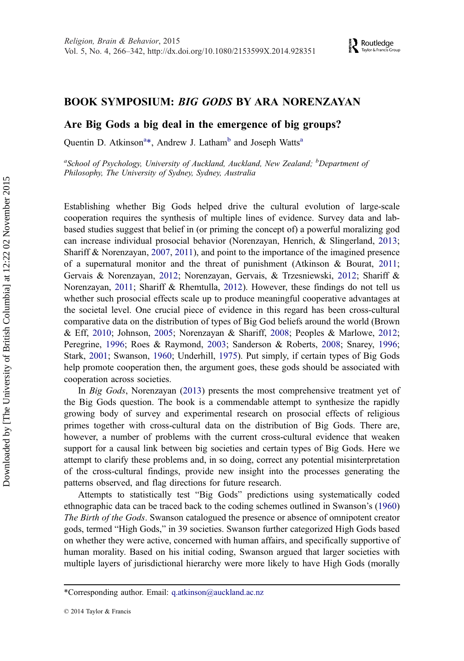# <span id="page-1-0"></span>BOOK SYMPOSIUM: BIG GODS BY ARA NORENZAYAN

# Are Big Gods a big deal in the emergence of big groups?

Quentin D. Atkinson<sup>a\*</sup>, Andrew J. Latham<sup>b</sup> and Joseph Watts<sup>a</sup>

<sup>a</sup>School of Psychology, University of Auckland, Auckland, New Zealand; <sup>b</sup>Department of Philosophy, The University of Sydney, Sydney, Australia

Establishing whether Big Gods helped drive the cultural evolution of large-scale cooperation requires the synthesis of multiple lines of evidence. Survey data and labbased studies suggest that belief in (or priming the concept of) a powerful moralizing god can increase individual prosocial behavior (Norenzayan, Henrich, & Slingerland, [2013](#page-8-0); Shariff & Norenzayan, [2007,](#page-8-0) [2011\)](#page-8-0), and point to the importance of the imagined presence of a supernatural monitor and the threat of punishment (Atkinson & Bourat, [2011](#page-7-0); Gervais & Norenzayan, [2012](#page-8-0); Norenzayan, Gervais, & Trzesniewski, [2012](#page-8-0); Shariff & Norenzayan, [2011;](#page-8-0) Shariff & Rhemtulla, [2012](#page-8-0)). However, these findings do not tell us whether such prosocial effects scale up to produce meaningful cooperative advantages at the societal level. One crucial piece of evidence in this regard has been cross-cultural comparative data on the distribution of types of Big God beliefs around the world (Brown & Eff, [2010](#page-8-0); Johnson, [2005](#page-8-0); Norenzayan & Shariff, [2008;](#page-8-0) Peoples & Marlowe, [2012](#page-8-0); Peregrine, [1996](#page-8-0); Roes & Raymond, [2003;](#page-8-0) Sanderson & Roberts, [2008](#page-8-0); Snarey, [1996](#page-8-0); Stark, [2001;](#page-9-0) Swanson, [1960;](#page-9-0) Underhill, [1975\)](#page-9-0). Put simply, if certain types of Big Gods help promote cooperation then, the argument goes, these gods should be associated with cooperation across societies.

In Big Gods, Norenzayan ([2013\)](#page-8-0) presents the most comprehensive treatment yet of the Big Gods question. The book is a commendable attempt to synthesize the rapidly growing body of survey and experimental research on prosocial effects of religious primes together with cross-cultural data on the distribution of Big Gods. There are, however, a number of problems with the current cross-cultural evidence that weaken support for a causal link between big societies and certain types of Big Gods. Here we attempt to clarify these problems and, in so doing, correct any potential misinterpretation of the cross-cultural findings, provide new insight into the processes generating the patterns observed, and flag directions for future research.

Attempts to statistically test "Big Gods" predictions using systematically coded ethnographic data can be traced back to the coding schemes outlined in Swanson's ([1960\)](#page-9-0) The Birth of the Gods. Swanson catalogued the presence or absence of omnipotent creator gods, termed "High Gods," in 39 societies. Swanson further categorized High Gods based on whether they were active, concerned with human affairs, and specifically supportive of human morality. Based on his initial coding, Swanson argued that larger societies with multiple layers of jurisdictional hierarchy were more likely to have High Gods (morally

<sup>\*</sup>Corresponding author. Email: [q.atkinson@auckland.ac.nz](mailto:q.atkinson@auckland.ac.nz)

<sup>© 2014</sup> Taylor & Francis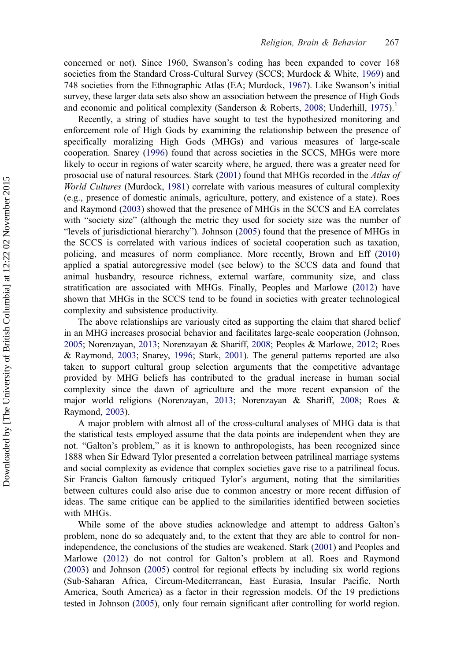concerned or not). Since 1960, Swanson's coding has been expanded to cover 168 societies from the Standard Cross-Cultural Survey (SCCS; Murdock & White, [1969\)](#page-8-0) and 748 societies from the Ethnographic Atlas (EA; Murdock, [1967](#page-8-0)). Like Swanson's initial survey, these larger data sets also show an association between the presence of High Gods and economic and political complexity (Sanderson & Roberts, [2008;](#page-8-0) Underhill, [1975\)](#page-9-0).<sup>[1](#page-7-0)</sup>

Recently, a string of studies have sought to test the hypothesized monitoring and enforcement role of High Gods by examining the relationship between the presence of specifically moralizing High Gods (MHGs) and various measures of large-scale cooperation. Snarey [\(1996](#page-8-0)) found that across societies in the SCCS, MHGs were more likely to occur in regions of water scarcity where, he argued, there was a greater need for prosocial use of natural resources. Stark [\(2001](#page-9-0)) found that MHGs recorded in the Atlas of World Cultures (Murdock, [1981\)](#page-8-0) correlate with various measures of cultural complexity (e.g., presence of domestic animals, agriculture, pottery, and existence of a state). Roes and Raymond [\(2003](#page-8-0)) showed that the presence of MHGs in the SCCS and EA correlates with "society size" (although the metric they used for society size was the number of "levels of jurisdictional hierarchy"). Johnson ([2005\)](#page-8-0) found that the presence of MHGs in the SCCS is correlated with various indices of societal cooperation such as taxation, policing, and measures of norm compliance. More recently, Brown and Eff ([2010\)](#page-8-0) applied a spatial autoregressive model (see below) to the SCCS data and found that animal husbandry, resource richness, external warfare, community size, and class stratification are associated with MHGs. Finally, Peoples and Marlowe [\(2012](#page-8-0)) have shown that MHGs in the SCCS tend to be found in societies with greater technological complexity and subsistence productivity.

The above relationships are variously cited as supporting the claim that shared belief in an MHG increases prosocial behavior and facilitates large-scale cooperation (Johnson, [2005;](#page-8-0) Norenzayan, [2013](#page-8-0); Norenzayan & Shariff, [2008;](#page-8-0) Peoples & Marlowe, [2012;](#page-8-0) Roes & Raymond, [2003;](#page-8-0) Snarey, [1996;](#page-8-0) Stark, [2001\)](#page-9-0). The general patterns reported are also taken to support cultural group selection arguments that the competitive advantage provided by MHG beliefs has contributed to the gradual increase in human social complexity since the dawn of agriculture and the more recent expansion of the major world religions (Norenzayan, [2013](#page-8-0); Norenzayan & Shariff, [2008;](#page-8-0) Roes & Raymond, [2003](#page-8-0)).

A major problem with almost all of the cross-cultural analyses of MHG data is that the statistical tests employed assume that the data points are independent when they are not. "Galton's problem," as it is known to anthropologists, has been recognized since 1888 when Sir Edward Tylor presented a correlation between patrilineal marriage systems and social complexity as evidence that complex societies gave rise to a patrilineal focus. Sir Francis Galton famously critiqued Tylor's argument, noting that the similarities between cultures could also arise due to common ancestry or more recent diffusion of ideas. The same critique can be applied to the similarities identified between societies with MHGs.

While some of the above studies acknowledge and attempt to address Galton's problem, none do so adequately and, to the extent that they are able to control for nonindependence, the conclusions of the studies are weakened. Stark [\(2001](#page-9-0)) and Peoples and Marlowe [\(2012](#page-8-0)) do not control for Galton's problem at all. Roes and Raymond [\(2003](#page-8-0)) and Johnson ([2005\)](#page-8-0) control for regional effects by including six world regions (Sub-Saharan Africa, Circum-Mediterranean, East Eurasia, Insular Pacific, North America, South America) as a factor in their regression models. Of the 19 predictions tested in Johnson [\(2005](#page-8-0)), only four remain significant after controlling for world region.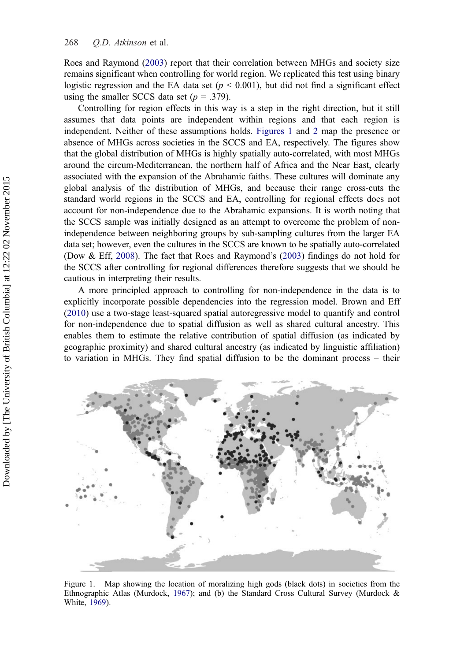Roes and Raymond [\(2003](#page-8-0)) report that their correlation between MHGs and society size remains significant when controlling for world region. We replicated this test using binary logistic regression and the EA data set ( $p \le 0.001$ ), but did not find a significant effect using the smaller SCCS data set ( $p = .379$ ).

Controlling for region effects in this way is a step in the right direction, but it still assumes that data points are independent within regions and that each region is independent. Neither of these assumptions holds. Figures 1 and [2](#page-4-0) map the presence or absence of MHGs across societies in the SCCS and EA, respectively. The figures show that the global distribution of MHGs is highly spatially auto-correlated, with most MHGs around the circum-Mediterranean, the northern half of Africa and the Near East, clearly associated with the expansion of the Abrahamic faiths. These cultures will dominate any global analysis of the distribution of MHGs, and because their range cross-cuts the standard world regions in the SCCS and EA, controlling for regional effects does not account for non-independence due to the Abrahamic expansions. It is worth noting that the SCCS sample was initially designed as an attempt to overcome the problem of nonindependence between neighboring groups by sub-sampling cultures from the larger EA data set; however, even the cultures in the SCCS are known to be spatially auto-correlated (Dow & Eff, [2008](#page-8-0)). The fact that Roes and Raymond's ([2003\)](#page-8-0) findings do not hold for the SCCS after controlling for regional differences therefore suggests that we should be cautious in interpreting their results.

A more principled approach to controlling for non-independence in the data is to explicitly incorporate possible dependencies into the regression model. Brown and Eff [\(2010](#page-8-0)) use a two-stage least-squared spatial autoregressive model to quantify and control for non-independence due to spatial diffusion as well as shared cultural ancestry. This enables them to estimate the relative contribution of spatial diffusion (as indicated by geographic proximity) and shared cultural ancestry (as indicated by linguistic affiliation) to variation in MHGs. They find spatial diffusion to be the dominant process – their



Figure 1. Map showing the location of moralizing high gods (black dots) in societies from the Ethnographic Atlas (Murdock, [1967](#page-8-0)); and (b) the Standard Cross Cultural Survey (Murdock & White, [1969\)](#page-8-0).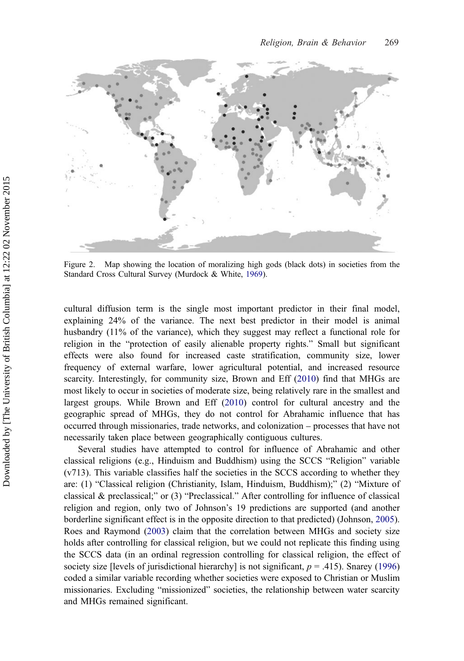<span id="page-4-0"></span>

Figure 2. Map showing the location of moralizing high gods (black dots) in societies from the Standard Cross Cultural Survey (Murdock & White, [1969](#page-8-0)).

cultural diffusion term is the single most important predictor in their final model, explaining 24% of the variance. The next best predictor in their model is animal husbandry (11% of the variance), which they suggest may reflect a functional role for religion in the "protection of easily alienable property rights." Small but significant effects were also found for increased caste stratification, community size, lower frequency of external warfare, lower agricultural potential, and increased resource scarcity. Interestingly, for community size, Brown and Eff [\(2010](#page-8-0)) find that MHGs are most likely to occur in societies of moderate size, being relatively rare in the smallest and largest groups. While Brown and Eff ([2010\)](#page-8-0) control for cultural ancestry and the geographic spread of MHGs, they do not control for Abrahamic influence that has occurred through missionaries, trade networks, and colonization – processes that have not necessarily taken place between geographically contiguous cultures.

Several studies have attempted to control for influence of Abrahamic and other classical religions (e.g., Hinduism and Buddhism) using the SCCS "Religion" variable (v713). This variable classifies half the societies in the SCCS according to whether they are: (1) "Classical religion (Christianity, Islam, Hinduism, Buddhism);" (2) "Mixture of classical & preclassical;" or  $(3)$  "Preclassical." After controlling for influence of classical religion and region, only two of Johnson's 19 predictions are supported (and another borderline significant effect is in the opposite direction to that predicted) (Johnson, [2005](#page-8-0)). Roes and Raymond [\(2003](#page-8-0)) claim that the correlation between MHGs and society size holds after controlling for classical religion, but we could not replicate this finding using the SCCS data (in an ordinal regression controlling for classical religion, the effect of society size [levels of jurisdictional hierarchy] is not significant,  $p = .415$ ). Snarey ([1996\)](#page-8-0) coded a similar variable recording whether societies were exposed to Christian or Muslim missionaries. Excluding "missionized" societies, the relationship between water scarcity and MHGs remained significant.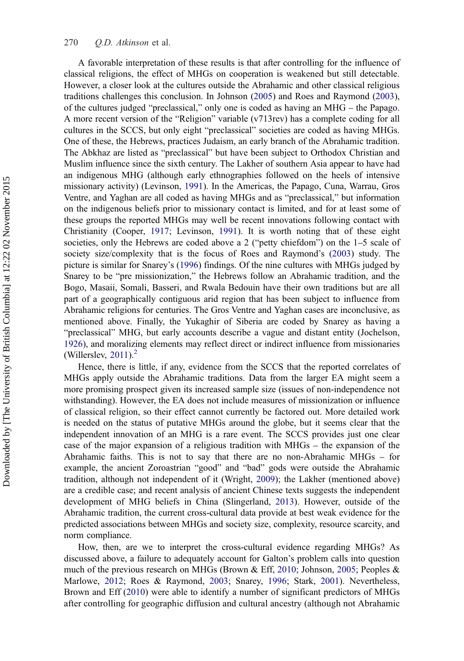A favorable interpretation of these results is that after controlling for the influence of classical religions, the effect of MHGs on cooperation is weakened but still detectable. However, a closer look at the cultures outside the Abrahamic and other classical religious traditions challenges this conclusion. In Johnson ([2005\)](#page-8-0) and Roes and Raymond ([2003](#page-8-0)), of the cultures judged "preclassical," only one is coded as having an MHG – the Papago. A more recent version of the "Religion" variable (v713rev) has a complete coding for all cultures in the SCCS, but only eight "preclassical" societies are coded as having MHGs. One of these, the Hebrews, practices Judaism, an early branch of the Abrahamic tradition. The Abkhaz are listed as "preclassical" but have been subject to Orthodox Christian and Muslim influence since the sixth century. The Lakher of southern Asia appear to have had an indigenous MHG (although early ethnographies followed on the heels of intensive missionary activity) (Levinson, [1991](#page-8-0)). In the Americas, the Papago, Cuna, Warrau, Gros Ventre, and Yaghan are all coded as having MHGs and as "preclassical," but information on the indigenous beliefs prior to missionary contact is limited, and for at least some of these groups the reported MHGs may well be recent innovations following contact with Christianity (Cooper, [1917;](#page-8-0) Levinson, [1991\)](#page-8-0). It is worth noting that of these eight societies, only the Hebrews are coded above a 2 ("petty chiefdom") on the 1–5 scale of society size/complexity that is the focus of Roes and Raymond's [\(2003](#page-8-0)) study. The picture is similar for Snarey's ([1996\)](#page-8-0) findings. Of the nine cultures with MHGs judged by Snarey to be "pre missionization," the Hebrews follow an Abrahamic tradition, and the Bogo, Masaii, Somali, Basseri, and Rwala Bedouin have their own traditions but are all part of a geographically contiguous arid region that has been subject to influence from Abrahamic religions for centuries. The Gros Ventre and Yaghan cases are inconclusive, as mentioned above. Finally, the Yukaghir of Siberia are coded by Snarey as having a "preclassical" MHG, but early accounts describe a vague and distant entity (Jochelson, [1926\)](#page-8-0), and moralizing elements may reflect direct or indirect influence from missionaries (Willerslev,  $2011$  $2011$ ).<sup>2</sup>

Hence, there is little, if any, evidence from the SCCS that the reported correlates of MHGs apply outside the Abrahamic traditions. Data from the larger EA might seem a more promising prospect given its increased sample size (issues of non-independence not withstanding). However, the EA does not include measures of missionization or influence of classical religion, so their effect cannot currently be factored out. More detailed work is needed on the status of putative MHGs around the globe, but it seems clear that the independent innovation of an MHG is a rare event. The SCCS provides just one clear case of the major expansion of a religious tradition with MHGs – the expansion of the Abrahamic faiths. This is not to say that there are no non-Abrahamic MHGs – for example, the ancient Zoroastrian "good" and "bad" gods were outside the Abrahamic tradition, although not independent of it (Wright, [2009\)](#page-9-0); the Lakher (mentioned above) are a credible case; and recent analysis of ancient Chinese texts suggests the independent development of MHG beliefs in China (Slingerland, [2013\)](#page-8-0). However, outside of the Abrahamic tradition, the current cross-cultural data provide at best weak evidence for the predicted associations between MHGs and society size, complexity, resource scarcity, and norm compliance.

How, then, are we to interpret the cross-cultural evidence regarding MHGs? As discussed above, a failure to adequately account for Galton's problem calls into question much of the previous research on MHGs (Brown & Eff, [2010;](#page-8-0) Johnson, [2005](#page-8-0); Peoples & Marlowe, [2012](#page-8-0); Roes & Raymond, [2003;](#page-8-0) Snarey, [1996;](#page-8-0) Stark, [2001\)](#page-9-0). Nevertheless, Brown and Eff [\(2010](#page-8-0)) were able to identify a number of significant predictors of MHGs after controlling for geographic diffusion and cultural ancestry (although not Abrahamic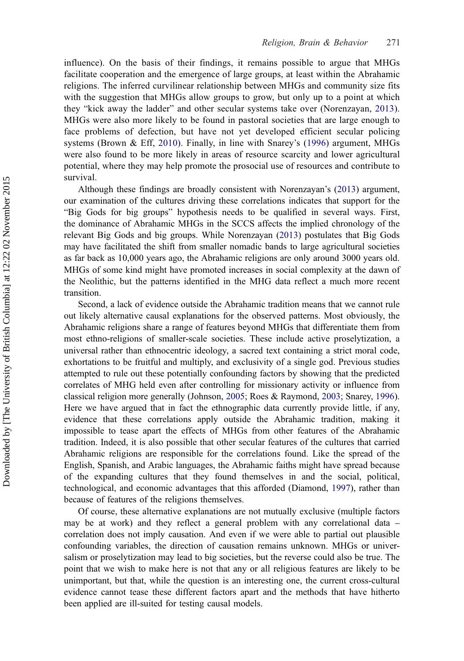influence). On the basis of their findings, it remains possible to argue that MHGs facilitate cooperation and the emergence of large groups, at least within the Abrahamic religions. The inferred curvilinear relationship between MHGs and community size fits with the suggestion that MHGs allow groups to grow, but only up to a point at which they "kick away the ladder" and other secular systems take over (Norenzayan, [2013](#page-8-0)). MHGs were also more likely to be found in pastoral societies that are large enough to face problems of defection, but have not yet developed efficient secular policing systems (Brown & Eff, [2010\)](#page-8-0). Finally, in line with Snarey's [\(1996\)](#page-8-0) argument, MHGs were also found to be more likely in areas of resource scarcity and lower agricultural potential, where they may help promote the prosocial use of resources and contribute to survival.

Although these findings are broadly consistent with Norenzayan's ([2013\)](#page-8-0) argument, our examination of the cultures driving these correlations indicates that support for the "Big Gods for big groups" hypothesis needs to be qualified in several ways. First, the dominance of Abrahamic MHGs in the SCCS affects the implied chronology of the relevant Big Gods and big groups. While Norenzayan [\(2013](#page-8-0)) postulates that Big Gods may have facilitated the shift from smaller nomadic bands to large agricultural societies as far back as 10,000 years ago, the Abrahamic religions are only around 3000 years old. MHGs of some kind might have promoted increases in social complexity at the dawn of the Neolithic, but the patterns identified in the MHG data reflect a much more recent transition.

Second, a lack of evidence outside the Abrahamic tradition means that we cannot rule out likely alternative causal explanations for the observed patterns. Most obviously, the Abrahamic religions share a range of features beyond MHGs that differentiate them from most ethno-religions of smaller-scale societies. These include active proselytization, a universal rather than ethnocentric ideology, a sacred text containing a strict moral code, exhortations to be fruitful and multiply, and exclusivity of a single god. Previous studies attempted to rule out these potentially confounding factors by showing that the predicted correlates of MHG held even after controlling for missionary activity or influence from classical religion more generally (Johnson, [2005](#page-8-0); Roes & Raymond, [2003](#page-8-0); Snarey, [1996](#page-8-0)). Here we have argued that in fact the ethnographic data currently provide little, if any, evidence that these correlations apply outside the Abrahamic tradition, making it impossible to tease apart the effects of MHGs from other features of the Abrahamic tradition. Indeed, it is also possible that other secular features of the cultures that carried Abrahamic religions are responsible for the correlations found. Like the spread of the English, Spanish, and Arabic languages, the Abrahamic faiths might have spread because of the expanding cultures that they found themselves in and the social, political, technological, and economic advantages that this afforded (Diamond, [1997\)](#page-8-0), rather than because of features of the religions themselves.

Of course, these alternative explanations are not mutually exclusive (multiple factors may be at work) and they reflect a general problem with any correlational data – correlation does not imply causation. And even if we were able to partial out plausible confounding variables, the direction of causation remains unknown. MHGs or universalism or proselytization may lead to big societies, but the reverse could also be true. The point that we wish to make here is not that any or all religious features are likely to be unimportant, but that, while the question is an interesting one, the current cross-cultural evidence cannot tease these different factors apart and the methods that have hitherto been applied are ill-suited for testing causal models.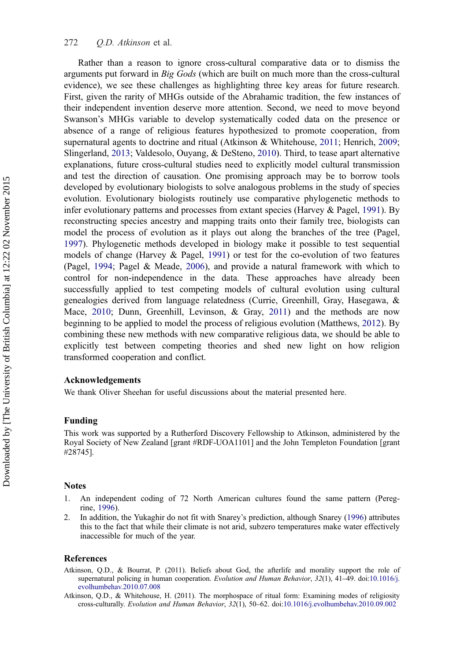## <span id="page-7-0"></span>272 O.D. Atkinson et al.

Rather than a reason to ignore cross-cultural comparative data or to dismiss the arguments put forward in Big Gods (which are built on much more than the cross-cultural evidence), we see these challenges as highlighting three key areas for future research. First, given the rarity of MHGs outside of the Abrahamic tradition, the few instances of their independent invention deserve more attention. Second, we need to move beyond Swanson's MHGs variable to develop systematically coded data on the presence or absence of a range of religious features hypothesized to promote cooperation, from supernatural agents to doctrine and ritual (Atkinson & Whitehouse, 2011; Henrich, [2009](#page-8-0); Slingerland, [2013;](#page-8-0) Valdesolo, Ouyang, & DeSteno, [2010\)](#page-9-0). Third, to tease apart alternative explanations, future cross-cultural studies need to explicitly model cultural transmission and test the direction of causation. One promising approach may be to borrow tools developed by evolutionary biologists to solve analogous problems in the study of species evolution. Evolutionary biologists routinely use comparative phylogenetic methods to infer evolutionary patterns and processes from extant species (Harvey & Pagel, [1991](#page-8-0)). By reconstructing species ancestry and mapping traits onto their family tree, biologists can model the process of evolution as it plays out along the branches of the tree (Pagel, [1997\)](#page-8-0). Phylogenetic methods developed in biology make it possible to test sequential models of change (Harvey  $\&$  Pagel, [1991\)](#page-8-0) or test for the co-evolution of two features (Pagel, [1994;](#page-8-0) Pagel & Meade, [2006\)](#page-8-0), and provide a natural framework with which to control for non-independence in the data. These approaches have already been successfully applied to test competing models of cultural evolution using cultural genealogies derived from language relatedness (Currie, Greenhill, Gray, Hasegawa, & Mace, [2010;](#page-8-0) Dunn, Greenhill, Levinson, & Gray, [2011\)](#page-8-0) and the methods are now beginning to be applied to model the process of religious evolution (Matthews, [2012](#page-8-0)). By combining these new methods with new comparative religious data, we should be able to explicitly test between competing theories and shed new light on how religion transformed cooperation and conflict.

#### Acknowledgements

We thank Oliver Sheehan for useful discussions about the material presented here.

## Funding

This work was supported by a Rutherford Discovery Fellowship to Atkinson, administered by the Royal Society of New Zealand [grant #RDF-UOA1101] and the John Templeton Foundation [grant #28745].

#### Notes

- 1. An independent coding of 72 North American cultures found the same pattern (Peregrine, [1996](#page-8-0)).
- 2. In addition, the Yukaghir do not fit with Snarey's prediction, although Snarey ([1996\)](#page-8-0) attributes this to the fact that while their climate is not arid, subzero temperatures make water effectively inaccessible for much of the year.

#### References

- Atkinson, Q.D., & Bourrat, P. (2011). Beliefs about God, the afterlife and morality support the role of supernatural policing in human cooperation. Evolution and Human Behavior, 32(1), 41-49. doi[:10.1016/j.](http://dx.doi.org/10.1016/j.evolhumbehav.2010.07.008) [evolhumbehav.2010.07.008](http://dx.doi.org/10.1016/j.evolhumbehav.2010.07.008)
- Atkinson, Q.D., & Whitehouse, H. (2011). The morphospace of ritual form: Examining modes of religiosity cross-culturally. Evolution and Human Behavior, 32(1), 50–62. doi[:10.1016/j.evolhumbehav.2010.09.002](http://dx.doi.org/10.1016/j.evolhumbehav.2010.09.002)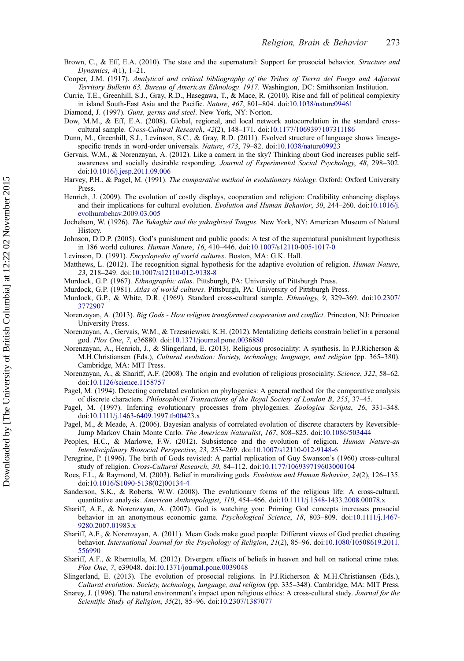- <span id="page-8-0"></span>Brown, C., & Eff, E.A. (2010). The state and the supernatural: Support for prosocial behavior. Structure and Dynamics, 4(1), 1–21.
- Cooper, J.M. (1917). Analytical and critical bibliography of the Tribes of Tierra del Fuego and Adjacent Territory Bulletin 63, Bureau of American Ethnology, 1917. Washington, DC: Smithsonian Institution.
- Currie, T.E., Greenhill, S.J., Gray, R.D., Hasegawa, T., & Mace, R. (2010). Rise and fall of political complexity in island South-East Asia and the Pacific. Nature, 467, 801–804. doi:[10.1038/nature09461](http://dx.doi.org/10.1038/nature09461)
- Diamond, J. (1997). Guns, germs and steel. New York, NY: Norton.
- Dow, M.M., & Eff, E.A. (2008). Global, regional, and local network autocorrelation in the standard crosscultural sample. Cross-Cultural Research, 42(2), 148–171. doi:[10.1177/1069397107311186](http://dx.doi.org/10.1177/1069397107311186)
- Dunn, M., Greenhill, S.J., Levinson, S.C., & Gray, R.D. (2011). Evolved structure of language shows lineagespecific trends in word-order universals. Nature, 473, 79–82. doi:[10.1038/nature09923](http://dx.doi.org/10.1038/nature09923)
- Gervais, W.M., & Norenzayan, A. (2012). Like a camera in the sky? Thinking about God increases public selfawareness and socially desirable responding. Journal of Experimental Social Psychology, 48, 298–302. doi[:10.1016/j.jesp.2011.09.006](http://dx.doi.org/10.1016/j.jesp.2011.09.006)
- Harvey, P.H., & Pagel, M. (1991). The comparative method in evolutionary biology. Oxford: Oxford University Press.
- Henrich, J. (2009). The evolution of costly displays, cooperation and religion: Credibility enhancing displays and their implications for cultural evolution. Evolution and Human Behavior, 30, 244–260. doi[:10.1016/j.](http://dx.doi.org/10.1016/j.evolhumbehav.2009.03.005) [evolhumbehav.2009.03.005](http://dx.doi.org/10.1016/j.evolhumbehav.2009.03.005)
- Jochelson, W. (1926). The Yukaghir and the yukaghized Tungus. New York, NY: American Museum of Natural History.
- Johnson, D.D.P. (2005). God's punishment and public goods: A test of the supernatural punishment hypothesis in 186 world cultures. Human Nature, 16, 410–446. doi[:10.1007/s12110-005-1017-0](http://dx.doi.org/10.1007/s12110-005-1017-0)
- Levinson, D. (1991). Encyclopedia of world cultures. Boston, MA: G.K. Hall.
- Matthews, L. (2012). The recognition signal hypothesis for the adaptive evolution of religion. Human Nature, 23, 218–249. doi[:10.1007/s12110-012-9138-8](http://dx.doi.org/10.1007/s12110-012-9138-8)
- Murdock, G.P. (1967). Ethnographic atlas. Pittsburgh, PA: University of Pittsburgh Press.
- Murdock, G.P. (1981). Atlas of world cultures. Pittsburgh, PA: University of Pittsburgh Press.
- Murdock, G.P., & White, D.R. (1969). Standard cross-cultural sample. Ethnology, 9, 329–369. doi[:10.2307/](http://dx.doi.org/10.2307/3772907) [3772907](http://dx.doi.org/10.2307/3772907)
- Norenzayan, A. (2013). Big Gods How religion transformed cooperation and conflict. Princeton, NJ: Princeton University Press.
- Norenzayan, A., Gervais, W.M., & Trzesniewski, K.H. (2012). Mentalizing deficits constrain belief in a personal god. Plos One, 7, e36880. doi:[10.1371/journal.pone.0036880](http://dx.doi.org/10.1371/journal.pone.0036880)
- Norenzayan, A., Henrich, J., & Slingerland, E. (2013). Religious prosociality: A synthesis. In P.J.Richerson & M.H.Christiansen (Eds.), Cultural evolution: Society, technology, language, and religion (pp. 365–380). Cambridge, MA: MIT Press.
- Norenzayan, A., & Shariff, A.F. (2008). The origin and evolution of religious prosociality. Science, 322, 58–62. doi[:10.1126/science.1158757](http://dx.doi.org/10.1126/science.1158757)
- Pagel, M. (1994). Detecting correlated evolution on phylogenies: A general method for the comparative analysis of discrete characters. Philosophical Transactions of the Royal Society of London B, 255, 37–45.
- Pagel, M. (1997). Inferring evolutionary processes from phylogenies. Zoologica Scripta, 26, 331–348. doi[:10.1111/j.1463-6409.1997.tb00423.x](http://dx.doi.org/10.1111/j.1463-6409.1997.tb00423.x)
- Pagel, M., & Meade, A. (2006). Bayesian analysis of correlated evolution of discrete characters by Reversible-Jump Markov Chain Monte Carlo. The American Naturalist, 167, 808–825. doi[:10.1086/503444](http://dx.doi.org/10.1086/503444)
- Peoples, H.C., & Marlowe, F.W. (2012). Subsistence and the evolution of religion. Human Nature-an Interdisciplinary Biosocial Perspective, 23, 253–269. doi[:10.1007/s12110-012-9148-6](http://dx.doi.org/10.1007/s12110-012-9148-6)
- Peregrine, P. (1996). The birth of Gods revisted: A partial replication of Guy Swanson's (1960) cross-cultural study of religion. Cross-Cultural Research, 30, 84–112. doi:[10.1177/106939719603000104](http://dx.doi.org/10.1177/106939719603000104)
- Roes, F.L., & Raymond, M. (2003). Belief in moralizing gods. Evolution and Human Behavior, 24(2), 126–135. doi[:10.1016/S1090-5138\(02\)00134-4](http://dx.doi.org/10.1016/S1090-5138(02)00134-4)
- Sanderson, S.K., & Roberts, W.W. (2008). The evolutionary forms of the religious life: A cross-cultural, quantitative analysis. American Anthropologist, 110, 454-466. doi[:10.1111/j.1548-1433.2008.00078.x](http://dx.doi.org/10.1111/j.1548-1433.2008.00078.x)
- Shariff, A.F., & Norenzayan, A. (2007). God is watching you: Priming God concepts increases prosocial behavior in an anonymous economic game. Psychological Science, 18, 803–809. doi[:10.1111/j.1467-](http://dx.doi.org/10.1111/j.1467-9280.2007.01983.x) [9280.2007.01983.x](http://dx.doi.org/10.1111/j.1467-9280.2007.01983.x)
- Shariff, A.F., & Norenzayan, A. (2011). Mean Gods make good people: Different views of God predict cheating behavior. International Journal for the Psychology of Religion, 21(2), 85–96. doi:[10.1080/10508619.2011.](http://dx.doi.org/10.1080/10508619.2011.556990) [556990](http://dx.doi.org/10.1080/10508619.2011.556990)
- Shariff, A.F., & Rhemtulla, M. (2012). Divergent effects of beliefs in heaven and hell on national crime rates. Plos One, 7, e39048. doi[:10.1371/journal.pone.0039048](http://dx.doi.org/10.1371/journal.pone.0039048)
- Slingerland, E. (2013). The evolution of prosocial religions. In P.J.Richerson & M.H.Christiansen (Eds.), Cultural evolution: Society, technology, language, and religion (pp. 335–348). Cambridge, MA: MIT Press.
- Snarey, J. (1996). The natural environment's impact upon religious ethics: A cross-cultural study. Journal for the Scientific Study of Religion, 35(2), 85–96. doi:[10.2307/1387077](http://dx.doi.org/10.2307/1387077)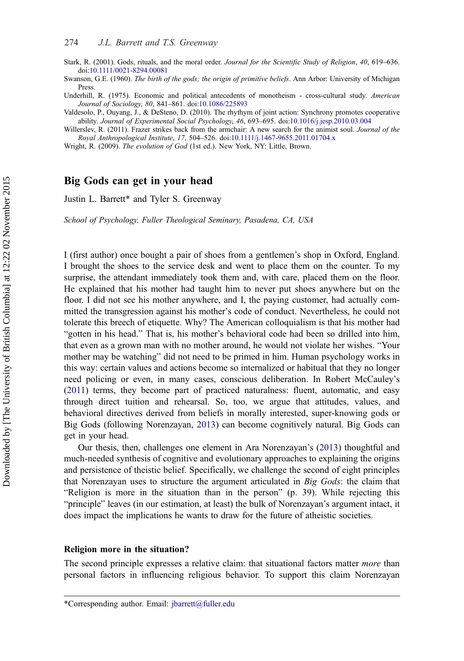<span id="page-9-0"></span>Stark, R. (2001). Gods, rituals, and the moral order. Journal for the Scientific Study of Religion, 40, 619–636. doi[:10.1111/0021-8294.00081](http://dx.doi.org/10.1111/0021-8294.00081)

Swanson, G.E. (1960). The birth of the gods; the origin of primitive beliefs. Ann Arbor: University of Michigan Press.

Underhill, R. (1975). Economic and political antecedents of monotheism - cross-cultural study. American Journal of Sociology, 80, 841–861. doi:[10.1086/225893](http://dx.doi.org/10.1086/225893)

Valdesolo, P., Ouyang, J., & DeSteno, D. (2010). The rhythym of joint action: Synchrony promotes cooperative ability. Journal of Experimental Social Psychology, 46, 693–695. doi[:10.1016/j.jesp.2010.03.004](http://dx.doi.org/10.1016/j.jesp.2010.03.004)

Willerslev, R. (2011). Frazer strikes back from the armchair: A new search for the animist soul. Journal of the Royal Anthropological Institute, 17, 504–526. doi:[10.1111/j.1467-9655.2011.01704.x](http://dx.doi.org/10.1111/j.1467-9655.2011.01704.x)

Wright, R. (2009). The evolution of God (1st ed.). New York, NY: Little, Brown.

# Big Gods can get in your head

Justin L. Barrett[\\*](#page-1-0) and Tyler S. Greenway

School of Psychology, Fuller Theological Seminary, Pasadena, CA, USA

I (first author) once bought a pair of shoes from a gentlemen's shop in Oxford, England. I brought the shoes to the service desk and went to place them on the counter. To my surprise, the attendant immediately took them and, with care, placed them on the floor. He explained that his mother had taught him to never put shoes anywhere but on the floor. I did not see his mother anywhere, and I, the paying customer, had actually committed the transgression against his mother's code of conduct. Nevertheless, he could not tolerate this breech of etiquette. Why? The American colloquialism is that his mother had "gotten in his head." That is, his mother's behavioral code had been so drilled into him, that even as a grown man with no mother around, he would not violate her wishes. "Your mother may be watching" did not need to be primed in him. Human psychology works in this way: certain values and actions become so internalized or habitual that they no longer need policing or even, in many cases, conscious deliberation. In Robert McCauley's [\(2011\)](#page-14-0) terms, they become part of practiced naturalness: fluent, automatic, and easy through direct tuition and rehearsal. So, too, we argue that attitudes, values, and behavioral directives derived from beliefs in morally interested, super-knowing gods or Big Gods (following Norenzayan, [2013](#page-14-0)) can become cognitively natural. Big Gods can get in your head.

Our thesis, then, challenges one element in Ara Norenzayan's ([2013\)](#page-14-0) thoughtful and much-needed synthesis of cognitive and evolutionary approaches to explaining the origins and persistence of theistic belief. Specifically, we challenge the second of eight principles that Norenzayan uses to structure the argument articulated in Big Gods: the claim that "Religion is more in the situation than in the person" (p. 39). While rejecting this "principle" leaves (in our estimation, at least) the bulk of Norenzayan's argument intact, it does impact the implications he wants to draw for the future of atheistic societies.

#### Religion more in the situation?

The second principle expresses a relative claim: that situational factors matter *more* than personal factors in influencing religious behavior. To support this claim Norenzayan

<sup>\*</sup>Corresponding author. Email: [jbarrett@fuller.edu](mailto:jbarrett@fuller.edu)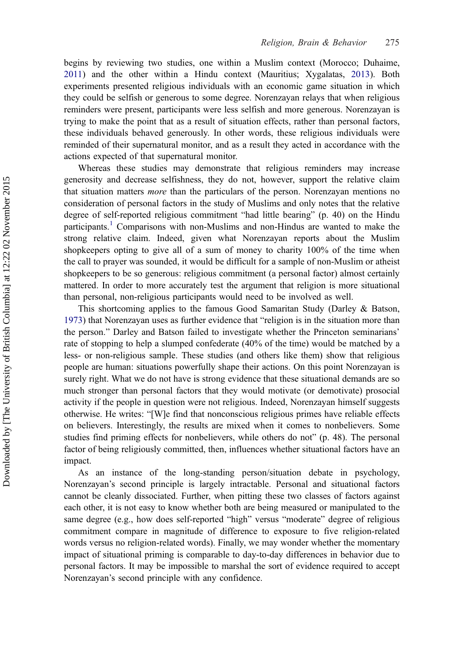begins by reviewing two studies, one within a Muslim context (Morocco; Duhaime, [2011\)](#page-14-0) and the other within a Hindu context (Mauritius; Xygalatas, [2013\)](#page-14-0). Both experiments presented religious individuals with an economic game situation in which they could be selfish or generous to some degree. Norenzayan relays that when religious reminders were present, participants were less selfish and more generous. Norenzayan is trying to make the point that as a result of situation effects, rather than personal factors, these individuals behaved generously. In other words, these religious individuals were reminded of their supernatural monitor, and as a result they acted in accordance with the actions expected of that supernatural monitor.

Whereas these studies may demonstrate that religious reminders may increase generosity and decrease selfishness, they do not, however, support the relative claim that situation matters more than the particulars of the person. Norenzayan mentions no consideration of personal factors in the study of Muslims and only notes that the relative degree of self-reported religious commitment "had little bearing" (p. 40) on the Hindu participants.<sup>[1](#page-14-0)</sup> Comparisons with non-Muslims and non-Hindus are wanted to make the strong relative claim. Indeed, given what Norenzayan reports about the Muslim shopkeepers opting to give all of a sum of money to charity 100% of the time when the call to prayer was sounded, it would be difficult for a sample of non-Muslim or atheist shopkeepers to be so generous: religious commitment (a personal factor) almost certainly mattered. In order to more accurately test the argument that religion is more situational than personal, non-religious participants would need to be involved as well.

This shortcoming applies to the famous Good Samaritan Study (Darley & Batson, [1973\)](#page-14-0) that Norenzayan uses as further evidence that "religion is in the situation more than the person." Darley and Batson failed to investigate whether the Princeton seminarians' rate of stopping to help a slumped confederate (40% of the time) would be matched by a less- or non-religious sample. These studies (and others like them) show that religious people are human: situations powerfully shape their actions. On this point Norenzayan is surely right. What we do not have is strong evidence that these situational demands are so much stronger than personal factors that they would motivate (or demotivate) prosocial activity if the people in question were not religious. Indeed, Norenzayan himself suggests otherwise. He writes: "[W]e find that nonconscious religious primes have reliable effects on believers. Interestingly, the results are mixed when it comes to nonbelievers. Some studies find priming effects for nonbelievers, while others do not" (p. 48). The personal factor of being religiously committed, then, influences whether situational factors have an impact.

As an instance of the long-standing person/situation debate in psychology, Norenzayan's second principle is largely intractable. Personal and situational factors cannot be cleanly dissociated. Further, when pitting these two classes of factors against each other, it is not easy to know whether both are being measured or manipulated to the same degree (e.g., how does self-reported "high" versus "moderate" degree of religious commitment compare in magnitude of difference to exposure to five religion-related words versus no religion-related words). Finally, we may wonder whether the momentary impact of situational priming is comparable to day-to-day differences in behavior due to personal factors. It may be impossible to marshal the sort of evidence required to accept Norenzayan's second principle with any confidence.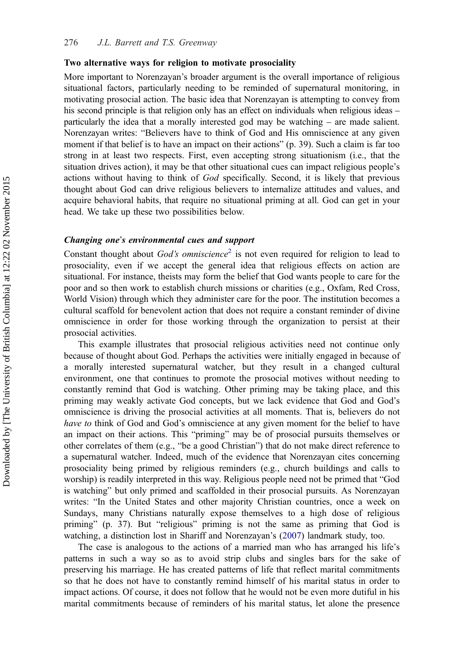## Two alternative ways for religion to motivate prosociality

More important to Norenzayan's broader argument is the overall importance of religious situational factors, particularly needing to be reminded of supernatural monitoring, in motivating prosocial action. The basic idea that Norenzayan is attempting to convey from his second principle is that religion only has an effect on individuals when religious ideas – particularly the idea that a morally interested god may be watching – are made salient. Norenzayan writes: "Believers have to think of God and His omniscience at any given moment if that belief is to have an impact on their actions" (p. 39). Such a claim is far too strong in at least two respects. First, even accepting strong situationism (i.e., that the situation drives action), it may be that other situational cues can impact religious people's actions without having to think of God specifically. Second, it is likely that previous thought about God can drive religious believers to internalize attitudes and values, and acquire behavioral habits, that require no situational priming at all. God can get in your head. We take up these two possibilities below.

#### Changing one's environmental cues and support

Constant thought about  $God's$  omniscience<sup>[2](#page-14-0)</sup> is not even required for religion to lead to prosociality, even if we accept the general idea that religious effects on action are situational. For instance, theists may form the belief that God wants people to care for the poor and so then work to establish church missions or charities (e.g., Oxfam, Red Cross, World Vision) through which they administer care for the poor. The institution becomes a cultural scaffold for benevolent action that does not require a constant reminder of divine omniscience in order for those working through the organization to persist at their prosocial activities.

This example illustrates that prosocial religious activities need not continue only because of thought about God. Perhaps the activities were initially engaged in because of a morally interested supernatural watcher, but they result in a changed cultural environment, one that continues to promote the prosocial motives without needing to constantly remind that God is watching. Other priming may be taking place, and this priming may weakly activate God concepts, but we lack evidence that God and God's omniscience is driving the prosocial activities at all moments. That is, believers do not have to think of God and God's omniscience at any given moment for the belief to have an impact on their actions. This "priming" may be of prosocial pursuits themselves or other correlates of them (e.g., "be a good Christian") that do not make direct reference to a supernatural watcher. Indeed, much of the evidence that Norenzayan cites concerning prosociality being primed by religious reminders (e.g., church buildings and calls to worship) is readily interpreted in this way. Religious people need not be primed that "God is watching" but only primed and scaffolded in their prosocial pursuits. As Norenzayan writes: "In the United States and other majority Christian countries, once a week on Sundays, many Christians naturally expose themselves to a high dose of religious priming" (p. 37). But "religious" priming is not the same as priming that God is watching, a distinction lost in Shariff and Norenzayan's [\(2007](#page-14-0)) landmark study, too.

The case is analogous to the actions of a married man who has arranged his life's patterns in such a way so as to avoid strip clubs and singles bars for the sake of preserving his marriage. He has created patterns of life that reflect marital commitments so that he does not have to constantly remind himself of his marital status in order to impact actions. Of course, it does not follow that he would not be even more dutiful in his marital commitments because of reminders of his marital status, let alone the presence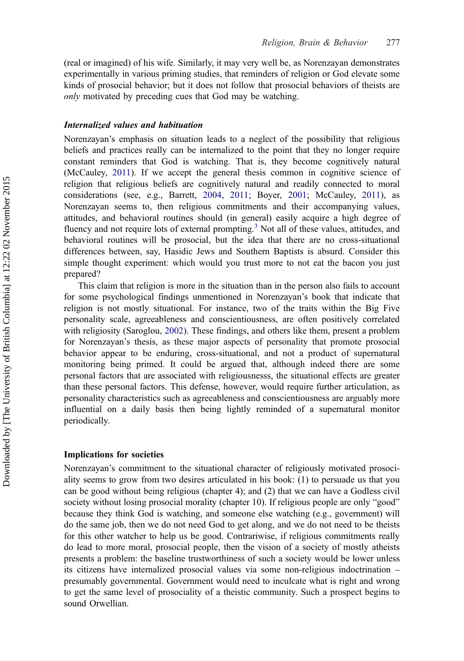(real or imagined) of his wife. Similarly, it may very well be, as Norenzayan demonstrates experimentally in various priming studies, that reminders of religion or God elevate some kinds of prosocial behavior; but it does not follow that prosocial behaviors of theists are only motivated by preceding cues that God may be watching.

## Internalized values and habituation

Norenzayan's emphasis on situation leads to a neglect of the possibility that religious beliefs and practices really can be internalized to the point that they no longer require constant reminders that God is watching. That is, they become cognitively natural (McCauley, [2011](#page-14-0)). If we accept the general thesis common in cognitive science of religion that religious beliefs are cognitively natural and readily connected to moral considerations (see, e.g., Barrett, [2004,](#page-14-0) [2011](#page-14-0); Boyer, [2001](#page-14-0); McCauley, [2011\)](#page-14-0), as Norenzayan seems to, then religious commitments and their accompanying values, attitudes, and behavioral routines should (in general) easily acquire a high degree of fluency and not require lots of external prompting.<sup>[3](#page-14-0)</sup> Not all of these values, attitudes, and behavioral routines will be prosocial, but the idea that there are no cross-situational differences between, say, Hasidic Jews and Southern Baptists is absurd. Consider this simple thought experiment: which would you trust more to not eat the bacon you just prepared?

This claim that religion is more in the situation than in the person also fails to account for some psychological findings unmentioned in Norenzayan's book that indicate that religion is not mostly situational. For instance, two of the traits within the Big Five personality scale, agreeableness and conscientiousness, are often positively correlated with religiosity (Saroglou, [2002](#page-14-0)). These findings, and others like them, present a problem for Norenzayan's thesis, as these major aspects of personality that promote prosocial behavior appear to be enduring, cross-situational, and not a product of supernatural monitoring being primed. It could be argued that, although indeed there are some personal factors that are associated with religiousnesss, the situational effects are greater than these personal factors. This defense, however, would require further articulation, as personality characteristics such as agreeableness and conscientiousness are arguably more influential on a daily basis then being lightly reminded of a supernatural monitor periodically.

#### Implications for societies

Norenzayan's commitment to the situational character of religiously motivated prosociality seems to grow from two desires articulated in his book: (1) to persuade us that you can be good without being religious (chapter 4); and (2) that we can have a Godless civil society without losing prosocial morality (chapter 10). If religious people are only "good" because they think God is watching, and someone else watching (e.g., government) will do the same job, then we do not need God to get along, and we do not need to be theists for this other watcher to help us be good. Contrariwise, if religious commitments really do lead to more moral, prosocial people, then the vision of a society of mostly atheists presents a problem: the baseline trustworthiness of such a society would be lower unless its citizens have internalized prosocial values via some non-religious indoctrination – presumably governmental. Government would need to inculcate what is right and wrong to get the same level of prosociality of a theistic community. Such a prospect begins to sound Orwellian.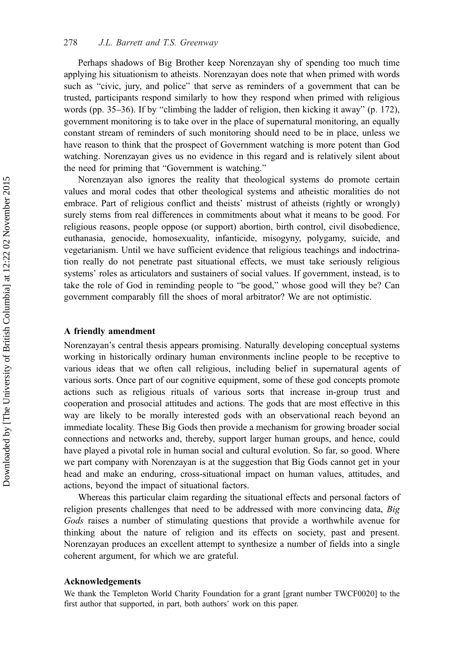Perhaps shadows of Big Brother keep Norenzayan shy of spending too much time applying his situationism to atheists. Norenzayan does note that when primed with words such as "civic, jury, and police" that serve as reminders of a government that can be trusted, participants respond similarly to how they respond when primed with religious words (pp. 35–36). If by "climbing the ladder of religion, then kicking it away" (p. 172), government monitoring is to take over in the place of supernatural monitoring, an equally constant stream of reminders of such monitoring should need to be in place, unless we have reason to think that the prospect of Government watching is more potent than God watching. Norenzayan gives us no evidence in this regard and is relatively silent about the need for priming that "Government is watching."

Norenzayan also ignores the reality that theological systems do promote certain values and moral codes that other theological systems and atheistic moralities do not embrace. Part of religious conflict and theists' mistrust of atheists (rightly or wrongly) surely stems from real differences in commitments about what it means to be good. For religious reasons, people oppose (or support) abortion, birth control, civil disobedience, euthanasia, genocide, homosexuality, infanticide, misogyny, polygamy, suicide, and vegetarianism. Until we have sufficient evidence that religious teachings and indoctrination really do not penetrate past situational effects, we must take seriously religious systems' roles as articulators and sustainers of social values. If government, instead, is to take the role of God in reminding people to "be good," whose good will they be? Can government comparably fill the shoes of moral arbitrator? We are not optimistic.

#### A friendly amendment

Norenzayan's central thesis appears promising. Naturally developing conceptual systems working in historically ordinary human environments incline people to be receptive to various ideas that we often call religious, including belief in supernatural agents of various sorts. Once part of our cognitive equipment, some of these god concepts promote actions such as religious rituals of various sorts that increase in-group trust and cooperation and prosocial attitudes and actions. The gods that are most effective in this way are likely to be morally interested gods with an observational reach beyond an immediate locality. These Big Gods then provide a mechanism for growing broader social connections and networks and, thereby, support larger human groups, and hence, could have played a pivotal role in human social and cultural evolution. So far, so good. Where we part company with Norenzayan is at the suggestion that Big Gods cannot get in your head and make an enduring, cross-situational impact on human values, attitudes, and actions, beyond the impact of situational factors.

Whereas this particular claim regarding the situational effects and personal factors of religion presents challenges that need to be addressed with more convincing data, Big Gods raises a number of stimulating questions that provide a worthwhile avenue for thinking about the nature of religion and its effects on society, past and present. Norenzayan produces an excellent attempt to synthesize a number of fields into a single coherent argument, for which we are grateful.

#### Acknowledgements

We thank the Templeton World Charity Foundation for a grant [grant number TWCF0020] to the first author that supported, in part, both authors' work on this paper.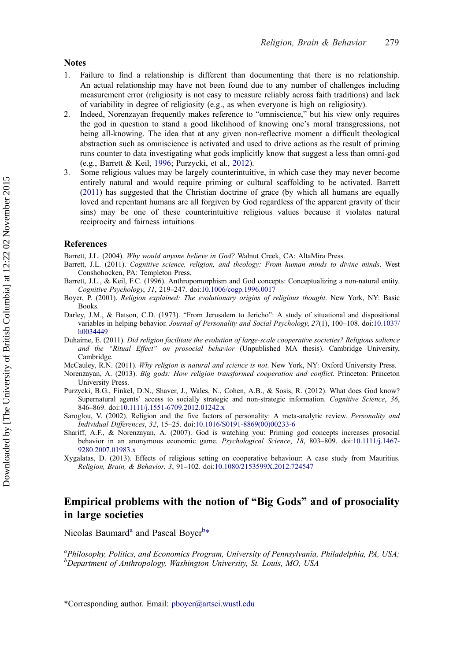#### <span id="page-14-0"></span>**Notes**

- 1. Failure to find a relationship is different than documenting that there is no relationship. An actual relationship may have not been found due to any number of challenges including measurement error (religiosity is not easy to measure reliably across faith traditions) and lack of variability in degree of religiosity (e.g., as when everyone is high on religiosity).
- 2. Indeed, Norenzayan frequently makes reference to "omniscience," but his view only requires the god in question to stand a good likelihood of knowing one's moral transgressions, not being all-knowing. The idea that at any given non-reflective moment a difficult theological abstraction such as omniscience is activated and used to drive actions as the result of priming runs counter to data investigating what gods implicitly know that suggest a less than omni-god (e.g., Barrett & Keil, 1996; Purzycki, et al., 2012).
- 3. Some religious values may be largely counterintuitive, in which case they may never become entirely natural and would require priming or cultural scaffolding to be activated. Barrett (2011) has suggested that the Christian doctrine of grace (by which all humans are equally loved and repentant humans are all forgiven by God regardless of the apparent gravity of their sins) may be one of these counterintuitive religious values because it violates natural reciprocity and fairness intuitions.

#### References

Barrett, J.L. (2004). Why would anyone believe in God? Walnut Creek, CA: AltaMira Press.

- Barrett, J.L. (2011). Cognitive science, religion, and theology: From human minds to divine minds. West Conshohocken, PA: Templeton Press.
- Barrett, J.L., & Keil, F.C. (1996). Anthropomorphism and God concepts: Conceptualizing a non-natural entity. Cognitive Psychology, 31, 219–247. doi[:10.1006/cogp.1996.0017](http://dx.doi.org/10.1006/cogp.1996.0017)
- Boyer, P. (2001). Religion explained: The evolutionary origins of religious thought. New York, NY: Basic Books.
- Darley, J.M., & Batson, C.D. (1973). "From Jerusalem to Jericho": A study of situational and dispositional variables in helping behavior. Journal of Personality and Social Psychology, 27(1), 100–108. doi[:10.1037/](http://dx.doi.org/10.1037/h0034449) [h0034449](http://dx.doi.org/10.1037/h0034449)
- Duhaime, E. (2011). Did religion facilitate the evolution of large-scale cooperative societies? Religious salience and the "Ritual Effect" on prosocial behavior (Unpublished MA thesis). Cambridge University, Cambridge.
- McCauley, R.N. (2011). Why religion is natural and science is not. New York, NY: Oxford University Press.
- Norenzayan, A. (2013). Big gods: How religion transformed cooperation and conflict. Princeton: Princeton University Press.
- Purzycki, B.G., Finkel, D.N., Shaver, J., Wales, N., Cohen, A.B., & Sosis, R. (2012). What does God know? Supernatural agents' access to socially strategic and non-strategic information. Cognitive Science, 36, 846–869. doi:[10.1111/j.1551-6709.2012.01242.x](http://dx.doi.org/10.1111/j.1551-6709.2012.01242.x)
- Saroglou, V. (2002). Religion and the five factors of personality: A meta-analytic review. Personality and Individual Differences, 32, 15–25. doi:[10.1016/S0191-8869\(00\)00233-6](http://dx.doi.org/10.1016/S0191-8869(00)00233-6)
- Shariff, A.F., & Norenzayan, A. (2007). God is watching you: Priming god concepts increases prosocial behavior in an anonymous economic game. Psychological Science, 18, 803-809. doi[:10.1111/j.1467-](http://dx.doi.org/10.1111/j.1467-9280.2007.01983.x) [9280.2007.01983.x](http://dx.doi.org/10.1111/j.1467-9280.2007.01983.x)
- Xygalatas, D. (2013). Effects of religious setting on cooperative behaviour: A case study from Mauritius. Religion, Brain, & Behavior, 3, 91–102. doi[:10.1080/2153599X.2012.724547](http://dx.doi.org/10.1080/2153599X.2012.724547)

# Empirical problems with the notion of "Big Gods" and of prosociality in large societies

Nicolas Baumard<sup>a</sup> and Pascal Boyer<sup>b</sup>[\\*](#page-1-0)

a<br>Philosophy, Politics, and Economics Program, University of Pennsylvania, Philadelphia, PA, USA; <sup>b</sup>Department of Anthropology, Washington University, St. Louis, MO, USA

<sup>\*</sup>Corresponding author. Email: [pboyer@artsci.wustl.edu](mailto:pboyer@artsci.wustl.edu)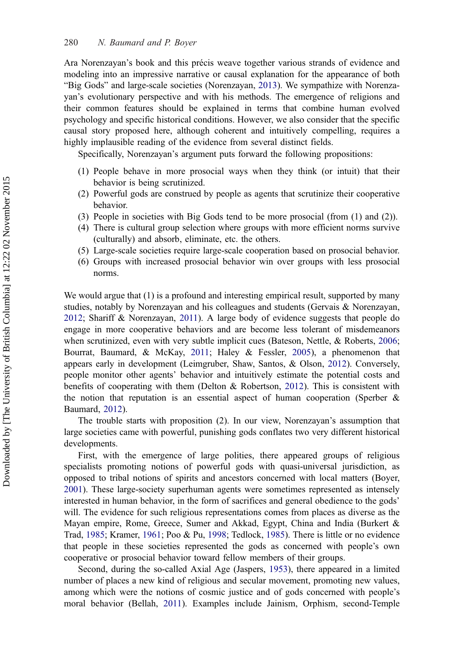Ara Norenzayan's book and this précis weave together various strands of evidence and modeling into an impressive narrative or causal explanation for the appearance of both "Big Gods" and large-scale societies (Norenzayan, [2013\)](#page-18-0). We sympathize with Norenzayan's evolutionary perspective and with his methods. The emergence of religions and their common features should be explained in terms that combine human evolved psychology and specific historical conditions. However, we also consider that the specific causal story proposed here, although coherent and intuitively compelling, requires a highly implausible reading of the evidence from several distinct fields.

Specifically, Norenzayan's argument puts forward the following propositions:

- (1) People behave in more prosocial ways when they think (or intuit) that their behavior is being scrutinized.
- (2) Powerful gods are construed by people as agents that scrutinize their cooperative behavior.
- (3) People in societies with Big Gods tend to be more prosocial (from (1) and (2)).
- (4) There is cultural group selection where groups with more efficient norms survive (culturally) and absorb, eliminate, etc. the others.
- (5) Large-scale societies require large-scale cooperation based on prosocial behavior.
- (6) Groups with increased prosocial behavior win over groups with less prosocial norms.

We would argue that (1) is a profound and interesting empirical result, supported by many studies, notably by Norenzayan and his colleagues and students (Gervais & Norenzayan, [2012;](#page-18-0) Shariff & Norenzayan, [2011\)](#page-18-0). A large body of evidence suggests that people do engage in more cooperative behaviors and are become less tolerant of misdemeanors when scrutinized, even with very subtle implicit cues (Bateson, Nettle, & Roberts, [2006](#page-17-0); Bourrat, Baumard, & McKay, [2011;](#page-17-0) Haley & Fessler, [2005\)](#page-18-0), a phenomenon that appears early in development (Leimgruber, Shaw, Santos, & Olson, [2012\)](#page-18-0). Conversely, people monitor other agents' behavior and intuitively estimate the potential costs and benefits of cooperating with them (Delton & Robertson, [2012](#page-18-0)). This is consistent with the notion that reputation is an essential aspect of human cooperation (Sperber  $\&$ Baumard, [2012](#page-18-0)).

The trouble starts with proposition (2). In our view, Norenzayan's assumption that large societies came with powerful, punishing gods conflates two very different historical developments.

First, with the emergence of large polities, there appeared groups of religious specialists promoting notions of powerful gods with quasi-universal jurisdiction, as opposed to tribal notions of spirits and ancestors concerned with local matters (Boyer, [2001\)](#page-17-0). These large-society superhuman agents were sometimes represented as intensely interested in human behavior, in the form of sacrifices and general obedience to the gods' will. The evidence for such religious representations comes from places as diverse as the Mayan empire, Rome, Greece, Sumer and Akkad, Egypt, China and India (Burkert & Trad, [1985](#page-18-0); Kramer, [1961;](#page-18-0) Poo & Pu, [1998;](#page-18-0) Tedlock, [1985](#page-18-0)). There is little or no evidence that people in these societies represented the gods as concerned with people's own cooperative or prosocial behavior toward fellow members of their groups.

Second, during the so-called Axial Age (Jaspers, [1953](#page-18-0)), there appeared in a limited number of places a new kind of religious and secular movement, promoting new values, among which were the notions of cosmic justice and of gods concerned with people's moral behavior (Bellah, [2011](#page-17-0)). Examples include Jainism, Orphism, second-Temple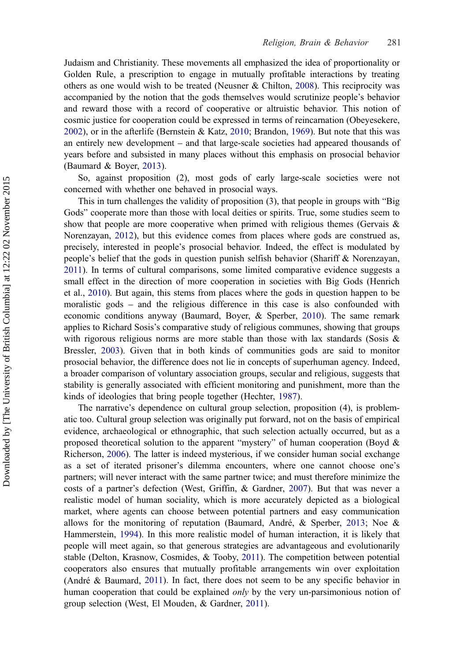Judaism and Christianity. These movements all emphasized the idea of proportionality or Golden Rule, a prescription to engage in mutually profitable interactions by treating others as one would wish to be treated (Neusner & Chilton, [2008](#page-18-0)). This reciprocity was accompanied by the notion that the gods themselves would scrutinize people's behavior and reward those with a record of cooperative or altruistic behavior. This notion of cosmic justice for cooperation could be expressed in terms of reincarnation (Obeyesekere, [2002\)](#page-18-0), or in the afterlife (Bernstein & Katz, [2010;](#page-17-0) Brandon, [1969\)](#page-18-0). But note that this was an entirely new development – and that large-scale societies had appeared thousands of years before and subsisted in many places without this emphasis on prosocial behavior (Baumard & Boyer, [2013\)](#page-17-0).

So, against proposition (2), most gods of early large-scale societies were not concerned with whether one behaved in prosocial ways.

This in turn challenges the validity of proposition (3), that people in groups with "Big Gods" cooperate more than those with local deities or spirits. True, some studies seem to show that people are more cooperative when primed with religious themes (Gervais & Norenzayan, [2012](#page-18-0)), but this evidence comes from places where gods are construed as, precisely, interested in people's prosocial behavior. Indeed, the effect is modulated by people's belief that the gods in question punish selfish behavior (Shariff & Norenzayan, [2011\)](#page-18-0). In terms of cultural comparisons, some limited comparative evidence suggests a small effect in the direction of more cooperation in societies with Big Gods (Henrich et al., [2010\)](#page-18-0). But again, this stems from places where the gods in question happen to be moralistic gods – and the religious difference in this case is also confounded with economic conditions anyway (Baumard, Boyer, & Sperber, [2010](#page-17-0)). The same remark applies to Richard Sosis's comparative study of religious communes, showing that groups with rigorous religious norms are more stable than those with lax standards (Sosis  $\&$ Bressler, [2003\)](#page-18-0). Given that in both kinds of communities gods are said to monitor prosocial behavior, the difference does not lie in concepts of superhuman agency. Indeed, a broader comparison of voluntary association groups, secular and religious, suggests that stability is generally associated with efficient monitoring and punishment, more than the kinds of ideologies that bring people together (Hechter, [1987\)](#page-18-0).

The narrative's dependence on cultural group selection, proposition (4), is problematic too. Cultural group selection was originally put forward, not on the basis of empirical evidence, archaeological or ethnographic, that such selection actually occurred, but as a proposed theoretical solution to the apparent "mystery" of human cooperation (Boyd & Richerson, [2006\)](#page-17-0). The latter is indeed mysterious, if we consider human social exchange as a set of iterated prisoner's dilemma encounters, where one cannot choose one's partners; will never interact with the same partner twice; and must therefore minimize the costs of a partner's defection (West, Griffin, & Gardner, [2007](#page-18-0)). But that was never a realistic model of human sociality, which is more accurately depicted as a biological market, where agents can choose between potential partners and easy communication allows for the monitoring of reputation (Baumard, André, & Sperber, [2013](#page-17-0); Noe & Hammerstein, [1994](#page-18-0)). In this more realistic model of human interaction, it is likely that people will meet again, so that generous strategies are advantageous and evolutionarily stable (Delton, Krasnow, Cosmides, & Tooby, [2011\)](#page-18-0). The competition between potential cooperators also ensures that mutually profitable arrangements win over exploitation (André & Baumard, [2011](#page-17-0)). In fact, there does not seem to be any specific behavior in human cooperation that could be explained *only* by the very un-parsimonious notion of group selection (West, El Mouden, & Gardner, [2011](#page-18-0)).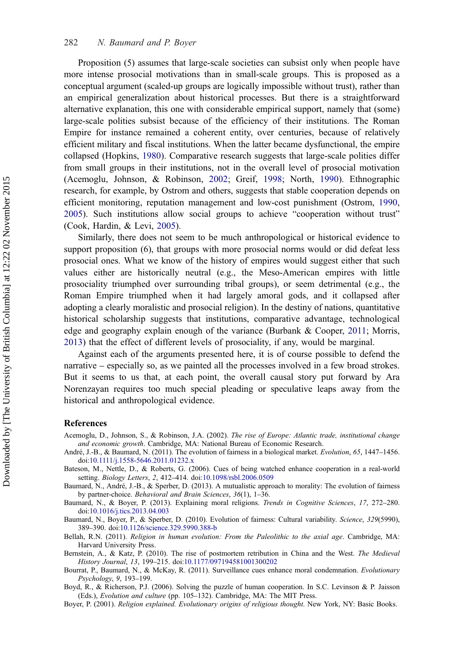<span id="page-17-0"></span>Proposition (5) assumes that large-scale societies can subsist only when people have more intense prosocial motivations than in small-scale groups. This is proposed as a conceptual argument (scaled-up groups are logically impossible without trust), rather than an empirical generalization about historical processes. But there is a straightforward alternative explanation, this one with considerable empirical support, namely that (some) large-scale polities subsist because of the efficiency of their institutions. The Roman Empire for instance remained a coherent entity, over centuries, because of relatively efficient military and fiscal institutions. When the latter became dysfunctional, the empire collapsed (Hopkins, [1980](#page-18-0)). Comparative research suggests that large-scale polities differ from small groups in their institutions, not in the overall level of prosocial motivation (Acemoglu, Johnson, & Robinson, 2002; Greif, [1998](#page-18-0); North, [1990](#page-18-0)). Ethnographic research, for example, by Ostrom and others, suggests that stable cooperation depends on efficient monitoring, reputation management and low-cost punishment (Ostrom, [1990,](#page-18-0) [2005\)](#page-18-0). Such institutions allow social groups to achieve "cooperation without trust" (Cook, Hardin, & Levi, [2005\)](#page-18-0).

Similarly, there does not seem to be much anthropological or historical evidence to support proposition (6), that groups with more prosocial norms would or did defeat less prosocial ones. What we know of the history of empires would suggest either that such values either are historically neutral (e.g., the Meso-American empires with little prosociality triumphed over surrounding tribal groups), or seem detrimental (e.g., the Roman Empire triumphed when it had largely amoral gods, and it collapsed after adopting a clearly moralistic and prosocial religion). In the destiny of nations, quantitative historical scholarship suggests that institutions, comparative advantage, technological edge and geography explain enough of the variance (Burbank & Cooper, [2011;](#page-18-0) Morris, [2013\)](#page-18-0) that the effect of different levels of prosociality, if any, would be marginal.

Against each of the arguments presented here, it is of course possible to defend the narrative – especially so, as we painted all the processes involved in a few broad strokes. But it seems to us that, at each point, the overall causal story put forward by Ara Norenzayan requires too much special pleading or speculative leaps away from the historical and anthropological evidence.

#### References

- Acemoglu, D., Johnson, S., & Robinson, J.A. (2002). The rise of Europe: Atlantic trade, institutional change and economic growth. Cambridge, MA: National Bureau of Economic Research.
- André, J.-B., & Baumard, N. (2011). The evolution of fairness in a biological market. Evolution, 65, 1447–1456. doi[:10.1111/j.1558-5646.2011.01232.x](http://dx.doi.org/10.1111/j.1558-5646.2011.01232.x)
- Bateson, M., Nettle, D., & Roberts, G. (2006). Cues of being watched enhance cooperation in a real-world setting. Biology Letters, 2, 412–414. doi[:10.1098/rsbl.2006.0509](http://dx.doi.org/10.1098/rsbl.2006.0509)
- Baumard, N., André, J.-B., & Sperber, D. (2013). A mutualistic approach to morality: The evolution of fairness by partner-choice. Behavioral and Brain Sciences, 36(1), 1–36.

Baumard, N., & Boyer, P. (2013). Explaining moral religions. Trends in Cognitive Sciences, 17, 272–280. doi[:10.1016/j.tics.2013.04.003](http://dx.doi.org/10.1016/j.tics.2013.04.003)

- Baumard, N., Boyer, P., & Sperber, D. (2010). Evolution of fairness: Cultural variability. Science, 329(5990), 389–390. doi:[10.1126/science.329.5990.388-b](http://dx.doi.org/10.1126/science.329.5990.388-b)
- Bellah, R.N. (2011). Religion in human evolution: From the Paleolithic to the axial age. Cambridge, MA: Harvard University Press.

Bernstein, A., & Katz, P. (2010). The rise of postmortem retribution in China and the West. The Medieval History Journal, 13, 199–215. doi:[10.1177/097194581001300202](http://dx.doi.org/10.1177/097194581001300202)

- Bourrat, P., Baumard, N., & McKay, R. (2011). Surveillance cues enhance moral condemnation. Evolutionary Psychology, 9, 193–199.
- Boyd, R., & Richerson, P.J. (2006). Solving the puzzle of human cooperation. In S.C. Levinson & P. Jaisson (Eds.), Evolution and culture (pp. 105–132). Cambridge, MA: The MIT Press.
- Boyer, P. (2001). Religion explained. Evolutionary origins of religious thought. New York, NY: Basic Books.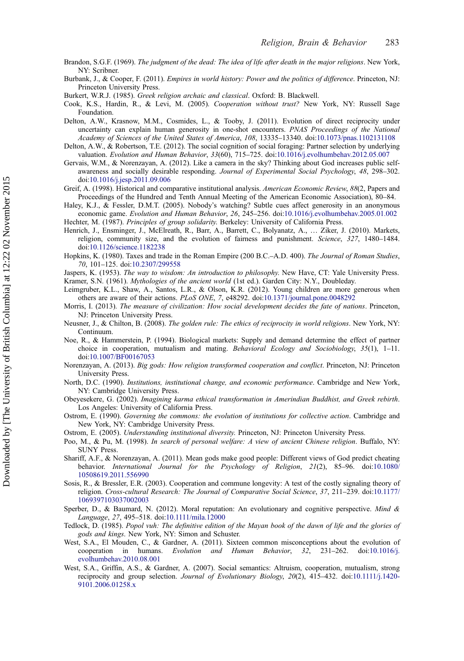- <span id="page-18-0"></span>Brandon, S.G.F. (1969). The judgment of the dead: The idea of life after death in the major religions. New York, NY: Scribner.
- Burbank, J., & Cooper, F. (2011). Empires in world history: Power and the politics of difference. Princeton, NJ: Princeton University Press.
- Burkert, W.R.J. (1985). Greek religion archaic and classical. Oxford: B. Blackwell.
- Cook, K.S., Hardin, R., & Levi, M. (2005). Cooperation without trust? New York, NY: Russell Sage Foundation.
- Delton, A.W., Krasnow, M.M., Cosmides, L., & Tooby, J. (2011). Evolution of direct reciprocity under uncertainty can explain human generosity in one-shot encounters. PNAS Proceedings of the National Academy of Sciences of the United States of America, 108, 13335–13340. doi:[10.1073/pnas.1102131108](http://dx.doi.org/10.1073/pnas.1102131108)
- Delton, A.W., & Robertson, T.E. (2012). The social cognition of social foraging: Partner selection by underlying valuation. Evolution and Human Behavior, 33(60), 715–725. doi[:10.1016/j.evolhumbehav.2012.05.007](http://dx.doi.org/10.1016/j.evolhumbehav.2012.05.007)
- Gervais, W.M., & Norenzayan, A. (2012). Like a camera in the sky? Thinking about God increases public selfawareness and socially desirable responding. Journal of Experimental Social Psychology, 48, 298–302. doi[:10.1016/j.jesp.2011.09.006](http://dx.doi.org/10.1016/j.jesp.2011.09.006)
- Greif, A. (1998). Historical and comparative institutional analysis. American Economic Review, 88(2, Papers and Proceedings of the Hundred and Tenth Annual Meeting of the American Economic Association), 80–84.
- Haley, K.J., & Fessler, D.M.T. (2005). Nobody's watching? Subtle cues affect generosity in an anonymous economic game. Evolution and Human Behavior, 26, 245–256. doi[:10.1016/j.evolhumbehav.2005.01.002](http://dx.doi.org/10.1016/j.evolhumbehav.2005.01.002)
- Hechter, M. (1987). Principles of group solidarity. Berkeley: University of California Press.
- Henrich, J., Ensminger, J., McElreath, R., Barr, A., Barrett, C., Bolyanatz, A., … Ziker, J. (2010). Markets, religion, community size, and the evolution of fairness and punishment. Science, 327, 1480–1484. doi[:10.1126/science.1182238](http://dx.doi.org/10.1126/science.1182238)
- Hopkins, K. (1980). Taxes and trade in the Roman Empire (200 B.C.–A.D. 400). The Journal of Roman Studies, 70, 101–125. doi[:10.2307/299558](http://dx.doi.org/10.2307/299558)
- Jaspers, K. (1953). The way to wisdom: An introduction to philosophy. New Have, CT: Yale University Press.
- Kramer, S.N. (1961). Mythologies of the ancient world (1st ed.). Garden City: N.Y., Doubleday.
- Leimgruber, K.L., Shaw, A., Santos, L.R., & Olson, K.R. (2012). Young children are more generous when others are aware of their actions. PLoS ONE, 7, e48292. doi:[10.1371/journal.pone.0048292](http://dx.doi.org/10.1371/journal.pone.0048292)
- Morris, I. (2013). The measure of civilization: How social development decides the fate of nations. Princeton, NJ: Princeton University Press.
- Neusner, J., & Chilton, B. (2008). The golden rule: The ethics of reciprocity in world religions. New York, NY: Continuum.
- Noe, R., & Hammerstein, P. (1994). Biological markets: Supply and demand determine the effect of partner choice in cooperation, mutualism and mating. Behavioral Ecology and Sociobiology, 35(1), 1-11. doi[:10.1007/BF00167053](http://dx.doi.org/10.1007/BF00167053)
- Norenzayan, A. (2013). Big gods: How religion transformed cooperation and conflict. Princeton, NJ: Princeton University Press.
- North, D.C. (1990). Institutions, institutional change, and economic performance. Cambridge and New York, NY: Cambridge University Press.
- Obeyesekere, G. (2002). Imagining karma ethical transformation in Amerindian Buddhist, and Greek rebirth. Los Angeles: University of California Press.
- Ostrom, E. (1990). Governing the commons: the evolution of institutions for collective action. Cambridge and New York, NY: Cambridge University Press.
- Ostrom, E. (2005). Understanding institutional diversity. Princeton, NJ: Princeton University Press.
- Poo, M., & Pu, M. (1998). In search of personal welfare: A view of ancient Chinese religion. Buffalo, NY: SUNY Press.
- Shariff, A.F., & Norenzayan, A. (2011). Mean gods make good people: Different views of God predict cheating behavior. International Journal for the Psychology of Religion, 21(2), 85–96. doi[:10.1080/](http://dx.doi.org/10.1080/10508619.2011.556990) [10508619.2011.556990](http://dx.doi.org/10.1080/10508619.2011.556990)
- Sosis, R., & Bressler, E.R. (2003). Cooperation and commune longevity: A test of the costly signaling theory of religion. Cross-cultural Research: The Journal of Comparative Social Science, 37, 211–239. doi[:10.1177/](http://dx.doi.org/10.1177/1069397103037002003) [1069397103037002003](http://dx.doi.org/10.1177/1069397103037002003)
- Sperber, D., & Baumard, N. (2012). Moral reputation: An evolutionary and cognitive perspective. *Mind &* Language, 27, 495–518. doi:[10.1111/mila.12000](http://dx.doi.org/10.1111/mila.12000)
- Tedlock, D. (1985). Popol vuh: The definitive edition of the Mayan book of the dawn of life and the glories of gods and kings. New York, NY: Simon and Schuster.
- West, S.A., El Mouden, C., & Gardner, A. (2011). Sixteen common misconceptions about the evolution of cooperation in humans. Evolution and Human Behavior, 32, 231–262. doi[:10.1016/j.](http://dx.doi.org/10.1016/j.evolhumbehav.2010.08.001) [evolhumbehav.2010.08.001](http://dx.doi.org/10.1016/j.evolhumbehav.2010.08.001)
- West, S.A., Griffin, A.S., & Gardner, A. (2007). Social semantics: Altruism, cooperation, mutualism, strong reciprocity and group selection. Journal of Evolutionary Biology, 20(2), 415–432. doi[:10.1111/j.1420-](http://dx.doi.org/10.1111/j.1420-9101.2006.01258.x) [9101.2006.01258.x](http://dx.doi.org/10.1111/j.1420-9101.2006.01258.x)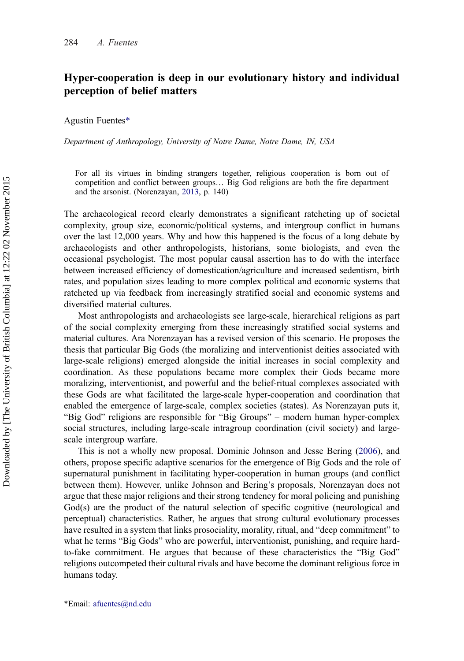# Hyper-cooperation is deep in our evolutionary history and individual perception of belief matters

Agustin Fuentes[\\*](#page-1-0)

Department of Anthropology, University of Notre Dame, Notre Dame, IN, USA

For all its virtues in binding strangers together, religious cooperation is born out of competition and conflict between groups… Big God religions are both the fire department and the arsonist. (Norenzayan, [2013](#page-24-0), p. 140)

The archaeological record clearly demonstrates a significant ratcheting up of societal complexity, group size, economic/political systems, and intergroup conflict in humans over the last 12,000 years. Why and how this happened is the focus of a long debate by archaeologists and other anthropologists, historians, some biologists, and even the occasional psychologist. The most popular causal assertion has to do with the interface between increased efficiency of domestication/agriculture and increased sedentism, birth rates, and population sizes leading to more complex political and economic systems that ratcheted up via feedback from increasingly stratified social and economic systems and diversified material cultures.

Most anthropologists and archaeologists see large-scale, hierarchical religions as part of the social complexity emerging from these increasingly stratified social systems and material cultures. Ara Norenzayan has a revised version of this scenario. He proposes the thesis that particular Big Gods (the moralizing and interventionist deities associated with large-scale religions) emerged alongside the initial increases in social complexity and coordination. As these populations became more complex their Gods became more moralizing, interventionist, and powerful and the belief-ritual complexes associated with these Gods are what facilitated the large-scale hyper-cooperation and coordination that enabled the emergence of large-scale, complex societies (states). As Norenzayan puts it, "Big God" religions are responsible for "Big Groups" – modern human hyper-complex social structures, including large-scale intragroup coordination (civil society) and largescale intergroup warfare.

This is not a wholly new proposal. Dominic Johnson and Jesse Bering [\(2006](#page-24-0)), and others, propose specific adaptive scenarios for the emergence of Big Gods and the role of supernatural punishment in facilitating hyper-cooperation in human groups (and conflict between them). However, unlike Johnson and Bering's proposals, Norenzayan does not argue that these major religions and their strong tendency for moral policing and punishing God(s) are the product of the natural selection of specific cognitive (neurological and perceptual) characteristics. Rather, he argues that strong cultural evolutionary processes have resulted in a system that links prosociality, morality, ritual, and "deep commitment" to what he terms "Big Gods" who are powerful, interventionist, punishing, and require hardto-fake commitment. He argues that because of these characteristics the "Big God" religions outcompeted their cultural rivals and have become the dominant religious force in humans today.

<sup>\*</sup>Email: [afuentes@nd.edu](mailto:afuentes@nd.edu)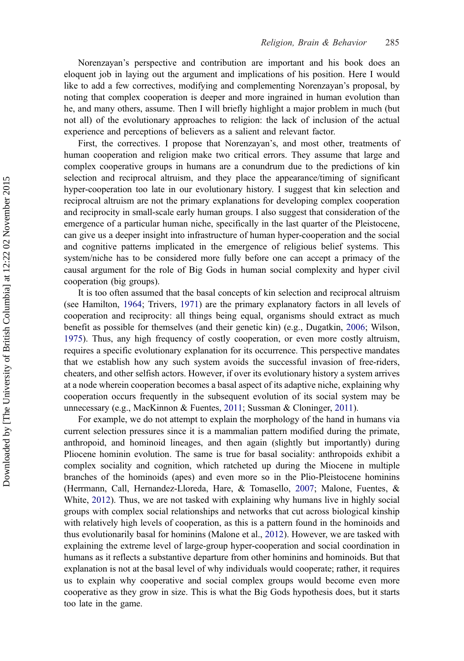Norenzayan's perspective and contribution are important and his book does an eloquent job in laying out the argument and implications of his position. Here I would like to add a few correctives, modifying and complementing Norenzayan's proposal, by noting that complex cooperation is deeper and more ingrained in human evolution than he, and many others, assume. Then I will briefly highlight a major problem in much (but not all) of the evolutionary approaches to religion: the lack of inclusion of the actual experience and perceptions of believers as a salient and relevant factor.

First, the correctives. I propose that Norenzayan's, and most other, treatments of human cooperation and religion make two critical errors. They assume that large and complex cooperative groups in humans are a conundrum due to the predictions of kin selection and reciprocal altruism, and they place the appearance/timing of significant hyper-cooperation too late in our evolutionary history. I suggest that kin selection and reciprocal altruism are not the primary explanations for developing complex cooperation and reciprocity in small-scale early human groups. I also suggest that consideration of the emergence of a particular human niche, specifically in the last quarter of the Pleistocene, can give us a deeper insight into infrastructure of human hyper-cooperation and the social and cognitive patterns implicated in the emergence of religious belief systems. This system/niche has to be considered more fully before one can accept a primacy of the causal argument for the role of Big Gods in human social complexity and hyper civil cooperation (big groups).

It is too often assumed that the basal concepts of kin selection and reciprocal altruism (see Hamilton, [1964;](#page-24-0) Trivers, [1971\)](#page-24-0) are the primary explanatory factors in all levels of cooperation and reciprocity: all things being equal, organisms should extract as much benefit as possible for themselves (and their genetic kin) (e.g., Dugatkin, [2006](#page-24-0); Wilson, [1975\)](#page-25-0). Thus, any high frequency of costly cooperation, or even more costly altruism, requires a specific evolutionary explanation for its occurrence. This perspective mandates that we establish how any such system avoids the successful invasion of free-riders, cheaters, and other selfish actors. However, if over its evolutionary history a system arrives at a node wherein cooperation becomes a basal aspect of its adaptive niche, explaining why cooperation occurs frequently in the subsequent evolution of its social system may be unnecessary (e.g., MacKinnon & Fuentes, [2011;](#page-24-0) Sussman & Cloninger, [2011\)](#page-24-0).

For example, we do not attempt to explain the morphology of the hand in humans via current selection pressures since it is a mammalian pattern modified during the primate, anthropoid, and hominoid lineages, and then again (slightly but importantly) during Pliocene hominin evolution. The same is true for basal sociality: anthropoids exhibit a complex sociality and cognition, which ratcheted up during the Miocene in multiple branches of the hominoids (apes) and even more so in the Plio-Pleistocene hominins (Herrmann, Call, Hernandez-Lloreda, Hare, & Tomasello, [2007](#page-24-0); Malone, Fuentes, & White, [2012\)](#page-24-0). Thus, we are not tasked with explaining why humans live in highly social groups with complex social relationships and networks that cut across biological kinship with relatively high levels of cooperation, as this is a pattern found in the hominoids and thus evolutionarily basal for hominins (Malone et al., [2012\)](#page-24-0). However, we are tasked with explaining the extreme level of large-group hyper-cooperation and social coordination in humans as it reflects a substantive departure from other hominins and hominoids. But that explanation is not at the basal level of why individuals would cooperate; rather, it requires us to explain why cooperative and social complex groups would become even more cooperative as they grow in size. This is what the Big Gods hypothesis does, but it starts too late in the game.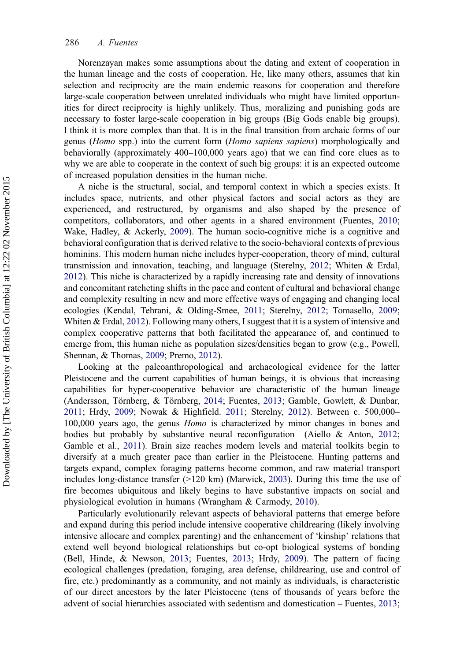Norenzayan makes some assumptions about the dating and extent of cooperation in the human lineage and the costs of cooperation. He, like many others, assumes that kin selection and reciprocity are the main endemic reasons for cooperation and therefore large-scale cooperation between unrelated individuals who might have limited opportunities for direct reciprocity is highly unlikely. Thus, moralizing and punishing gods are necessary to foster large-scale cooperation in big groups (Big Gods enable big groups). I think it is more complex than that. It is in the final transition from archaic forms of our genus (Homo spp.) into the current form (Homo sapiens sapiens) morphologically and behaviorally (approximately 400–100,000 years ago) that we can find core clues as to why we are able to cooperate in the context of such big groups: it is an expected outcome of increased population densities in the human niche.

A niche is the structural, social, and temporal context in which a species exists. It includes space, nutrients, and other physical factors and social actors as they are experienced, and restructured, by organisms and also shaped by the presence of competitors, collaborators, and other agents in a shared environment (Fuentes, [2010](#page-24-0); Wake, Hadley, & Ackerly, [2009\)](#page-24-0). The human socio-cognitive niche is a cognitive and behavioral configuration that is derived relative to the socio-behavioral contexts of previous hominins. This modern human niche includes hyper-cooperation, theory of mind, cultural transmission and innovation, teaching, and language (Sterelny, [2012;](#page-24-0) Whiten & Erdal, [2012\)](#page-25-0). This niche is characterized by a rapidly increasing rate and density of innovations and concomitant ratcheting shifts in the pace and content of cultural and behavioral change and complexity resulting in new and more effective ways of engaging and changing local ecologies (Kendal, Tehrani, & Olding-Smee, [2011](#page-24-0); Sterelny, [2012](#page-24-0); Tomasello, [2009](#page-24-0); Whiten  $&$  Erdal, [2012\)](#page-25-0). Following many others, I suggest that it is a system of intensive and complex cooperative patterns that both facilitated the appearance of, and continued to emerge from, this human niche as population sizes/densities began to grow (e.g., Powell, Shennan, & Thomas, [2009;](#page-24-0) Premo, [2012](#page-24-0)).

Looking at the paleoanthropological and archaeological evidence for the latter Pleistocene and the current capabilities of human beings, it is obvious that increasing capabilities for hyper-cooperative behavior are characteristic of the human lineage (Andersson, Törnberg, & Törnberg, [2014;](#page-24-0) Fuentes, [2013](#page-24-0); Gamble, Gowlett, & Dunbar, [2011;](#page-24-0) Hrdy, [2009;](#page-24-0) Nowak & Highfield. [2011;](#page-24-0) Sterelny, [2012](#page-24-0)). Between c. 500,000– 100,000 years ago, the genus Homo is characterized by minor changes in bones and bodies but probably by substantive neural reconfiguration (Aiello & Anton, [2012](#page-23-0); Gamble et al., [2011\)](#page-24-0). Brain size reaches modern levels and material toolkits begin to diversify at a much greater pace than earlier in the Pleistocene. Hunting patterns and targets expand, complex foraging patterns become common, and raw material transport includes long-distance transfer (>120 km) (Marwick, [2003\)](#page-24-0). During this time the use of fire becomes ubiquitous and likely begins to have substantive impacts on social and physiological evolution in humans (Wrangham & Carmody, [2010\)](#page-25-0).

Particularly evolutionarily relevant aspects of behavioral patterns that emerge before and expand during this period include intensive cooperative childrearing (likely involving intensive allocare and complex parenting) and the enhancement of 'kinship' relations that extend well beyond biological relationships but co-opt biological systems of bonding (Bell, Hinde, & Newson, [2013;](#page-24-0) Fuentes, [2013](#page-24-0); Hrdy, [2009\)](#page-24-0). The pattern of facing ecological challenges (predation, foraging, area defense, childrearing, use and control of fire, etc.) predominantly as a community, and not mainly as individuals, is characteristic of our direct ancestors by the later Pleistocene (tens of thousands of years before the advent of social hierarchies associated with sedentism and domestication – Fuentes, [2013](#page-24-0);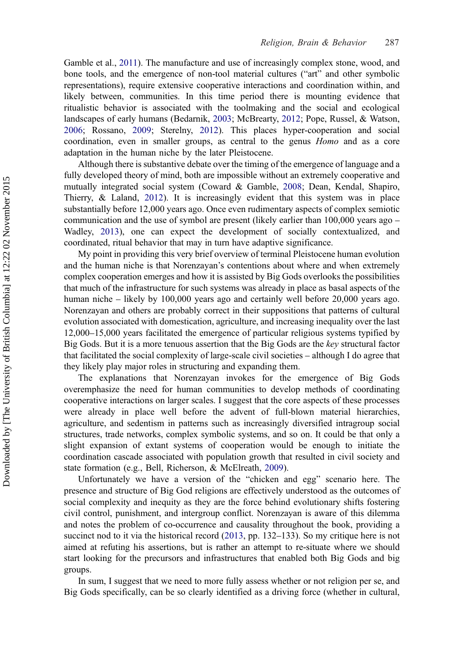Gamble et al., [2011](#page-24-0)). The manufacture and use of increasingly complex stone, wood, and bone tools, and the emergence of non-tool material cultures ("art" and other symbolic representations), require extensive cooperative interactions and coordination within, and likely between, communities. In this time period there is mounting evidence that ritualistic behavior is associated with the toolmaking and the social and ecological landscapes of early humans (Bedarnik, [2003](#page-24-0); McBrearty, [2012;](#page-24-0) Pope, Russel, & Watson, [2006;](#page-24-0) Rossano, [2009;](#page-24-0) Sterelny, [2012](#page-24-0)). This places hyper-cooperation and social coordination, even in smaller groups, as central to the genus Homo and as a core adaptation in the human niche by the later Pleistocene.

Although there is substantive debate over the timing of the emergence of language and a fully developed theory of mind, both are impossible without an extremely cooperative and mutually integrated social system (Coward & Gamble, [2008](#page-24-0); Dean, Kendal, Shapiro, Thierry, & Laland, [2012\)](#page-24-0). It is increasingly evident that this system was in place substantially before 12,000 years ago. Once even rudimentary aspects of complex semiotic communication and the use of symbol are present (likely earlier than 100,000 years ago – Wadley, [2013\)](#page-24-0), one can expect the development of socially contextualized, and coordinated, ritual behavior that may in turn have adaptive significance.

My point in providing this very brief overview of terminal Pleistocene human evolution and the human niche is that Norenzayan's contentions about where and when extremely complex cooperation emerges and how it is assisted by Big Gods overlooks the possibilities that much of the infrastructure for such systems was already in place as basal aspects of the human niche – likely by 100,000 years ago and certainly well before 20,000 years ago. Norenzayan and others are probably correct in their suppositions that patterns of cultural evolution associated with domestication, agriculture, and increasing inequality over the last 12,000–15,000 years facilitated the emergence of particular religious systems typified by Big Gods. But it is a more tenuous assertion that the Big Gods are the key structural factor that facilitated the social complexity of large-scale civil societies – although I do agree that they likely play major roles in structuring and expanding them.

The explanations that Norenzayan invokes for the emergence of Big Gods overemphasize the need for human communities to develop methods of coordinating cooperative interactions on larger scales. I suggest that the core aspects of these processes were already in place well before the advent of full-blown material hierarchies, agriculture, and sedentism in patterns such as increasingly diversified intragroup social structures, trade networks, complex symbolic systems, and so on. It could be that only a slight expansion of extant systems of cooperation would be enough to initiate the coordination cascade associated with population growth that resulted in civil society and state formation (e.g., Bell, Richerson, & McElreath, [2009](#page-24-0)).

Unfortunately we have a version of the "chicken and egg" scenario here. The presence and structure of Big God religions are effectively understood as the outcomes of social complexity and inequity as they are the force behind evolutionary shifts fostering civil control, punishment, and intergroup conflict. Norenzayan is aware of this dilemma and notes the problem of co-occurrence and causality throughout the book, providing a succinct nod to it via the historical record ([2013,](#page-24-0) pp. 132–133). So my critique here is not aimed at refuting his assertions, but is rather an attempt to re-situate where we should start looking for the precursors and infrastructures that enabled both Big Gods and big groups.

In sum, I suggest that we need to more fully assess whether or not religion per se, and Big Gods specifically, can be so clearly identified as a driving force (whether in cultural,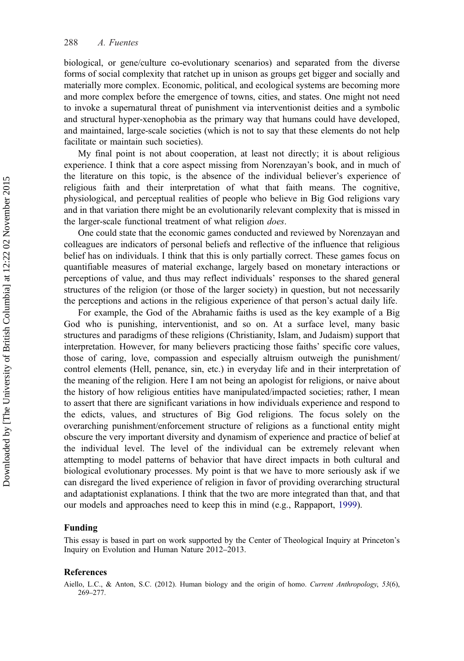<span id="page-23-0"></span>biological, or gene/culture co-evolutionary scenarios) and separated from the diverse forms of social complexity that ratchet up in unison as groups get bigger and socially and materially more complex. Economic, political, and ecological systems are becoming more and more complex before the emergence of towns, cities, and states. One might not need to invoke a supernatural threat of punishment via interventionist deities and a symbolic and structural hyper-xenophobia as the primary way that humans could have developed, and maintained, large-scale societies (which is not to say that these elements do not help facilitate or maintain such societies).

My final point is not about cooperation, at least not directly; it is about religious experience. I think that a core aspect missing from Norenzayan's book, and in much of the literature on this topic, is the absence of the individual believer's experience of religious faith and their interpretation of what that faith means. The cognitive, physiological, and perceptual realities of people who believe in Big God religions vary and in that variation there might be an evolutionarily relevant complexity that is missed in the larger-scale functional treatment of what religion does.

One could state that the economic games conducted and reviewed by Norenzayan and colleagues are indicators of personal beliefs and reflective of the influence that religious belief has on individuals. I think that this is only partially correct. These games focus on quantifiable measures of material exchange, largely based on monetary interactions or perceptions of value, and thus may reflect individuals' responses to the shared general structures of the religion (or those of the larger society) in question, but not necessarily the perceptions and actions in the religious experience of that person's actual daily life.

For example, the God of the Abrahamic faiths is used as the key example of a Big God who is punishing, interventionist, and so on. At a surface level, many basic structures and paradigms of these religions (Christianity, Islam, and Judaism) support that interpretation. However, for many believers practicing those faiths' specific core values, those of caring, love, compassion and especially altruism outweigh the punishment/ control elements (Hell, penance, sin, etc.) in everyday life and in their interpretation of the meaning of the religion. Here I am not being an apologist for religions, or naive about the history of how religious entities have manipulated/impacted societies; rather, I mean to assert that there are significant variations in how individuals experience and respond to the edicts, values, and structures of Big God religions. The focus solely on the overarching punishment/enforcement structure of religions as a functional entity might obscure the very important diversity and dynamism of experience and practice of belief at the individual level. The level of the individual can be extremely relevant when attempting to model patterns of behavior that have direct impacts in both cultural and biological evolutionary processes. My point is that we have to more seriously ask if we can disregard the lived experience of religion in favor of providing overarching structural and adaptationist explanations. I think that the two are more integrated than that, and that our models and approaches need to keep this in mind (e.g., Rappaport, [1999\)](#page-24-0).

#### Funding

This essay is based in part on work supported by the Center of Theological Inquiry at Princeton's Inquiry on Evolution and Human Nature 2012–2013.

#### References

Aiello, L.C., & Anton, S.C. (2012). Human biology and the origin of homo. Current Anthropology, 53(6), 269–277.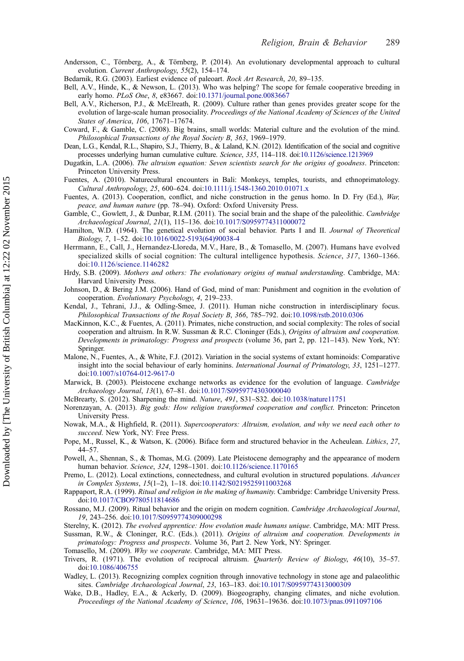- <span id="page-24-0"></span>Andersson, C., Törnberg, A., & Törnberg, P. (2014). An evolutionary developmental approach to cultural evolution. Current Anthropology, 55(2), 154–174.
- Bedarnik, R.G. (2003). Earliest evidence of paleoart. Rock Art Research, 20, 89–135.
- Bell, A.V., Hinde, K., & Newson, L. (2013). Who was helping? The scope for female cooperative breeding in early homo. PLoS One, 8, e83667. doi[:10.1371/journal.pone.0083667](http://dx.doi.org/10.1371/journal.pone.0083667)
- Bell, A.V., Richerson, P.J., & McElreath, R. (2009). Culture rather than genes provides greater scope for the evolution of large-scale human prosociality. Proceedings of the National Academy of Sciences of the United States of America, 106, 17671–17674.
- Coward, F., & Gamble, C. (2008). Big brains, small worlds: Material culture and the evolution of the mind. Philosophical Transactions of the Royal Society B, 363, 1969–1979.
- Dean, L.G., Kendal, R.L., Shapiro, S.J., Thierry, B., & Laland, K.N. (2012). Identification of the social and cognitive processes underlying human cumulative culture. Science, 335, 114–118. doi:[10.1126/science.1213969](http://dx.doi.org/10.1126/science.1213969)
- Dugatkin, L.A. (2006). The altruism equation: Seven scientists search for the origins of goodness. Princeton: Princeton University Press.
- Fuentes, A. (2010). Naturecultural encounters in Bali: Monkeys, temples, tourists, and ethnoprimatology. Cultural Anthropology, 25, 600–624. doi[:10.1111/j.1548-1360.2010.01071.x](http://dx.doi.org/10.1111/j.1548-1360.2010.01071.x)
- Fuentes, A. (2013). Cooperation, conflict, and niche construction in the genus homo. In D. Fry (Ed.), War, peace, and human nature (pp. 78–94). Oxford: Oxford University Press.
- Gamble, C., Gowlett, J., & Dunbar, R.I.M. (2011). The social brain and the shape of the paleolithic. Cambridge Archaeological Journal, 21(1), 115–136. doi[:10.1017/S0959774311000072](http://dx.doi.org/10.1017/S0959774311000072)
- Hamilton, W.D. (1964). The genetical evolution of social behavior. Parts I and II. Journal of Theoretical Biology, 7, 1–52. doi[:10.1016/0022-5193\(64\)90038-4](http://dx.doi.org/10.1016/0022-5193(64)90038-4)
- Herrmann, E., Call, J., Hernandez-Lloreda, M.V., Hare, B., & Tomasello, M. (2007). Humans have evolved specialized skills of social cognition: The cultural intelligence hypothesis. Science, 317, 1360–1366. doi:[10.1126/science.1146282](http://dx.doi.org/10.1126/science.1146282)
- Hrdy, S.B. (2009). Mothers and others: The evolutionary origins of mutual understanding. Cambridge, MA: Harvard University Press.
- Johnson, D., & Bering J.M. (2006). Hand of God, mind of man: Punishment and cognition in the evolution of cooperation. Evolutionary Psychology, 4, 219–233.
- Kendal, J., Tehrani, J.J., & Odling-Smee, J. (2011). Human niche construction in interdisciplinary focus. Philosophical Transactions of the Royal Society B, 366, 785–792. doi[:10.1098/rstb.2010.0306](http://dx.doi.org/10.1098/rstb.2010.0306)
- MacKinnon, K.C., & Fuentes, A. (2011). Primates, niche construction, and social complexity: The roles of social cooperation and altruism. In R.W. Sussman & R.C. Cloninger (Eds.), Origins of altruism and cooperation. Developments in primatology: Progress and prospects (volume 36, part 2, pp. 121–143). New York, NY: Springer.
- Malone, N., Fuentes, A., & White, F.J. (2012). Variation in the social systems of extant hominoids: Comparative insight into the social behaviour of early hominins. International Journal of Primatology, 33, 1251–1277. doi[:10.1007/s10764-012-9617-0](http://dx.doi.org/10.1007/s10764-012-9617-0)
- Marwick, B. (2003). Pleistocene exchange networks as evidence for the evolution of language. Cambridge Archaeology Journal, 13(1), 67–81. doi[:10.1017/S0959774303000040](http://dx.doi.org/10.1017/S0959774303000040)
- McBrearty, S. (2012). Sharpening the mind. Nature, 491, S31–S32. doi[:10.1038/nature11751](http://dx.doi.org/10.1038/nature11751)
- Norenzayan, A. (2013). Big gods: How religion transformed cooperation and conflict. Princeton: Princeton University Press.
- Nowak, M.A., & Highfield, R. (2011). Supercooperators: Altruism, evolution, and why we need each other to succeed. New York, NY: Free Press.
- Pope, M., Russel, K., & Watson, K. (2006). Biface form and structured behavior in the Acheulean. Lithics, 27, 44–57.
- Powell, A., Shennan, S., & Thomas, M.G. (2009). Late Pleistocene demography and the appearance of modern human behavior. Science, 324, 1298–1301. doi:[10.1126/science.1170165](http://dx.doi.org/10.1126/science.1170165)
- Premo, L. (2012). Local extinctions, connectedness, and cultural evolution in structured populations. Advances in Complex Systems, 15(1–2), 1–18. doi[:10.1142/S0219525911003268](http://dx.doi.org/10.1142/S0219525911003268)
- Rappaport, R.A. (1999). Ritual and religion in the making of humanity. Cambridge: Cambridge University Press. doi[:10.1017/CBO9780511814686](http://dx.doi.org/10.1017/CBO9780511814686)
- Rossano, M.J. (2009). Ritual behavior and the origin on modern cognition. Cambridge Archaeological Journal. 19, 243–256. doi[:10.1017/S0959774309000298](http://dx.doi.org/10.1017/S0959774309000298)
- Sterelny, K. (2012). The evolved apprentice: How evolution made humans unique. Cambridge, MA: MIT Press.
- Sussman, R.W., & Cloninger, R.C. (Eds.). (2011). Origins of altruism and cooperation. Developments in primatology: Progress and prospects. Volume 36, Part 2. New York, NY: Springer.
- Tomasello, M. (2009). Why we cooperate. Cambridge, MA: MIT Press.
- Trivers, R. (1971). The evolution of reciprocal altruism. Quarterly Review of Biology, 46(10), 35–57. doi[:10.1086/406755](http://dx.doi.org/10.1086/406755)
- Wadley, L. (2013). Recognizing complex cognition through innovative technology in stone age and palaeolithic sites. Cambridge Archaeological Journal, 23, 163–183. doi[:10.1017/S0959774313000309](http://dx.doi.org/10.1017/S0959774313000309)
- Wake, D.B., Hadley, E.A., & Ackerly, D. (2009). Biogeography, changing climates, and niche evolution. Proceedings of the National Academy of Science, 106, 19631–19636. doi[:10.1073/pnas.0911097106](http://dx.doi.org/10.1073/pnas.0911097106)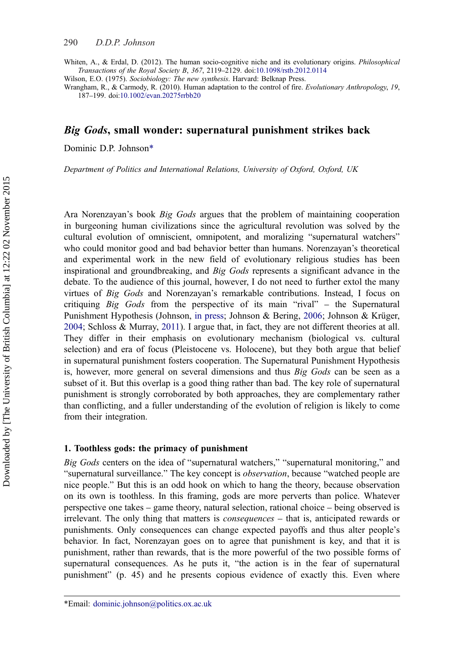<span id="page-25-0"></span>Whiten, A., & Erdal, D. (2012). The human socio-cognitive niche and its evolutionary origins. *Philosophical* Transactions of the Royal Society B, 367, 2119–2129. doi[:10.1098/rstb.2012.0114](http://dx.doi.org/10.1098/rstb.2012.0114)

Wilson, E.O. (1975). Sociobiology: The new synthesis. Harvard: Belknap Press.

Wrangham, R., & Carmody, R. (2010). Human adaptation to the control of fire. Evolutionary Anthropology, 19, 187–199. doi:[10.1002/evan.20275rrbb20](http://dx.doi.org/10.1002/evan.20275)

## Big Gods, small wonder: supernatural punishment strikes back

Dominic D.P. Johnson[\\*](#page-1-0)

Department of Politics and International Relations, University of Oxford, Oxford, UK

Ara Norenzayan's book Big Gods argues that the problem of maintaining cooperation in burgeoning human civilizations since the agricultural revolution was solved by the cultural evolution of omniscient, omnipotent, and moralizing "supernatural watchers" who could monitor good and bad behavior better than humans. Norenzayan's theoretical and experimental work in the new field of evolutionary religious studies has been inspirational and groundbreaking, and Big Gods represents a significant advance in the debate. To the audience of this journal, however, I do not need to further extol the many virtues of Big Gods and Norenzayan's remarkable contributions. Instead, I focus on critiquing  $Big Gods$  from the perspective of its main "rival" – the Supernatural Punishment Hypothesis (Johnson, [in press](#page-32-0); Johnson & Bering, [2006;](#page-32-0) Johnson & Krüger, [2004;](#page-32-0) Schloss & Murray, [2011](#page-32-0)). I argue that, in fact, they are not different theories at all. They differ in their emphasis on evolutionary mechanism (biological vs. cultural selection) and era of focus (Pleistocene vs. Holocene), but they both argue that belief in supernatural punishment fosters cooperation. The Supernatural Punishment Hypothesis is, however, more general on several dimensions and thus *Big Gods* can be seen as a subset of it. But this overlap is a good thing rather than bad. The key role of supernatural punishment is strongly corroborated by both approaches, they are complementary rather than conflicting, and a fuller understanding of the evolution of religion is likely to come from their integration.

#### 1. Toothless gods: the primacy of punishment

Big Gods centers on the idea of "supernatural watchers," "supernatural monitoring," and "supernatural surveillance." The key concept is *observation*, because "watched people are nice people." But this is an odd hook on which to hang the theory, because observation on its own is toothless. In this framing, gods are more perverts than police. Whatever perspective one takes – game theory, natural selection, rational choice – being observed is irrelevant. The only thing that matters is consequences – that is, anticipated rewards or punishments. Only consequences can change expected payoffs and thus alter people's behavior. In fact, Norenzayan goes on to agree that punishment is key, and that it is punishment, rather than rewards, that is the more powerful of the two possible forms of supernatural consequences. As he puts it, "the action is in the fear of supernatural punishment" (p. 45) and he presents copious evidence of exactly this. Even where

<sup>\*</sup>Email: [dominic.johnson@politics.ox.ac.uk](mailto:dominic.johnson@politics.ox.ac.uk)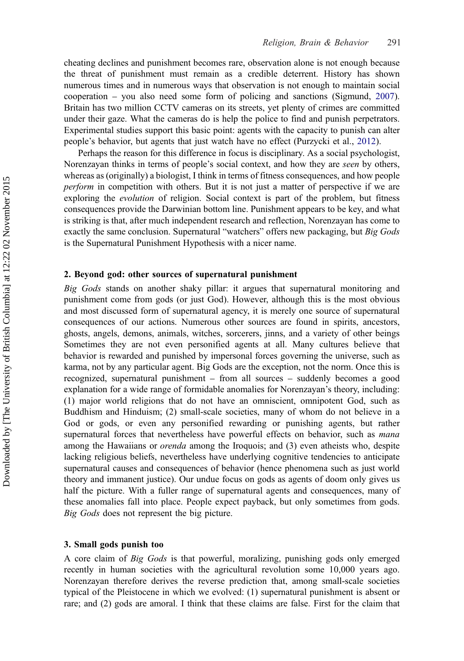cheating declines and punishment becomes rare, observation alone is not enough because the threat of punishment must remain as a credible deterrent. History has shown numerous times and in numerous ways that observation is not enough to maintain social cooperation – you also need some form of policing and sanctions (Sigmund, [2007](#page-32-0)). Britain has two million CCTV cameras on its streets, yet plenty of crimes are committed under their gaze. What the cameras do is help the police to find and punish perpetrators. Experimental studies support this basic point: agents with the capacity to punish can alter people's behavior, but agents that just watch have no effect (Purzycki et al., [2012\)](#page-32-0).

Perhaps the reason for this difference in focus is disciplinary. As a social psychologist, Norenzayan thinks in terms of people's social context, and how they are seen by others, whereas as (originally) a biologist, I think in terms of fitness consequences, and how people perform in competition with others. But it is not just a matter of perspective if we are exploring the *evolution* of religion. Social context is part of the problem, but fitness consequences provide the Darwinian bottom line. Punishment appears to be key, and what is striking is that, after much independent research and reflection, Norenzayan has come to exactly the same conclusion. Supernatural "watchers" offers new packaging, but Big Gods is the Supernatural Punishment Hypothesis with a nicer name.

#### 2. Beyond god: other sources of supernatural punishment

Big Gods stands on another shaky pillar: it argues that supernatural monitoring and punishment come from gods (or just God). However, although this is the most obvious and most discussed form of supernatural agency, it is merely one source of supernatural consequences of our actions. Numerous other sources are found in spirits, ancestors, ghosts, angels, demons, animals, witches, sorcerers, jinns, and a variety of other beings Sometimes they are not even personified agents at all. Many cultures believe that behavior is rewarded and punished by impersonal forces governing the universe, such as karma, not by any particular agent. Big Gods are the exception, not the norm. Once this is recognized, supernatural punishment – from all sources – suddenly becomes a good explanation for a wide range of formidable anomalies for Norenzayan's theory, including: (1) major world religions that do not have an omniscient, omnipotent God, such as Buddhism and Hinduism; (2) small-scale societies, many of whom do not believe in a God or gods, or even any personified rewarding or punishing agents, but rather supernatural forces that nevertheless have powerful effects on behavior, such as *mana* among the Hawaiians or *orenda* among the Iroquois; and (3) even atheists who, despite lacking religious beliefs, nevertheless have underlying cognitive tendencies to anticipate supernatural causes and consequences of behavior (hence phenomena such as just world theory and immanent justice). Our undue focus on gods as agents of doom only gives us half the picture. With a fuller range of supernatural agents and consequences, many of these anomalies fall into place. People expect payback, but only sometimes from gods. Big Gods does not represent the big picture.

#### 3. Small gods punish too

A core claim of Big Gods is that powerful, moralizing, punishing gods only emerged recently in human societies with the agricultural revolution some 10,000 years ago. Norenzayan therefore derives the reverse prediction that, among small-scale societies typical of the Pleistocene in which we evolved: (1) supernatural punishment is absent or rare; and (2) gods are amoral. I think that these claims are false. First for the claim that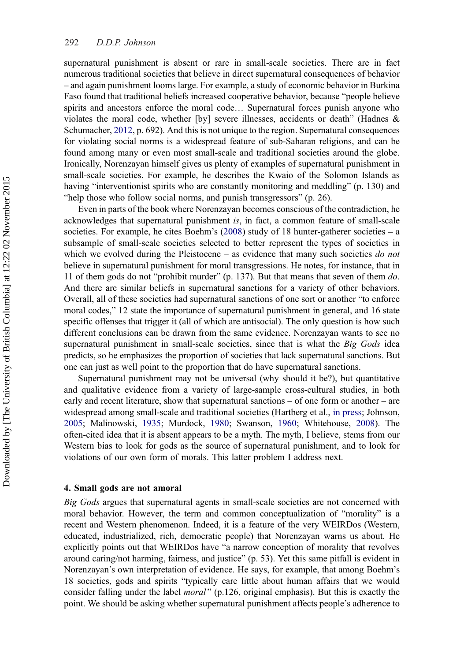supernatural punishment is absent or rare in small-scale societies. There are in fact numerous traditional societies that believe in direct supernatural consequences of behavior – and again punishment looms large. For example, a study of economic behavior in Burkina Faso found that traditional beliefs increased cooperative behavior, because "people believe spirits and ancestors enforce the moral code… Supernatural forces punish anyone who violates the moral code, whether [by] severe illnesses, accidents or death" (Hadnes & Schumacher, [2012,](#page-32-0) p. 692). And this is not unique to the region. Supernatural consequences for violating social norms is a widespread feature of sub-Saharan religions, and can be found among many or even most small-scale and traditional societies around the globe. Ironically, Norenzayan himself gives us plenty of examples of supernatural punishment in small-scale societies. For example, he describes the Kwaio of the Solomon Islands as having "interventionist spirits who are constantly monitoring and meddling" (p. 130) and "help those who follow social norms, and punish transgressors" (p. 26).

Even in parts of the book where Norenzayan becomes conscious of the contradiction, he acknowledges that supernatural punishment is, in fact, a common feature of small-scale societies. For example, he cites Boehm's ([2008\)](#page-32-0) study of 18 hunter-gatherer societies – a subsample of small-scale societies selected to better represent the types of societies in which we evolved during the Pleistocene – as evidence that many such societies do not believe in supernatural punishment for moral transgressions. He notes, for instance, that in 11 of them gods do not "prohibit murder" (p. 137). But that means that seven of them  $do$ . And there are similar beliefs in supernatural sanctions for a variety of other behaviors. Overall, all of these societies had supernatural sanctions of one sort or another "to enforce moral codes," 12 state the importance of supernatural punishment in general, and 16 state specific offenses that trigger it (all of which are antisocial). The only question is how such different conclusions can be drawn from the same evidence. Norenzayan wants to see no supernatural punishment in small-scale societies, since that is what the Big Gods idea predicts, so he emphasizes the proportion of societies that lack supernatural sanctions. But one can just as well point to the proportion that do have supernatural sanctions.

Supernatural punishment may not be universal (why should it be?), but quantitative and qualitative evidence from a variety of large-sample cross-cultural studies, in both early and recent literature, show that supernatural sanctions – of one form or another – are widespread among small-scale and traditional societies (Hartberg et al., [in press;](#page-32-0) Johnson, [2005;](#page-32-0) Malinowski, [1935](#page-32-0); Murdock, [1980;](#page-32-0) Swanson, [1960](#page-32-0); Whitehouse, [2008\)](#page-33-0). The often-cited idea that it is absent appears to be a myth. The myth, I believe, stems from our Western bias to look for gods as the source of supernatural punishment, and to look for violations of our own form of morals. This latter problem I address next.

#### 4. Small gods are not amoral

Big Gods argues that supernatural agents in small-scale societies are not concerned with moral behavior. However, the term and common conceptualization of "morality" is a recent and Western phenomenon. Indeed, it is a feature of the very WEIRDos (Western, educated, industrialized, rich, democratic people) that Norenzayan warns us about. He explicitly points out that WEIRDos have "a narrow conception of morality that revolves around caring/not harming, fairness, and justice" (p. 53). Yet this same pitfall is evident in Norenzayan's own interpretation of evidence. He says, for example, that among Boehm's 18 societies, gods and spirits "typically care little about human affairs that we would consider falling under the label *moral*" (p.126, original emphasis). But this is exactly the point. We should be asking whether supernatural punishment affects people's adherence to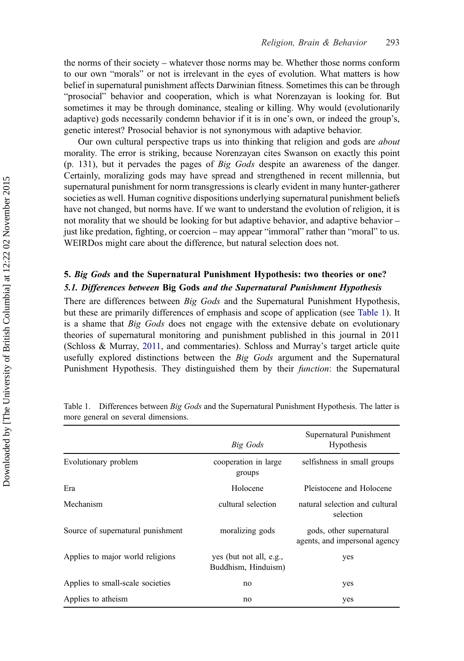the norms of their society – whatever those norms may be. Whether those norms conform to our own "morals" or not is irrelevant in the eyes of evolution. What matters is how belief in supernatural punishment affects Darwinian fitness. Sometimes this can be through "prosocial" behavior and cooperation, which is what Norenzayan is looking for. But sometimes it may be through dominance, stealing or killing. Why would (evolutionarily adaptive) gods necessarily condemn behavior if it is in one's own, or indeed the group's, genetic interest? Prosocial behavior is not synonymous with adaptive behavior.

Our own cultural perspective traps us into thinking that religion and gods are about morality. The error is striking, because Norenzayan cites Swanson on exactly this point (p. 131), but it pervades the pages of Big Gods despite an awareness of the danger. Certainly, moralizing gods may have spread and strengthened in recent millennia, but supernatural punishment for norm transgressions is clearly evident in many hunter-gatherer societies as well. Human cognitive dispositions underlying supernatural punishment beliefs have not changed, but norms have. If we want to understand the evolution of religion, it is not morality that we should be looking for but adaptive behavior, and adaptive behavior – just like predation, fighting, or coercion – may appear "immoral" rather than "moral" to us. WEIRDos might care about the difference, but natural selection does not.

# 5. Big Gods and the Supernatural Punishment Hypothesis: two theories or one? 5.1. Differences between Big Gods and the Supernatural Punishment Hypothesis

There are differences between *Big Gods* and the Supernatural Punishment Hypothesis, but these are primarily differences of emphasis and scope of application (see Table 1). It is a shame that Big Gods does not engage with the extensive debate on evolutionary theories of supernatural monitoring and punishment published in this journal in 2011 (Schloss & Murray, [2011](#page-32-0), and commentaries). Schloss and Murray's target article quite usefully explored distinctions between the Big Gods argument and the Supernatural Punishment Hypothesis. They distinguished them by their *function*: the Supernatural

|                                   | Big Gods                                       | Supernatural Punishment<br>Hypothesis                     |
|-----------------------------------|------------------------------------------------|-----------------------------------------------------------|
| Evolutionary problem              | cooperation in large<br>groups                 | selfishness in small groups                               |
| Era                               | Holocene                                       | Pleistocene and Holocene                                  |
| Mechanism                         | cultural selection                             | natural selection and cultural<br>selection               |
| Source of supernatural punishment | moralizing gods                                | gods, other supernatural<br>agents, and impersonal agency |
| Applies to major world religions  | yes (but not all, e.g.,<br>Buddhism, Hinduism) | yes                                                       |
| Applies to small-scale societies  | no                                             | yes                                                       |
| Applies to atheism                | no                                             | yes                                                       |

Table 1. Differences between Big Gods and the Supernatural Punishment Hypothesis. The latter is more general on several dimensions.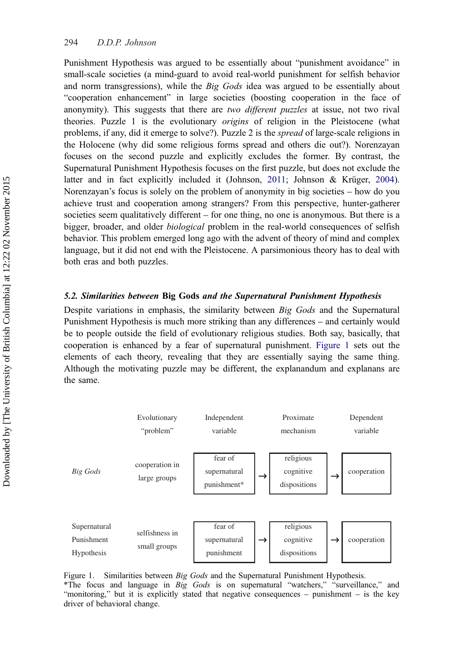Punishment Hypothesis was argued to be essentially about "punishment avoidance" in small-scale societies (a mind-guard to avoid real-world punishment for selfish behavior and norm transgressions), while the Big Gods idea was argued to be essentially about "cooperation enhancement" in large societies (boosting cooperation in the face of anonymity). This suggests that there are two different puzzles at issue, not two rival theories. Puzzle 1 is the evolutionary origins of religion in the Pleistocene (what problems, if any, did it emerge to solve?). Puzzle 2 is the spread of large-scale religions in the Holocene (why did some religious forms spread and others die out?). Norenzayan focuses on the second puzzle and explicitly excludes the former. By contrast, the Supernatural Punishment Hypothesis focuses on the first puzzle, but does not exclude the latter and in fact explicitly included it (Johnson, [2011](#page-32-0); Johnson & Krüger, [2004](#page-32-0)). Norenzayan's focus is solely on the problem of anonymity in big societies – how do you achieve trust and cooperation among strangers? From this perspective, hunter-gatherer societies seem qualitatively different – for one thing, no one is anonymous. But there is a bigger, broader, and older *biological* problem in the real-world consequences of selfish behavior. This problem emerged long ago with the advent of theory of mind and complex language, but it did not end with the Pleistocene. A parsimonious theory has to deal with both eras and both puzzles.

### 5.2. Similarities between Big Gods and the Supernatural Punishment Hypothesis

Despite variations in emphasis, the similarity between Big Gods and the Supernatural Punishment Hypothesis is much more striking than any differences – and certainly would be to people outside the field of evolutionary religious studies. Both say, basically, that cooperation is enhanced by a fear of supernatural punishment. Figure 1 sets out the elements of each theory, revealing that they are essentially saying the same thing. Although the motivating puzzle may be different, the explanandum and explanans are the same.



Figure 1. Similarities between Big Gods and the Supernatural Punishment Hypothesis. \*The focus and language in Big Gods is on supernatural "watchers," "surveillance," and "monitoring," but it is explicitly stated that negative consequences – punishment – is the key driver of behavioral change.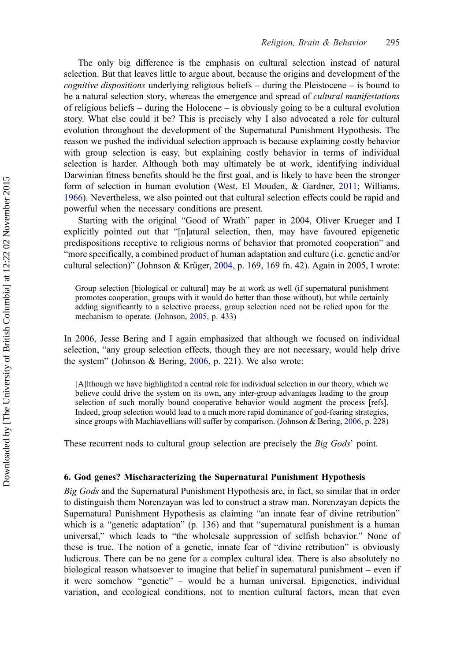The only big difference is the emphasis on cultural selection instead of natural selection. But that leaves little to argue about, because the origins and development of the cognitive dispositions underlying religious beliefs – during the Pleistocene – is bound to be a natural selection story, whereas the emergence and spread of *cultural manifestations* of religious beliefs – during the Holocene – is obviously going to be a cultural evolution story. What else could it be? This is precisely why I also advocated a role for cultural evolution throughout the development of the Supernatural Punishment Hypothesis. The reason we pushed the individual selection approach is because explaining costly behavior with group selection is easy, but explaining costly behavior in terms of individual selection is harder. Although both may ultimately be at work, identifying individual Darwinian fitness benefits should be the first goal, and is likely to have been the stronger form of selection in human evolution (West, El Mouden, & Gardner, [2011](#page-32-0); Williams, [1966\)](#page-33-0). Nevertheless, we also pointed out that cultural selection effects could be rapid and powerful when the necessary conditions are present.

Starting with the original "Good of Wrath" paper in 2004, Oliver Krueger and I explicitly pointed out that "[n]atural selection, then, may have favoured epigenetic predispositions receptive to religious norms of behavior that promoted cooperation" and "more specifically, a combined product of human adaptation and culture (i.e. genetic and/or cultural selection)" (Johnson & Krüger, [2004](#page-32-0), p. 169, 169 fn. 42). Again in 2005, I wrote:

Group selection [biological or cultural] may be at work as well (if supernatural punishment promotes cooperation, groups with it would do better than those without), but while certainly adding significantly to a selective process, group selection need not be relied upon for the mechanism to operate. (Johnson, [2005,](#page-32-0) p. 433)

In 2006, Jesse Bering and I again emphasized that although we focused on individual selection, "any group selection effects, though they are not necessary, would help drive the system" (Johnson & Bering, [2006](#page-32-0), p. 221). We also wrote:

[A]lthough we have highlighted a central role for individual selection in our theory, which we believe could drive the system on its own, any inter-group advantages leading to the group selection of such morally bound cooperative behavior would augment the process [refs]. Indeed, group selection would lead to a much more rapid dominance of god-fearing strategies, since groups with Machiavellians will suffer by comparison. (Johnson & Bering, [2006](#page-32-0), p. 228)

These recurrent nods to cultural group selection are precisely the Big Gods' point.

## 6. God genes? Mischaracterizing the Supernatural Punishment Hypothesis

Big Gods and the Supernatural Punishment Hypothesis are, in fact, so similar that in order to distinguish them Norenzayan was led to construct a straw man. Norenzayan depicts the Supernatural Punishment Hypothesis as claiming "an innate fear of divine retribution" which is a "genetic adaptation" (p. 136) and that "supernatural punishment is a human universal," which leads to "the wholesale suppression of selfish behavior." None of these is true. The notion of a genetic, innate fear of "divine retribution" is obviously ludicrous. There can be no gene for a complex cultural idea. There is also absolutely no biological reason whatsoever to imagine that belief in supernatural punishment – even if it were somehow "genetic" – would be a human universal. Epigenetics, individual variation, and ecological conditions, not to mention cultural factors, mean that even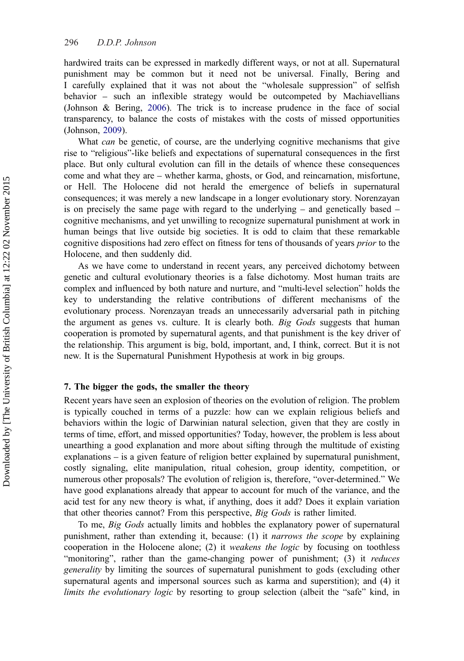hardwired traits can be expressed in markedly different ways, or not at all. Supernatural punishment may be common but it need not be universal. Finally, Bering and I carefully explained that it was not about the "wholesale suppression" of selfish behavior – such an inflexible strategy would be outcompeted by Machiavellians (Johnson & Bering, [2006](#page-32-0)). The trick is to increase prudence in the face of social transparency, to balance the costs of mistakes with the costs of missed opportunities (Johnson, [2009\)](#page-32-0).

What *can* be genetic, of course, are the underlying cognitive mechanisms that give rise to "religious"-like beliefs and expectations of supernatural consequences in the first place. But only cultural evolution can fill in the details of whence these consequences come and what they are – whether karma, ghosts, or God, and reincarnation, misfortune, or Hell. The Holocene did not herald the emergence of beliefs in supernatural consequences; it was merely a new landscape in a longer evolutionary story. Norenzayan is on precisely the same page with regard to the underlying – and genetically based – cognitive mechanisms, and yet unwilling to recognize supernatural punishment at work in human beings that live outside big societies. It is odd to claim that these remarkable cognitive dispositions had zero effect on fitness for tens of thousands of years *prior* to the Holocene, and then suddenly did.

As we have come to understand in recent years, any perceived dichotomy between genetic and cultural evolutionary theories is a false dichotomy. Most human traits are complex and influenced by both nature and nurture, and "multi-level selection" holds the key to understanding the relative contributions of different mechanisms of the evolutionary process. Norenzayan treads an unnecessarily adversarial path in pitching the argument as genes vs. culture. It is clearly both. Big Gods suggests that human cooperation is promoted by supernatural agents, and that punishment is the key driver of the relationship. This argument is big, bold, important, and, I think, correct. But it is not new. It is the Supernatural Punishment Hypothesis at work in big groups.

#### 7. The bigger the gods, the smaller the theory

Recent years have seen an explosion of theories on the evolution of religion. The problem is typically couched in terms of a puzzle: how can we explain religious beliefs and behaviors within the logic of Darwinian natural selection, given that they are costly in terms of time, effort, and missed opportunities? Today, however, the problem is less about unearthing a good explanation and more about sifting through the multitude of existing explanations – is a given feature of religion better explained by supernatural punishment, costly signaling, elite manipulation, ritual cohesion, group identity, competition, or numerous other proposals? The evolution of religion is, therefore, "over-determined." We have good explanations already that appear to account for much of the variance, and the acid test for any new theory is what, if anything, does it add? Does it explain variation that other theories cannot? From this perspective, Big Gods is rather limited.

To me, Big Gods actually limits and hobbles the explanatory power of supernatural punishment, rather than extending it, because: (1) it narrows the scope by explaining cooperation in the Holocene alone; (2) it weakens the logic by focusing on toothless "monitoring", rather than the game-changing power of punishment; (3) it *reduces* generality by limiting the sources of supernatural punishment to gods (excluding other supernatural agents and impersonal sources such as karma and superstition); and (4) it limits the evolutionary logic by resorting to group selection (albeit the "safe" kind, in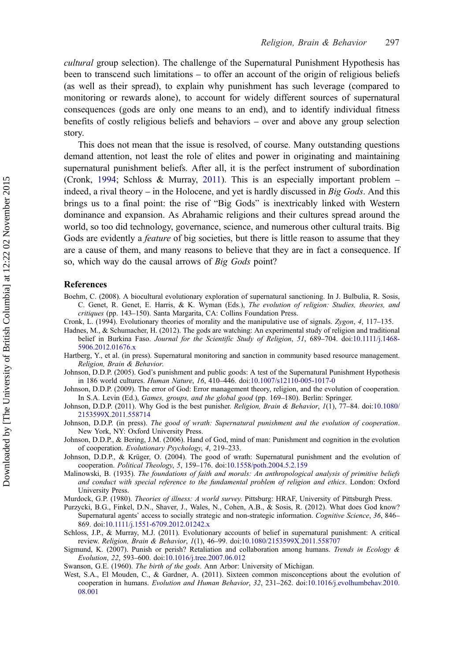<span id="page-32-0"></span>cultural group selection). The challenge of the Supernatural Punishment Hypothesis has been to transcend such limitations – to offer an account of the origin of religious beliefs (as well as their spread), to explain why punishment has such leverage (compared to monitoring or rewards alone), to account for widely different sources of supernatural consequences (gods are only one means to an end), and to identify individual fitness benefits of costly religious beliefs and behaviors – over and above any group selection story.

This does not mean that the issue is resolved, of course. Many outstanding questions demand attention, not least the role of elites and power in originating and maintaining supernatural punishment beliefs. After all, it is the perfect instrument of subordination (Cronk, 1994; Schloss & Murray, 2011). This is an especially important problem  $$ indeed, a rival theory – in the Holocene, and yet is hardly discussed in *Big Gods*. And this brings us to a final point: the rise of "Big Gods" is inextricably linked with Western dominance and expansion. As Abrahamic religions and their cultures spread around the world, so too did technology, governance, science, and numerous other cultural traits. Big Gods are evidently a *feature* of big societies, but there is little reason to assume that they are a cause of them, and many reasons to believe that they are in fact a consequence. If so, which way do the causal arrows of Big Gods point?

#### References

- Boehm, C. (2008). A biocultural evolutionary exploration of supernatural sanctioning. In J. Bulbulia, R. Sosis, C. Genet, R. Genet, E. Harris, & K. Wyman (Eds.), The evolution of religion: Studies, theories, and critiques (pp. 143–150). Santa Margarita, CA: Collins Foundation Press.
- Cronk, L. (1994). Evolutionary theories of morality and the manipulative use of signals. Zygon, 4, 117–135.
- Hadnes, M., & Schumacher, H. (2012). The gods are watching: An experimental study of religion and traditional belief in Burkina Faso. Journal for the Scientific Study of Religion, 51, 689-704. doi[:10.1111/j.1468-](http://dx.doi.org/10.1111/j.1468-5906.2012.01676.x) [5906.2012.01676.x](http://dx.doi.org/10.1111/j.1468-5906.2012.01676.x)
- Hartberg, Y., et al. (in press). Supernatural monitoring and sanction in community based resource management. Religion, Brain & Behavior.
- Johnson, D.D.P. (2005). God's punishment and public goods: A test of the Supernatural Punishment Hypothesis in 186 world cultures. Human Nature, 16, 410–446. doi[:10.1007/s12110-005-1017-0](http://dx.doi.org/10.1007/s12110-005-1017-0)
- Johnson, D.D.P. (2009). The error of God: Error management theory, religion, and the evolution of cooperation. In S.A. Levin (Ed.), Games, groups, and the global good (pp. 169–180). Berlin: Springer.
- Johnson, D.D.P. (2011). Why God is the best punisher. Religion, Brain & Behavior, 1(1), 77–84. doi[:10.1080/](http://dx.doi.org/10.1080/2153599X.2011.558714) [2153599X.2011.558714](http://dx.doi.org/10.1080/2153599X.2011.558714)
- Johnson, D.D.P. (in press). The good of wrath: Supernatural punishment and the evolution of cooperation. New York, NY: Oxford University Press.
- Johnson, D.D.P., & Bering, J.M. (2006). Hand of God, mind of man: Punishment and cognition in the evolution of cooperation. Evolutionary Psychology, 4, 219–233.
- Johnson, D.D.P., & Krüger, O. (2004). The good of wrath: Supernatural punishment and the evolution of cooperation. Political Theology, 5, 159–176. doi[:10.1558/poth.2004.5.2.159](http://dx.doi.org/10.1558/poth.2004.5.2.159)
- Malinowski, B. (1935). The foundations of faith and morals: An anthropological analysis of primitive beliefs and conduct with special reference to the fundamental problem of religion and ethics. London: Oxford University Press.
- Murdock, G.P. (1980). Theories of illness: A world survey. Pittsburg: HRAF, University of Pittsburgh Press.
- Purzycki, B.G., Finkel, D.N., Shaver, J., Wales, N., Cohen, A.B., & Sosis, R. (2012). What does God know? Supernatural agents' access to socially strategic and non-strategic information. Cognitive Science, 36, 846– 869. doi:[10.1111/j.1551-6709.2012.01242.x](http://dx.doi.org/10.1111/j.1551-6709.2012.01242.x)
- Schloss, J.P., & Murray, M.J. (2011). Evolutionary accounts of belief in supernatural punishment: A critical review. Religion, Brain & Behavior, 1(1), 46–99. doi:[10.1080/2153599X.2011.558707](http://dx.doi.org/10.1080/2153599X.2011.558707)
- Sigmund, K. (2007). Punish or perish? Retaliation and collaboration among humans. Trends in Ecology & Evolution, 22, 593–600. doi:[10.1016/j.tree.2007.06.012](http://dx.doi.org/10.1016/j.tree.2007.06.012)
- Swanson, G.E. (1960). The birth of the gods. Ann Arbor: University of Michigan.
- West, S.A., El Mouden, C., & Gardner, A. (2011). Sixteen common misconceptions about the evolution of cooperation in humans. Evolution and Human Behavior, 32, 231–262. doi[:10.1016/j.evolhumbehav.2010.](http://dx.doi.org/10.1016/j.evolhumbehav.2010.08.001) [08.001](http://dx.doi.org/10.1016/j.evolhumbehav.2010.08.001)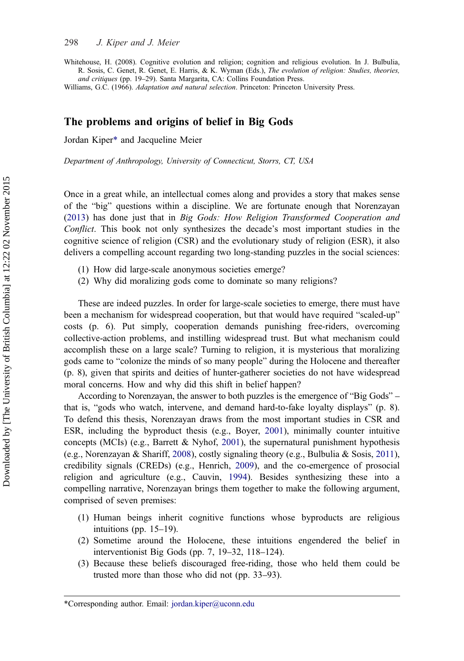<span id="page-33-0"></span>Whitehouse, H. (2008). Cognitive evolution and religion; cognition and religious evolution. In J. Bulbulia, R. Sosis, C. Genet, R. Genet, E. Harris, & K. Wyman (Eds.), The evolution of religion: Studies, theories, and critiques (pp. 19–29). Santa Margarita, CA: Collins Foundation Press.

Williams, G.C. (1966). Adaptation and natural selection. Princeton: Princeton University Press.

# The problems and origins of belief in Big Gods

Jordan Kipe[r\\*](#page-1-0) and Jacqueline Meier

Department of Anthropology, University of Connecticut, Storrs, CT, USA

Once in a great while, an intellectual comes along and provides a story that makes sense of the "big" questions within a discipline. We are fortunate enough that Norenzayan [\(2013](#page-39-0)) has done just that in Big Gods: How Religion Transformed Cooperation and Conflict. This book not only synthesizes the decade's most important studies in the cognitive science of religion (CSR) and the evolutionary study of religion (ESR), it also delivers a compelling account regarding two long-standing puzzles in the social sciences:

- (1) How did large-scale anonymous societies emerge?
- (2) Why did moralizing gods come to dominate so many religions?

These are indeed puzzles. In order for large-scale societies to emerge, there must have been a mechanism for widespread cooperation, but that would have required "scaled-up" costs (p. 6). Put simply, cooperation demands punishing free-riders, overcoming collective-action problems, and instilling widespread trust. But what mechanism could accomplish these on a large scale? Turning to religion, it is mysterious that moralizing gods came to "colonize the minds of so many people" during the Holocene and thereafter (p. 8), given that spirits and deities of hunter-gatherer societies do not have widespread moral concerns. How and why did this shift in belief happen?

According to Norenzayan, the answer to both puzzles is the emergence of "Big Gods" – that is, "gods who watch, intervene, and demand hard-to-fake loyalty displays" (p. 8). To defend this thesis, Norenzayan draws from the most important studies in CSR and ESR, including the byproduct thesis (e.g., Boyer, [2001\)](#page-39-0), minimally counter intuitive concepts (MCIs) (e.g., Barrett & Nyhof, [2001\)](#page-38-0), the supernatural punishment hypothesis (e.g., Norenzayan & Shariff, [2008](#page-39-0)), costly signaling theory (e.g., Bulbulia & Sosis, [2011](#page-39-0)), credibility signals (CREDs) (e.g., Henrich, [2009](#page-39-0)), and the co-emergence of prosocial religion and agriculture (e.g., Cauvin, [1994](#page-39-0)). Besides synthesizing these into a compelling narrative, Norenzayan brings them together to make the following argument, comprised of seven premises:

- (1) Human beings inherit cognitive functions whose byproducts are religious intuitions (pp. 15–19).
- (2) Sometime around the Holocene, these intuitions engendered the belief in interventionist Big Gods (pp. 7, 19–32, 118–124).
- (3) Because these beliefs discouraged free-riding, those who held them could be trusted more than those who did not (pp. 33–93).

<sup>\*</sup>Corresponding author. Email: [jordan.kiper@uconn.edu](mailto:jordan.kiper@uconn.edu)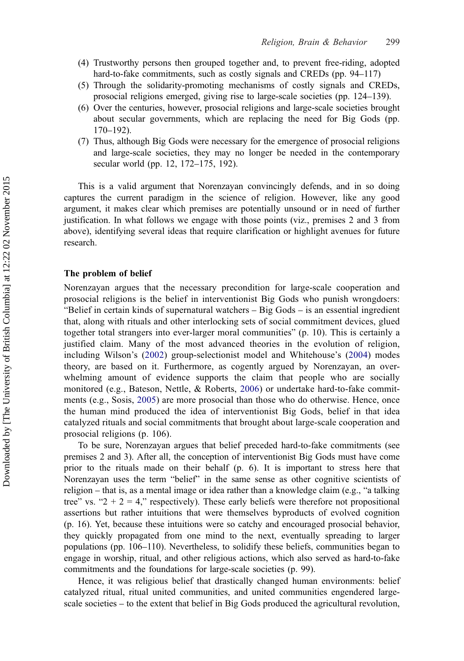- (4) Trustworthy persons then grouped together and, to prevent free-riding, adopted hard-to-fake commitments, such as costly signals and CREDs (pp. 94–117)
- (5) Through the solidarity-promoting mechanisms of costly signals and CREDs, prosocial religions emerged, giving rise to large-scale societies (pp. 124–139).
- (6) Over the centuries, however, prosocial religions and large-scale societies brought about secular governments, which are replacing the need for Big Gods (pp. 170–192).
- (7) Thus, although Big Gods were necessary for the emergence of prosocial religions and large-scale societies, they may no longer be needed in the contemporary secular world (pp. 12, 172–175, 192).

This is a valid argument that Norenzayan convincingly defends, and in so doing captures the current paradigm in the science of religion. However, like any good argument, it makes clear which premises are potentially unsound or in need of further justification. In what follows we engage with those points (viz., premises 2 and 3 from above), identifying several ideas that require clarification or highlight avenues for future research.

## The problem of belief

Norenzayan argues that the necessary precondition for large-scale cooperation and prosocial religions is the belief in interventionist Big Gods who punish wrongdoers: "Belief in certain kinds of supernatural watchers – Big Gods – is an essential ingredient that, along with rituals and other interlocking sets of social commitment devices, glued together total strangers into ever-larger moral communities" (p. 10). This is certainly a justified claim. Many of the most advanced theories in the evolution of religion, including Wilson's [\(2002\)](#page-40-0) group-selectionist model and Whitehouse's ([2004](#page-39-0)) modes theory, are based on it. Furthermore, as cogently argued by Norenzayan, an overwhelming amount of evidence supports the claim that people who are socially monitored (e.g., Bateson, Nettle, & Roberts, [2006\)](#page-39-0) or undertake hard-to-fake commitments (e.g., Sosis, [2005](#page-39-0)) are more prosocial than those who do otherwise. Hence, once the human mind produced the idea of interventionist Big Gods, belief in that idea catalyzed rituals and social commitments that brought about large-scale cooperation and prosocial religions (p. 106).

To be sure, Norenzayan argues that belief preceded hard-to-fake commitments (see premises 2 and 3). After all, the conception of interventionist Big Gods must have come prior to the rituals made on their behalf (p. 6). It is important to stress here that Norenzayan uses the term "belief" in the same sense as other cognitive scientists of religion – that is, as a mental image or idea rather than a knowledge claim (e.g., "a talking tree" vs. " $2 + 2 = 4$ ," respectively). These early beliefs were therefore not propositional assertions but rather intuitions that were themselves byproducts of evolved cognition (p. 16). Yet, because these intuitions were so catchy and encouraged prosocial behavior, they quickly propagated from one mind to the next, eventually spreading to larger populations (pp. 106–110). Nevertheless, to solidify these beliefs, communities began to engage in worship, ritual, and other religious actions, which also served as hard-to-fake commitments and the foundations for large-scale societies (p. 99).

Hence, it was religious belief that drastically changed human environments: belief catalyzed ritual, ritual united communities, and united communities engendered largescale societies – to the extent that belief in Big Gods produced the agricultural revolution,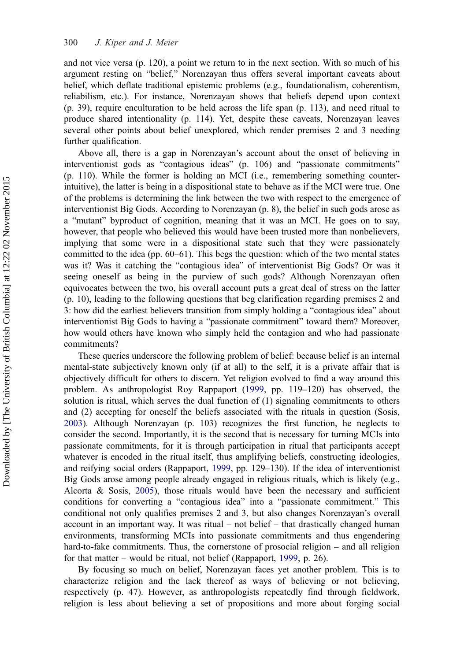and not vice versa (p. 120), a point we return to in the next section. With so much of his argument resting on "belief," Norenzayan thus offers several important caveats about belief, which deflate traditional epistemic problems (e.g., foundationalism, coherentism, reliabilism, etc.). For instance, Norenzayan shows that beliefs depend upon context (p. 39), require enculturation to be held across the life span (p. 113), and need ritual to produce shared intentionality (p. 114). Yet, despite these caveats, Norenzayan leaves several other points about belief unexplored, which render premises 2 and 3 needing further qualification.

Above all, there is a gap in Norenzayan's account about the onset of believing in interventionist gods as "contagious ideas" (p. 106) and "passionate commitments" (p. 110). While the former is holding an MCI (i.e., remembering something counterintuitive), the latter is being in a dispositional state to behave as if the MCI were true. One of the problems is determining the link between the two with respect to the emergence of interventionist Big Gods. According to Norenzayan (p. 8), the belief in such gods arose as a "mutant" byproduct of cognition, meaning that it was an MCI. He goes on to say, however, that people who believed this would have been trusted more than nonbelievers, implying that some were in a dispositional state such that they were passionately committed to the idea (pp. 60–61). This begs the question: which of the two mental states was it? Was it catching the "contagious idea" of interventionist Big Gods? Or was it seeing oneself as being in the purview of such gods? Although Norenzayan often equivocates between the two, his overall account puts a great deal of stress on the latter (p. 10), leading to the following questions that beg clarification regarding premises 2 and 3: how did the earliest believers transition from simply holding a "contagious idea" about interventionist Big Gods to having a "passionate commitment" toward them? Moreover, how would others have known who simply held the contagion and who had passionate commitments?

These queries underscore the following problem of belief: because belief is an internal mental-state subjectively known only (if at all) to the self, it is a private affair that is objectively difficult for others to discern. Yet religion evolved to find a way around this problem. As anthropologist Roy Rappaport ([1999,](#page-39-0) pp. 119–120) has observed, the solution is ritual, which serves the dual function of (1) signaling commitments to others and (2) accepting for oneself the beliefs associated with the rituals in question (Sosis, [2003\)](#page-39-0). Although Norenzayan (p. 103) recognizes the first function, he neglects to consider the second. Importantly, it is the second that is necessary for turning MCIs into passionate commitments, for it is through participation in ritual that participants accept whatever is encoded in the ritual itself, thus amplifying beliefs, constructing ideologies, and reifying social orders (Rappaport, [1999](#page-39-0), pp. 129–130). If the idea of interventionist Big Gods arose among people already engaged in religious rituals, which is likely (e.g., Alcorta & Sosis, [2005\)](#page-38-0), those rituals would have been the necessary and sufficient conditions for converting a "contagious idea" into a "passionate commitment." This conditional not only qualifies premises 2 and 3, but also changes Norenzayan's overall account in an important way. It was ritual – not belief – that drastically changed human environments, transforming MCIs into passionate commitments and thus engendering hard-to-fake commitments. Thus, the cornerstone of prosocial religion – and all religion for that matter – would be ritual, not belief (Rappaport, [1999,](#page-39-0) p. 26).

By focusing so much on belief, Norenzayan faces yet another problem. This is to characterize religion and the lack thereof as ways of believing or not believing, respectively (p. 47). However, as anthropologists repeatedly find through fieldwork, religion is less about believing a set of propositions and more about forging social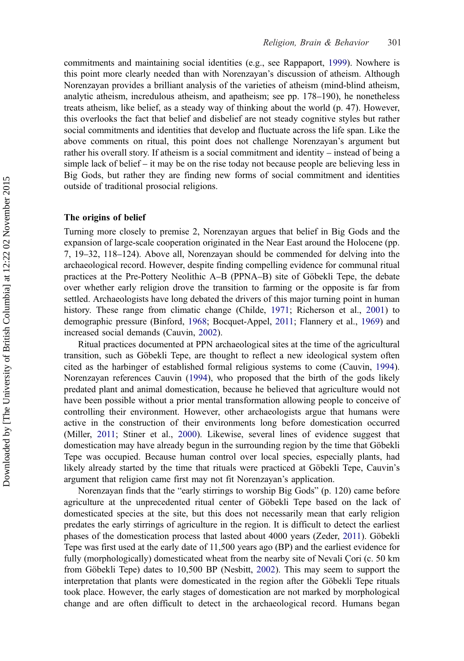commitments and maintaining social identities (e.g., see Rappaport, [1999](#page-39-0)). Nowhere is this point more clearly needed than with Norenzayan's discussion of atheism. Although Norenzayan provides a brilliant analysis of the varieties of atheism (mind-blind atheism, analytic atheism, incredulous atheism, and apatheism; see pp. 178–190), he nonetheless treats atheism, like belief, as a steady way of thinking about the world (p. 47). However, this overlooks the fact that belief and disbelief are not steady cognitive styles but rather social commitments and identities that develop and fluctuate across the life span. Like the above comments on ritual, this point does not challenge Norenzayan's argument but rather his overall story. If atheism is a social commitment and identity – instead of being a simple lack of belief – it may be on the rise today not because people are believing less in Big Gods, but rather they are finding new forms of social commitment and identities outside of traditional prosocial religions.

#### The origins of belief

Turning more closely to premise 2, Norenzayan argues that belief in Big Gods and the expansion of large-scale cooperation originated in the Near East around the Holocene (pp. 7, 19–32, 118–124). Above all, Norenzayan should be commended for delving into the archaeological record. However, despite finding compelling evidence for communal ritual practices at the Pre-Pottery Neolithic A–B (PPNA–B) site of Göbekli Tepe, the debate over whether early religion drove the transition to farming or the opposite is far from settled. Archaeologists have long debated the drivers of this major turning point in human history. These range from climatic change (Childe, [1971;](#page-39-0) Richerson et al., [2001](#page-39-0)) to demographic pressure (Binford, [1968;](#page-39-0) Bocquet-Appel, [2011;](#page-39-0) Flannery et al., [1969\)](#page-39-0) and increased social demands (Cauvin, [2002](#page-39-0)).

Ritual practices documented at PPN archaeological sites at the time of the agricultural transition, such as Göbekli Tepe, are thought to reflect a new ideological system often cited as the harbinger of established formal religious systems to come (Cauvin, [1994](#page-39-0)). Norenzayan references Cauvin ([1994\)](#page-39-0), who proposed that the birth of the gods likely predated plant and animal domestication, because he believed that agriculture would not have been possible without a prior mental transformation allowing people to conceive of controlling their environment. However, other archaeologists argue that humans were active in the construction of their environments long before domestication occurred (Miller, [2011;](#page-39-0) Stiner et al., [2000](#page-39-0)). Likewise, several lines of evidence suggest that domestication may have already begun in the surrounding region by the time that Göbekli Tepe was occupied. Because human control over local species, especially plants, had likely already started by the time that rituals were practiced at Göbekli Tepe, Cauvin's argument that religion came first may not fit Norenzayan's application.

Norenzayan finds that the "early stirrings to worship Big Gods" (p. 120) came before agriculture at the unprecedented ritual center of Göbekli Tepe based on the lack of domesticated species at the site, but this does not necessarily mean that early religion predates the early stirrings of agriculture in the region. It is difficult to detect the earliest phases of the domestication process that lasted about 4000 years (Zeder, [2011](#page-40-0)). Göbekli Tepe was first used at the early date of 11,500 years ago (BP) and the earliest evidence for fully (morphologically) domesticated wheat from the nearby site of Nevali Çori (c. 50 km from Göbekli Tepe) dates to 10,500 BP (Nesbitt, [2002\)](#page-39-0). This may seem to support the interpretation that plants were domesticated in the region after the Göbekli Tepe rituals took place. However, the early stages of domestication are not marked by morphological change and are often difficult to detect in the archaeological record. Humans began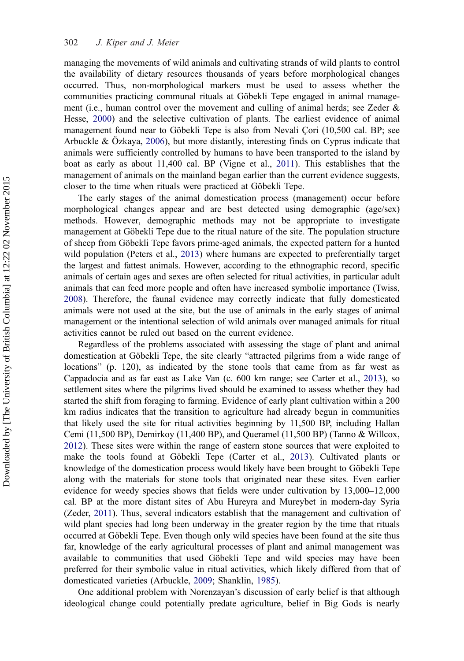managing the movements of wild animals and cultivating strands of wild plants to control the availability of dietary resources thousands of years before morphological changes occurred. Thus, non-morphological markers must be used to assess whether the communities practicing communal rituals at Göbekli Tepe engaged in animal management (i.e., human control over the movement and culling of animal herds; see Zeder & Hesse, [2000\)](#page-40-0) and the selective cultivation of plants. The earliest evidence of animal management found near to Göbekli Tepe is also from Nevali Çori (10,500 cal. BP; see Arbuckle & Özkaya, [2006](#page-38-0)), but more distantly, interesting finds on Cyprus indicate that animals were sufficiently controlled by humans to have been transported to the island by boat as early as about 11,400 cal. BP (Vigne et al., [2011\)](#page-39-0). This establishes that the management of animals on the mainland began earlier than the current evidence suggests, closer to the time when rituals were practiced at Göbekli Tepe.

The early stages of the animal domestication process (management) occur before morphological changes appear and are best detected using demographic (age/sex) methods. However, demographic methods may not be appropriate to investigate management at Göbekli Tepe due to the ritual nature of the site. The population structure of sheep from Göbekli Tepe favors prime-aged animals, the expected pattern for a hunted wild population (Peters et al., [2013](#page-39-0)) where humans are expected to preferentially target the largest and fattest animals. However, according to the ethnographic record, specific animals of certain ages and sexes are often selected for ritual activities, in particular adult animals that can feed more people and often have increased symbolic importance (Twiss, [2008\)](#page-39-0). Therefore, the faunal evidence may correctly indicate that fully domesticated animals were not used at the site, but the use of animals in the early stages of animal management or the intentional selection of wild animals over managed animals for ritual activities cannot be ruled out based on the current evidence.

Regardless of the problems associated with assessing the stage of plant and animal domestication at Göbekli Tepe, the site clearly "attracted pilgrims from a wide range of locations" (p. 120), as indicated by the stone tools that came from as far west as Cappadocia and as far east as Lake Van (c. 600 km range; see Carter et al., [2013\)](#page-39-0), so settlement sites where the pilgrims lived should be examined to assess whether they had started the shift from foraging to farming. Evidence of early plant cultivation within a 200 km radius indicates that the transition to agriculture had already begun in communities that likely used the site for ritual activities beginning by 11,500 BP, including Hallan Cemi (11,500 BP), Demirkoy (11,400 BP), and Queramel (11,500 BP) (Tanno & Willcox, [2012\)](#page-39-0). These sites were within the range of eastern stone sources that were exploited to make the tools found at Göbekli Tepe (Carter et al., [2013\)](#page-39-0). Cultivated plants or knowledge of the domestication process would likely have been brought to Göbekli Tepe along with the materials for stone tools that originated near these sites. Even earlier evidence for weedy species shows that fields were under cultivation by 13,000–12,000 cal. BP at the more distant sites of Abu Hureyra and Mureybet in modern-day Syria (Zeder, [2011\)](#page-40-0). Thus, several indicators establish that the management and cultivation of wild plant species had long been underway in the greater region by the time that rituals occurred at Göbekli Tepe. Even though only wild species have been found at the site thus far, knowledge of the early agricultural processes of plant and animal management was available to communities that used Göbekli Tepe and wild species may have been preferred for their symbolic value in ritual activities, which likely differed from that of domesticated varieties (Arbuckle, [2009;](#page-38-0) Shanklin, [1985\)](#page-39-0).

One additional problem with Norenzayan's discussion of early belief is that although ideological change could potentially predate agriculture, belief in Big Gods is nearly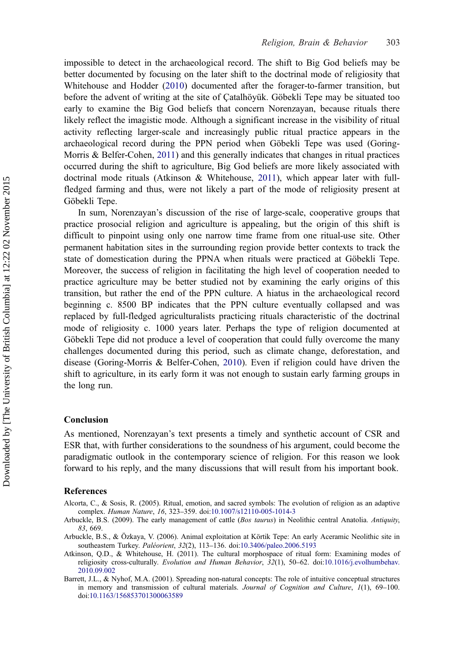<span id="page-38-0"></span>impossible to detect in the archaeological record. The shift to Big God beliefs may be better documented by focusing on the later shift to the doctrinal mode of religiosity that Whitehouse and Hodder ([2010\)](#page-40-0) documented after the forager-to-farmer transition, but before the advent of writing at the site of Çatalhöyük. Göbekli Tepe may be situated too early to examine the Big God beliefs that concern Norenzayan, because rituals there likely reflect the imagistic mode. Although a significant increase in the visibility of ritual activity reflecting larger-scale and increasingly public ritual practice appears in the archaeological record during the PPN period when Göbekli Tepe was used (Goring-Morris & Belfer-Cohen, [2011\)](#page-39-0) and this generally indicates that changes in ritual practices occurred during the shift to agriculture, Big God beliefs are more likely associated with doctrinal mode rituals (Atkinson & Whitehouse, 2011), which appear later with fullfledged farming and thus, were not likely a part of the mode of religiosity present at Göbekli Tepe.

In sum, Norenzayan's discussion of the rise of large-scale, cooperative groups that practice prosocial religion and agriculture is appealing, but the origin of this shift is difficult to pinpoint using only one narrow time frame from one ritual-use site. Other permanent habitation sites in the surrounding region provide better contexts to track the state of domestication during the PPNA when rituals were practiced at Göbekli Tepe. Moreover, the success of religion in facilitating the high level of cooperation needed to practice agriculture may be better studied not by examining the early origins of this transition, but rather the end of the PPN culture. A hiatus in the archaeological record beginning c. 8500 BP indicates that the PPN culture eventually collapsed and was replaced by full-fledged agriculturalists practicing rituals characteristic of the doctrinal mode of religiosity c. 1000 years later. Perhaps the type of religion documented at Göbekli Tepe did not produce a level of cooperation that could fully overcome the many challenges documented during this period, such as climate change, deforestation, and disease (Goring-Morris & Belfer-Cohen, [2010](#page-39-0)). Even if religion could have driven the shift to agriculture, in its early form it was not enough to sustain early farming groups in the long run.

## Conclusion

As mentioned, Norenzayan's text presents a timely and synthetic account of CSR and ESR that, with further considerations to the soundness of his argument, could become the paradigmatic outlook in the contemporary science of religion. For this reason we look forward to his reply, and the many discussions that will result from his important book.

#### References

Alcorta, C., & Sosis, R. (2005). Ritual, emotion, and sacred symbols: The evolution of religion as an adaptive complex. Human Nature, 16, 323–359. doi[:10.1007/s12110-005-1014-3](http://dx.doi.org/10.1007/s12110-005-1014-3)

Arbuckle, B.S. (2009). The early management of cattle (*Bos taurus*) in Neolithic central Anatolia. Antiquity, 83, 669

Arbuckle, B.S., & Özkaya, V. (2006). Animal exploitation at Körtik Tepe: An early Aceramic Neolithic site in southeastern Turkey. Paléorient, 32(2), 113–136. doi:[10.3406/paleo.2006.5193](http://dx.doi.org/10.3406/paleo.2006.5193)

Atkinson, Q.D., & Whitehouse, H. (2011). The cultural morphospace of ritual form: Examining modes of religiosity cross-culturally. Evolution and Human Behavior, 32(1), 50–62. doi[:10.1016/j.evolhumbehav.](http://dx.doi.org/10.1016/j.evolhumbehav.2010.09.002) [2010.09.002](http://dx.doi.org/10.1016/j.evolhumbehav.2010.09.002)

Barrett, J.L., & Nyhof, M.A. (2001). Spreading non-natural concepts: The role of intuitive conceptual structures in memory and transmission of cultural materials. Journal of Cognition and Culture, 1(1), 69–100. doi[:10.1163/156853701300063589](http://dx.doi.org/10.1163/156853701300063589)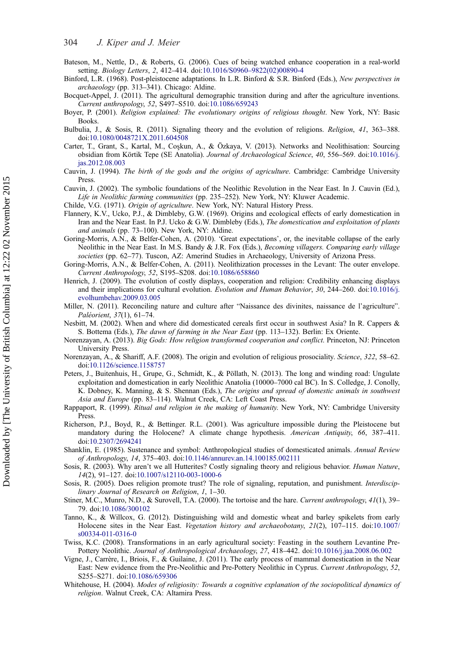- <span id="page-39-0"></span>Bateson, M., Nettle, D., & Roberts, G. (2006). Cues of being watched enhance cooperation in a real-world setting. Biology Letters, 2, 412–414. doi:10.1016/S0960–[9822\(02\)00890-4](http://dx.doi.org/10.1016/S09609822(02)00890-4)
- Binford, L.R. (1968). Post-pleistocene adaptations. In L.R. Binford & S.R. Binford (Eds.), New perspectives in archaeology (pp. 313–341). Chicago: Aldine.
- Bocquet-Appel, J. (2011). The agricultural demographic transition during and after the agriculture inventions. Current anthropology, 52, S497–S510. doi[:10.1086/659243](http://dx.doi.org/10.1086/659243)
- Boyer, P. (2001). Religion explained: The evolutionary origins of religious thought. New York, NY: Basic Books.
- Bulbulia, J., & Sosis, R. (2011). Signaling theory and the evolution of religions. Religion, 41, 363–388. doi[:10.1080/0048721X.2011.604508](http://dx.doi.org/10.1080/0048721X.2011.604508)
- Carter, T., Grant, S., Kartal, M., Coşkun, A., & Özkaya, V. (2013). Networks and Neolithisation: Sourcing obsidian from Körtik Tepe (SE Anatolia). Journal of Archaeological Science, 40, 556–569. doi[:10.1016/j.](http://dx.doi.org/10.1016/j.jas.2012.08.003) [jas.2012.08.003](http://dx.doi.org/10.1016/j.jas.2012.08.003)
- Cauvin, J. (1994). The birth of the gods and the origins of agriculture. Cambridge: Cambridge University Press.
- Cauvin, J. (2002). The symbolic foundations of the Neolithic Revolution in the Near East. In J. Cauvin (Ed.), Life in Neolithic farming communities (pp. 235–252). New York, NY: Kluwer Academic.
- Childe, V.G. (1971). Origin of agriculture. New York, NY: Natural History Press.
- Flannery, K.V., Ucko, P.J., & Dimbleby, G.W. (1969). Origins and ecological effects of early domestication in Iran and the Near East. In P.J. Ucko & G.W. Dimbleby (Eds.), The domestication and exploitation of plants and animals (pp. 73–100). New York, NY: Aldine.
- Goring-Morris, A.N., & Belfer-Cohen, A. (2010). 'Great expectations', or, the inevitable collapse of the early Neolithic in the Near East. In M.S. Bandy & J.R. Fox (Eds.), Becoming villagers. Comparing early village societies (pp. 62–77). Tuscon, AZ: Amerind Studies in Archaeology, University of Arizona Press.
- Goring-Morris, A.N., & Belfer-Cohen, A. (2011). Neolithization processes in the Levant: The outer envelope. Current Anthropology, 52, S195–S208. doi:[10.1086/658860](http://dx.doi.org/10.1086/658860)
- Henrich, J. (2009). The evolution of costly displays, cooperation and religion: Credibility enhancing displays and their implications for cultural evolution. Evolution and Human Behavior, 30, 244–260. doi[:10.1016/j.](http://dx.doi.org/10.1016/j.evolhumbehav.2009.03.005) [evolhumbehav.2009.03.005](http://dx.doi.org/10.1016/j.evolhumbehav.2009.03.005)
- Miller, N. (2011). Reconciling nature and culture after "Naissance des divinites, naissance de l'agriculture". Paléorient, 37(1), 61–74.
- Nesbitt, M. (2002). When and where did domesticated cereals first occur in southwest Asia? In R. Cappers & S. Bottema (Eds.), The dawn of farming in the Near East (pp. 113–132). Berlin: Ex Oriente.
- Norenzayan, A. (2013). Big Gods: How religion transformed cooperation and conflict. Princeton, NJ: Princeton University Press.
- Norenzayan, A., & Shariff, A.F. (2008). The origin and evolution of religious prosociality. Science, 322, 58–62. doi[:10.1126/science.1158757](http://dx.doi.org/10.1126/science.1158757)
- Peters, J., Buitenhuis, H., Grupe, G., Schmidt, K., & Pöllath, N. (2013). The long and winding road: Ungulate exploitation and domestication in early Neolithic Anatolia (10000–7000 cal BC). In S. Colledge, J. Conolly, K. Dobney, K. Manning, & S. Shennan (Eds.), The origins and spread of domestic animals in southwest Asia and Europe (pp. 83–114). Walnut Creek, CA: Left Coast Press.
- Rappaport, R. (1999). Ritual and religion in the making of humanity. New York, NY: Cambridge University Press.
- Richerson, P.J., Boyd, R., & Bettinger. R.L. (2001). Was agriculture impossible during the Pleistocene but mandatory during the Holocene? A climate change hypothesis. American Antiquity, 66, 387–411. doi[:10.2307/2694241](http://dx.doi.org/10.2307/2694241)
- Shanklin, E. (1985). Sustenance and symbol: Anthropological studies of domesticated animals. Annual Review of Anthropology, 14, 375–403. doi[:10.1146/annurev.an.14.100185.002111](http://dx.doi.org/10.1146/annurev.an.14.100185.002111)
- Sosis, R. (2003). Why aren't we all Hutterites? Costly signaling theory and religious behavior. Human Nature, 14(2), 91–127. doi[:10.1007/s12110-003-1000-6](http://dx.doi.org/10.1007/s12110-003-1000-6)
- Sosis, R. (2005). Does religion promote trust? The role of signaling, reputation, and punishment. Interdisciplinary Journal of Research on Religion, 1, 1–30.
- Stiner, M.C., Munro, N.D., & Surovell, T.A. (2000). The tortoise and the hare. Current anthropology, 41(1), 39– 79. doi:[10.1086/300102](http://dx.doi.org/10.1086/300102)
- Tanno, K., & Willcox, G. (2012). Distinguishing wild and domestic wheat and barley spikelets from early Holocene sites in the Near East. Vegetation history and archaeobotany, 21(2), 107-115. doi[:10.1007/](http://dx.doi.org/10.1007/s00334-011-0316-0) [s00334-011-0316-0](http://dx.doi.org/10.1007/s00334-011-0316-0)
- Twiss, K.C. (2008). Transformations in an early agricultural society: Feasting in the southern Levantine Pre-Pottery Neolithic. Journal of Anthropological Archaeology, 27, 418–442. doi:[10.1016/j.jaa.2008.06.002](http://dx.doi.org/10.1016/j.jaa.2008.06.002)
- Vigne, J., Carrère, I., Briois, F., & Guilaine, J. (2011). The early process of mammal domestication in the Near East: New evidence from the Pre-Neolithic and Pre-Pottery Neolithic in Cyprus. Current Anthropology, 52, S255–S271. doi[:10.1086/659306](http://dx.doi.org/10.1086/659306)
- Whitehouse, H. (2004). Modes of religiosity: Towards a cognitive explanation of the sociopolitical dynamics of religion. Walnut Creek, CA: Altamira Press.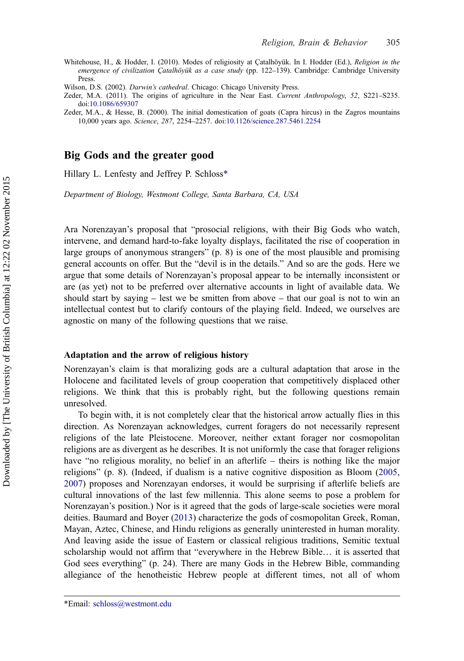<span id="page-40-0"></span>Whitehouse, H., & Hodder, I. (2010). Modes of religiosity at Çatalhöyük. In I. Hodder (Ed.), Religion in the emergence of civilization Catalhövük as a case study (pp. 122–139). Cambridge: Cambridge University Press.

Wilson, D.S. (2002). Darwin's cathedral. Chicago: Chicago University Press.

Zeder, M.A. (2011). The origins of agriculture in the Near East. Current Anthropology, 52, S221–S235. doi[:10.1086/659307](http://dx.doi.org/10.1086/659307)

Zeder, M.A., & Hesse, B. (2000). The initial domestication of goats (Capra hircus) in the Zagros mountains 10,000 years ago. Science, 287, 2254–2257. doi:[10.1126/science.287.5461.2254](http://dx.doi.org/10.1126/science.287.5461.2254)

# Big Gods and the greater good

Hillary L. Lenfesty and Jeffrey P. Schloss[\\*](#page-1-0)

Department of Biology, Westmont College, Santa Barbara, CA, USA

Ara Norenzayan's proposal that "prosocial religions, with their Big Gods who watch, intervene, and demand hard-to-fake loyalty displays, facilitated the rise of cooperation in large groups of anonymous strangers" (p. 8) is one of the most plausible and promising general accounts on offer. But the "devil is in the details." And so are the gods. Here we argue that some details of Norenzayan's proposal appear to be internally inconsistent or are (as yet) not to be preferred over alternative accounts in light of available data. We should start by saying – lest we be smitten from above – that our goal is not to win an intellectual contest but to clarify contours of the playing field. Indeed, we ourselves are agnostic on many of the following questions that we raise.

#### Adaptation and the arrow of religious history

Norenzayan's claim is that moralizing gods are a cultural adaptation that arose in the Holocene and facilitated levels of group cooperation that competitively displaced other religions. We think that this is probably right, but the following questions remain unresolved.

To begin with, it is not completely clear that the historical arrow actually flies in this direction. As Norenzayan acknowledges, current foragers do not necessarily represent religions of the late Pleistocene. Moreover, neither extant forager nor cosmopolitan religions are as divergent as he describes. It is not uniformly the case that forager religions have "no religious morality, no belief in an afterlife – theirs is nothing like the major religions" (p. 8). (Indeed, if dualism is a native cognitive disposition as Bloom ([2005,](#page-47-0) [2007\)](#page-47-0) proposes and Norenzayan endorses, it would be surprising if afterlife beliefs are cultural innovations of the last few millennia. This alone seems to pose a problem for Norenzayan's position.) Nor is it agreed that the gods of large-scale societies were moral deities. Baumard and Boyer [\(2013](#page-47-0)) characterize the gods of cosmopolitan Greek, Roman, Mayan, Aztec, Chinese, and Hindu religions as generally uninterested in human morality. And leaving aside the issue of Eastern or classical religious traditions, Semitic textual scholarship would not affirm that "everywhere in the Hebrew Bible… it is asserted that God sees everything" (p. 24). There are many Gods in the Hebrew Bible, commanding allegiance of the henotheistic Hebrew people at different times, not all of whom

<sup>\*</sup>Email: [schloss@westmont.edu](mailto:schloss@westmont.edu)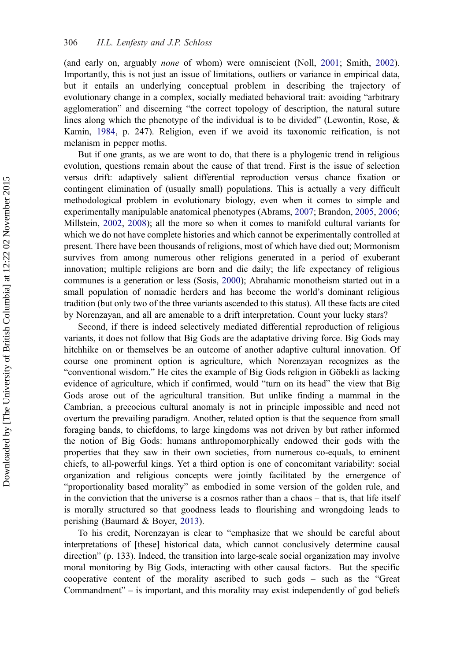(and early on, arguably none of whom) were omniscient (Noll, [2001](#page-47-0); Smith, [2002](#page-48-0)). Importantly, this is not just an issue of limitations, outliers or variance in empirical data, but it entails an underlying conceptual problem in describing the trajectory of evolutionary change in a complex, socially mediated behavioral trait: avoiding "arbitrary agglomeration" and discerning "the correct topology of description, the natural suture lines along which the phenotype of the individual is to be divided" (Lewontin, Rose, & Kamin, [1984,](#page-47-0) p. 247). Religion, even if we avoid its taxonomic reification, is not melanism in pepper moths.

But if one grants, as we are wont to do, that there is a phylogenic trend in religious evolution, questions remain about the cause of that trend. First is the issue of selection versus drift: adaptively salient differential reproduction versus chance fixation or contingent elimination of (usually small) populations. This is actually a very difficult methodological problem in evolutionary biology, even when it comes to simple and experimentally manipulable anatomical phenotypes (Abrams, [2007](#page-47-0); Brandon, [2005,](#page-47-0) [2006](#page-47-0); Millstein, [2002,](#page-47-0) [2008\)](#page-47-0); all the more so when it comes to manifold cultural variants for which we do not have complete histories and which cannot be experimentally controlled at present. There have been thousands of religions, most of which have died out; Mormonism survives from among numerous other religions generated in a period of exuberant innovation; multiple religions are born and die daily; the life expectancy of religious communes is a generation or less (Sosis, [2000\)](#page-48-0); Abrahamic monotheism started out in a small population of nomadic herders and has become the world's dominant religious tradition (but only two of the three variants ascended to this status). All these facts are cited by Norenzayan, and all are amenable to a drift interpretation. Count your lucky stars?

Second, if there is indeed selectively mediated differential reproduction of religious variants, it does not follow that Big Gods are the adaptative driving force. Big Gods may hitchhike on or themselves be an outcome of another adaptive cultural innovation. Of course one prominent option is agriculture, which Norenzayan recognizes as the "conventional wisdom." He cites the example of Big Gods religion in Göbekli as lacking evidence of agriculture, which if confirmed, would "turn on its head" the view that Big Gods arose out of the agricultural transition. But unlike finding a mammal in the Cambrian, a precocious cultural anomaly is not in principle impossible and need not overturn the prevailing paradigm. Another, related option is that the sequence from small foraging bands, to chiefdoms, to large kingdoms was not driven by but rather informed the notion of Big Gods: humans anthropomorphically endowed their gods with the properties that they saw in their own societies, from numerous co-equals, to eminent chiefs, to all-powerful kings. Yet a third option is one of concomitant variability: social organization and religious concepts were jointly facilitated by the emergence of "proportionality based morality" as embodied in some version of the golden rule, and in the conviction that the universe is a cosmos rather than a chaos – that is, that life itself is morally structured so that goodness leads to flourishing and wrongdoing leads to perishing (Baumard & Boyer, [2013\)](#page-47-0).

To his credit, Norenzayan is clear to "emphasize that we should be careful about interpretations of [these] historical data, which cannot conclusively determine causal direction" (p. 133). Indeed, the transition into large-scale social organization may involve moral monitoring by Big Gods, interacting with other causal factors. But the specific cooperative content of the morality ascribed to such gods – such as the "Great Commandment" – is important, and this morality may exist independently of god beliefs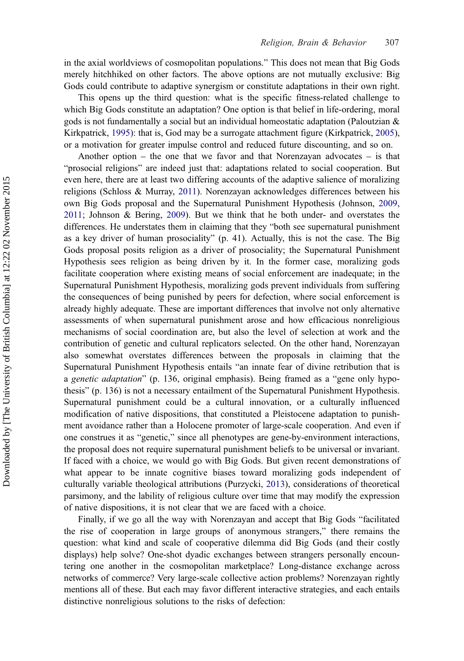in the axial worldviews of cosmopolitan populations." This does not mean that Big Gods merely hitchhiked on other factors. The above options are not mutually exclusive: Big Gods could contribute to adaptive synergism or constitute adaptations in their own right.

This opens up the third question: what is the specific fitness-related challenge to which Big Gods constitute an adaptation? One option is that belief in life-ordering, moral gods is not fundamentally a social but an individual homeostatic adaptation (Paloutzian & Kirkpatrick, [1995\)](#page-47-0): that is, God may be a surrogate attachment figure (Kirkpatrick, [2005](#page-47-0)), or a motivation for greater impulse control and reduced future discounting, and so on.

Another option – the one that we favor and that Norenzayan advocates – is that "prosocial religions" are indeed just that: adaptations related to social cooperation. But even here, there are at least two differing accounts of the adaptive salience of moralizing religions (Schloss & Murray, [2011](#page-48-0)). Norenzayan acknowledges differences between his own Big Gods proposal and the Supernatural Punishment Hypothesis (Johnson, [2009,](#page-47-0) [2011;](#page-47-0) Johnson & Bering, [2009](#page-47-0)). But we think that he both under- and overstates the differences. He understates them in claiming that they "both see supernatural punishment as a key driver of human prosociality" (p. 41). Actually, this is not the case. The Big Gods proposal posits religion as a driver of prosociality; the Supernatural Punishment Hypothesis sees religion as being driven by it. In the former case, moralizing gods facilitate cooperation where existing means of social enforcement are inadequate; in the Supernatural Punishment Hypothesis, moralizing gods prevent individuals from suffering the consequences of being punished by peers for defection, where social enforcement is already highly adequate. These are important differences that involve not only alternative assessments of when supernatural punishment arose and how efficacious nonreligious mechanisms of social coordination are, but also the level of selection at work and the contribution of genetic and cultural replicators selected. On the other hand, Norenzayan also somewhat overstates differences between the proposals in claiming that the Supernatural Punishment Hypothesis entails "an innate fear of divine retribution that is a genetic adaptation" (p. 136, original emphasis). Being framed as a "gene only hypothesis" (p. 136) is not a necessary entailment of the Supernatural Punishment Hypothesis. Supernatural punishment could be a cultural innovation, or a culturally influenced modification of native dispositions, that constituted a Pleistocene adaptation to punishment avoidance rather than a Holocene promoter of large-scale cooperation. And even if one construes it as "genetic," since all phenotypes are gene-by-environment interactions, the proposal does not require supernatural punishment beliefs to be universal or invariant. If faced with a choice, we would go with Big Gods. But given recent demonstrations of what appear to be innate cognitive biases toward moralizing gods independent of culturally variable theological attributions (Purzycki, [2013](#page-47-0)), considerations of theoretical parsimony, and the lability of religious culture over time that may modify the expression of native dispositions, it is not clear that we are faced with a choice.

Finally, if we go all the way with Norenzayan and accept that Big Gods "facilitated the rise of cooperation in large groups of anonymous strangers," there remains the question: what kind and scale of cooperative dilemma did Big Gods (and their costly displays) help solve? One-shot dyadic exchanges between strangers personally encountering one another in the cosmopolitan marketplace? Long-distance exchange across networks of commerce? Very large-scale collective action problems? Norenzayan rightly mentions all of these. But each may favor different interactive strategies, and each entails distinctive nonreligious solutions to the risks of defection: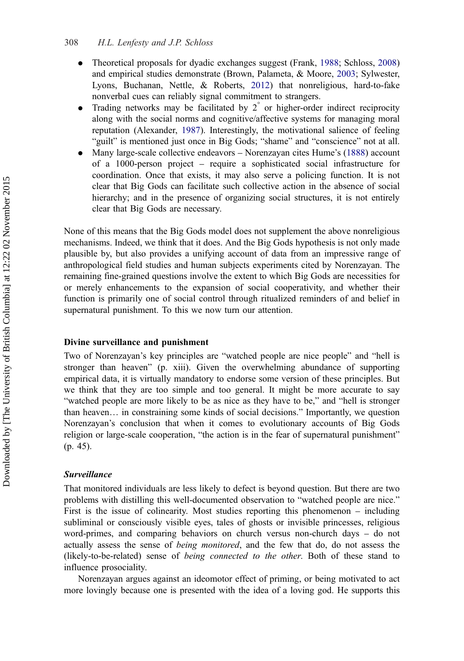- . Theoretical proposals for dyadic exchanges suggest (Frank, [1988](#page-47-0); Schloss, [2008\)](#page-47-0) and empirical studies demonstrate (Brown, Palameta, & Moore, [2003](#page-47-0); Sylwester, Lyons, Buchanan, Nettle, & Roberts, [2012\)](#page-48-0) that nonreligious, hard-to-fake nonverbal cues can reliably signal commitment to strangers.
- Trading networks may be facilitated by  $2^{\degree}$  or higher-order indirect reciprocity along with the social norms and cognitive/affective systems for managing moral reputation (Alexander, [1987](#page-47-0)). Interestingly, the motivational salience of feeling "guilt" is mentioned just once in Big Gods; "shame" and "conscience" not at all.
- . Many large-scale collective endeavors Norenzayan cites Hume's ([1888](#page-47-0)) account of a 1000-person project – require a sophisticated social infrastructure for coordination. Once that exists, it may also serve a policing function. It is not clear that Big Gods can facilitate such collective action in the absence of social hierarchy; and in the presence of organizing social structures, it is not entirely clear that Big Gods are necessary.

None of this means that the Big Gods model does not supplement the above nonreligious mechanisms. Indeed, we think that it does. And the Big Gods hypothesis is not only made plausible by, but also provides a unifying account of data from an impressive range of anthropological field studies and human subjects experiments cited by Norenzayan. The remaining fine-grained questions involve the extent to which Big Gods are necessities for or merely enhancements to the expansion of social cooperativity, and whether their function is primarily one of social control through ritualized reminders of and belief in supernatural punishment. To this we now turn our attention.

## Divine surveillance and punishment

Two of Norenzayan's key principles are "watched people are nice people" and "hell is stronger than heaven" (p. xiii). Given the overwhelming abundance of supporting empirical data, it is virtually mandatory to endorse some version of these principles. But we think that they are too simple and too general. It might be more accurate to say "watched people are more likely to be as nice as they have to be," and "hell is stronger than heaven… in constraining some kinds of social decisions." Importantly, we question Norenzayan's conclusion that when it comes to evolutionary accounts of Big Gods religion or large-scale cooperation, "the action is in the fear of supernatural punishment" (p. 45).

#### Surveillance

That monitored individuals are less likely to defect is beyond question. But there are two problems with distilling this well-documented observation to "watched people are nice." First is the issue of colinearity. Most studies reporting this phenomenon – including subliminal or consciously visible eyes, tales of ghosts or invisible princesses, religious word-primes, and comparing behaviors on church versus non-church days – do not actually assess the sense of being monitored, and the few that do, do not assess the (likely-to-be-related) sense of being connected to the other. Both of these stand to influence prosociality.

Norenzayan argues against an ideomotor effect of priming, or being motivated to act more lovingly because one is presented with the idea of a loving god. He supports this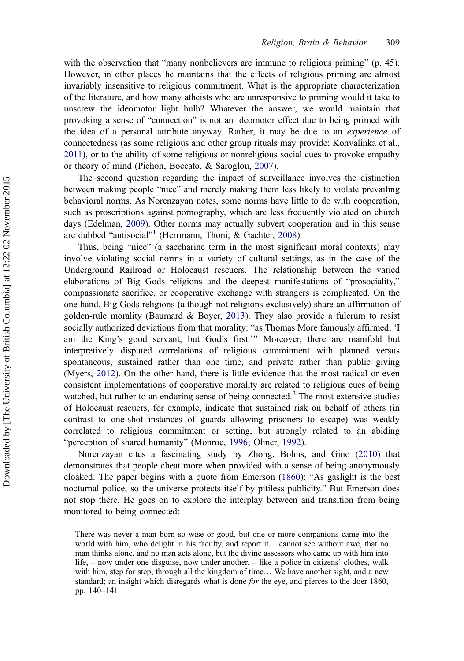with the observation that "many nonbelievers are immune to religious priming" (p. 45). However, in other places he maintains that the effects of religious priming are almost invariably insensitive to religious commitment. What is the appropriate characterization of the literature, and how many atheists who are unresponsive to priming would it take to unscrew the ideomotor light bulb? Whatever the answer, we would maintain that provoking a sense of "connection" is not an ideomotor effect due to being primed with the idea of a personal attribute anyway. Rather, it may be due to an experience of connectedness (as some religious and other group rituals may provide; Konvalinka et al., [2011\)](#page-47-0), or to the ability of some religious or nonreligious social cues to provoke empathy or theory of mind (Pichon, Boccato, & Saroglou, [2007\)](#page-47-0).

The second question regarding the impact of surveillance involves the distinction between making people "nice" and merely making them less likely to violate prevailing behavioral norms. As Norenzayan notes, some norms have little to do with cooperation, such as proscriptions against pornography, which are less frequently violated on church days (Edelman, [2009](#page-47-0)). Other norms may actually subvert cooperation and in this sense are dubbed "antisocial" [1](#page-46-0) (Herrmann, Thoni, & Gachter, [2008\)](#page-47-0).

Thus, being "nice" (a saccharine term in the most significant moral contexts) may involve violating social norms in a variety of cultural settings, as in the case of the Underground Railroad or Holocaust rescuers. The relationship between the varied elaborations of Big Gods religions and the deepest manifestations of "prosociality," compassionate sacrifice, or cooperative exchange with strangers is complicated. On the one hand, Big Gods religions (although not religions exclusively) share an affirmation of golden-rule morality (Baumard & Boyer, [2013\)](#page-47-0). They also provide a fulcrum to resist socially authorized deviations from that morality: "as Thomas More famously affirmed, 'I am the King's good servant, but God's first.'" Moreover, there are manifold but interpretively disputed correlations of religious commitment with planned versus spontaneous, sustained rather than one time, and private rather than public giving (Myers, [2012\)](#page-47-0). On the other hand, there is little evidence that the most radical or even consistent implementations of cooperative morality are related to religious cues of being watched, but rather to an enduring sense of being connected.<sup>[2](#page-46-0)</sup> The most extensive studies of Holocaust rescuers, for example, indicate that sustained risk on behalf of others (in contrast to one-shot instances of guards allowing prisoners to escape) was weakly correlated to religious commitment or setting, but strongly related to an abiding "perception of shared humanity" (Monroe, [1996;](#page-47-0) Oliner, [1992](#page-47-0)).

Norenzayan cites a fascinating study by Zhong, Bohns, and Gino [\(2010](#page-48-0)) that demonstrates that people cheat more when provided with a sense of being anonymously cloaked. The paper begins with a quote from Emerson ([1860](#page-47-0)): "As gaslight is the best nocturnal police, so the universe protects itself by pitiless publicity." But Emerson does not stop there. He goes on to explore the interplay between and transition from being monitored to being connected:

There was never a man born so wise or good, but one or more companions came into the world with him, who delight in his faculty, and report it. I cannot see without awe, that no man thinks alone, and no man acts alone, but the divine assessors who came up with him into life, – now under one disguise, now under another, – like a police in citizens' clothes, walk with him, step for step, through all the kingdom of time… We have another sight, and a new standard; an insight which disregards what is done for the eye, and pierces to the doer 1860, pp. 140–141.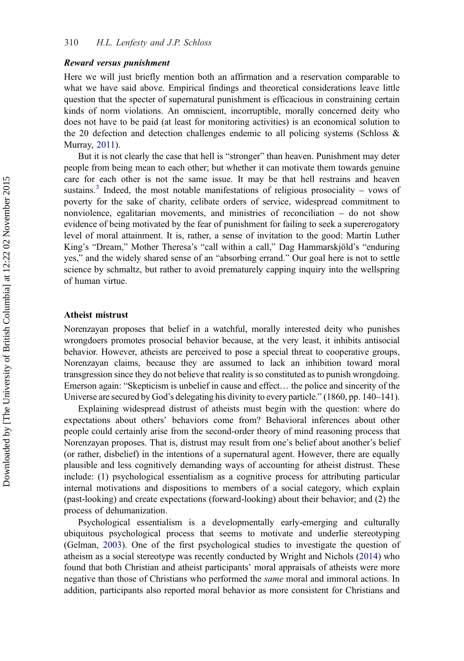### Reward versus punishment

Here we will just briefly mention both an affirmation and a reservation comparable to what we have said above. Empirical findings and theoretical considerations leave little question that the specter of supernatural punishment is efficacious in constraining certain kinds of norm violations. An omniscient, incorruptible, morally concerned deity who does not have to be paid (at least for monitoring activities) is an economical solution to the 20 defection and detection challenges endemic to all policing systems (Schloss & Murray, [2011\)](#page-48-0).

But it is not clearly the case that hell is "stronger" than heaven. Punishment may deter people from being mean to each other; but whether it can motivate them towards genuine care for each other is not the same issue. It may be that hell restrains and heaven sustains.<sup>[3](#page-46-0)</sup> Indeed, the most notable manifestations of religious prosociality – vows of poverty for the sake of charity, celibate orders of service, widespread commitment to nonviolence, egalitarian movements, and ministries of reconciliation – do not show evidence of being motivated by the fear of punishment for failing to seek a supererogatory level of moral attainment. It is, rather, a sense of invitation to the good: Martin Luther King's "Dream," Mother Theresa's "call within a call," Dag Hammarskjöld's "enduring yes," and the widely shared sense of an "absorbing errand." Our goal here is not to settle science by schmaltz, but rather to avoid prematurely capping inquiry into the wellspring of human virtue.

#### Atheist mistrust

Norenzayan proposes that belief in a watchful, morally interested deity who punishes wrongdoers promotes prosocial behavior because, at the very least, it inhibits antisocial behavior. However, atheists are perceived to pose a special threat to cooperative groups, Norenzayan claims, because they are assumed to lack an inhibition toward moral transgression since they do not believe that reality is so constituted as to punish wrongdoing. Emerson again: "Skepticism is unbelief in cause and effect… the police and sincerity of the Universe are secured by God's delegating his divinity to every particle." (1860, pp. 140–141).

Explaining widespread distrust of atheists must begin with the question: where do expectations about others' behaviors come from? Behavioral inferences about other people could certainly arise from the second-order theory of mind reasoning process that Norenzayan proposes. That is, distrust may result from one's belief about another's belief (or rather, disbelief) in the intentions of a supernatural agent. However, there are equally plausible and less cognitively demanding ways of accounting for atheist distrust. These include: (1) psychological essentialism as a cognitive process for attributing particular internal motivations and dispositions to members of a social category, which explain (past-looking) and create expectations (forward-looking) about their behavior; and (2) the process of dehumanization.

Psychological essentialism is a developmentally early-emerging and culturally ubiquitous psychological process that seems to motivate and underlie stereotyping (Gelman, [2003\)](#page-47-0). One of the first psychological studies to investigate the question of atheism as a social stereotype was recently conducted by Wright and Nichols [\(2014](#page-48-0)) who found that both Christian and atheist participants' moral appraisals of atheists were more negative than those of Christians who performed the same moral and immoral actions. In addition, participants also reported moral behavior as more consistent for Christians and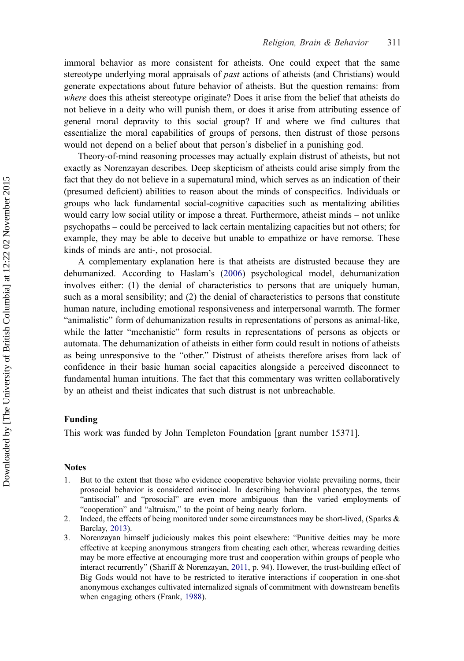<span id="page-46-0"></span>immoral behavior as more consistent for atheists. One could expect that the same stereotype underlying moral appraisals of *past* actions of atheists (and Christians) would generate expectations about future behavior of atheists. But the question remains: from where does this atheist stereotype originate? Does it arise from the belief that atheists do not believe in a deity who will punish them, or does it arise from attributing essence of general moral depravity to this social group? If and where we find cultures that essentialize the moral capabilities of groups of persons, then distrust of those persons would not depend on a belief about that person's disbelief in a punishing god.

Theory-of-mind reasoning processes may actually explain distrust of atheists, but not exactly as Norenzayan describes. Deep skepticism of atheists could arise simply from the fact that they do not believe in a supernatural mind, which serves as an indication of their (presumed deficient) abilities to reason about the minds of conspecifics. Individuals or groups who lack fundamental social-cognitive capacities such as mentalizing abilities would carry low social utility or impose a threat. Furthermore, atheist minds – not unlike psychopaths – could be perceived to lack certain mentalizing capacities but not others; for example, they may be able to deceive but unable to empathize or have remorse. These kinds of minds are anti-, not prosocial.

A complementary explanation here is that atheists are distrusted because they are dehumanized. According to Haslam's ([2006\)](#page-47-0) psychological model, dehumanization involves either: (1) the denial of characteristics to persons that are uniquely human, such as a moral sensibility; and (2) the denial of characteristics to persons that constitute human nature, including emotional responsiveness and interpersonal warmth. The former "animalistic" form of dehumanization results in representations of persons as animal-like, while the latter "mechanistic" form results in representations of persons as objects or automata. The dehumanization of atheists in either form could result in notions of atheists as being unresponsive to the "other." Distrust of atheists therefore arises from lack of confidence in their basic human social capacities alongside a perceived disconnect to fundamental human intuitions. The fact that this commentary was written collaboratively by an atheist and theist indicates that such distrust is not unbreachable.

### Funding

This work was funded by John Templeton Foundation [grant number 15371].

## **Notes**

- 1. But to the extent that those who evidence cooperative behavior violate prevailing norms, their prosocial behavior is considered antisocial. In describing behavioral phenotypes, the terms "antisocial" and "prosocial" are even more ambiguous than the varied employments of "cooperation" and "altruism," to the point of being nearly forlorn.
- 2. Indeed, the effects of being monitored under some circumstances may be short-lived, (Sparks & Barclay, [2013](#page-48-0)).
- 3. Norenzayan himself judiciously makes this point elsewhere: "Punitive deities may be more effective at keeping anonymous strangers from cheating each other, whereas rewarding deities may be more effective at encouraging more trust and cooperation within groups of people who interact recurrently" (Shariff & Norenzayan, [2011,](#page-48-0) p. 94). However, the trust-building effect of Big Gods would not have to be restricted to iterative interactions if cooperation in one-shot anonymous exchanges cultivated internalized signals of commitment with downstream benefits when engaging others (Frank, [1988\)](#page-47-0).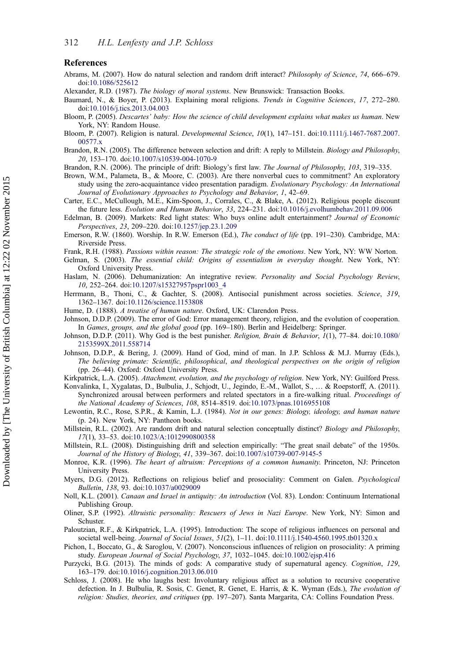#### <span id="page-47-0"></span>References

- Abrams, M. (2007). How do natural selection and random drift interact? Philosophy of Science, 74, 666–679. doi[:10.1086/525612](http://dx.doi.org/10.1086/525612)
- Alexander, R.D. (1987). The biology of moral systems. New Brunswick: Transaction Books.
- Baumard, N., & Boyer, P. (2013). Explaining moral religions. Trends in Cognitive Sciences, 17, 272–280. doi[:10.1016/j.tics.2013.04.003](http://dx.doi.org/10.1016/j.tics.2013.04.003)
- Bloom, P. (2005). Descartes' baby: How the science of child development explains what makes us human. New York, NY: Random House.
- Bloom, P. (2007). Religion is natural. Developmental Science, 10(1), 147–151. doi:[10.1111/j.1467-7687.2007.](http://dx.doi.org/10.1111/j.1467-7687.2007.00577.x) [00577.x](http://dx.doi.org/10.1111/j.1467-7687.2007.00577.x)
- Brandon, R.N. (2005). The difference between selection and drift: A reply to Millstein. Biology and Philosophy, 20, 153–170. doi[:10.1007/s10539-004-1070-9](http://dx.doi.org/10.1007/s10539-004-1070-9)
- Brandon, R.N. (2006). The principle of drift: Biology's first law. The Journal of Philosophy, 103, 319–335.
- Brown, W.M., Palameta, B., & Moore, C. (2003). Are there nonverbal cues to commitment? An exploratory study using the zero-acquaintance video presentation paradigm. Evolutionary Psychology: An International Journal of Evolutionary Approaches to Psychology and Behavior, 1, 42–69.
- Carter, E.C., McCullough, M.E., Kim-Spoon, J., Corrales, C., & Blake, A. (2012). Religious people discount the future less. Evolution and Human Behavior, 33, 224–231. doi[:10.1016/j.evolhumbehav.2011.09.006](http://dx.doi.org/10.1016/j.evolhumbehav.2011.09.006)
- Edelman, B. (2009). Markets: Red light states: Who buys online adult entertainment? Journal of Economic Perspectives, 23, 209–220. doi:[10.1257/jep.23.1.209](http://dx.doi.org/10.1257/jep.23.1.209)
- Emerson, R.W. (1860). Worship. In R.W. Emerson (Ed.), The conduct of life (pp. 191–230). Cambridge, MA: Riverside Press.
- Frank, R.H. (1988). Passions within reason: The strategic role of the emotions. New York, NY: WW Norton.
- Gelman, S. (2003). The essential child: Origins of essentialism in everyday thought. New York, NY: Oxford University Press.
- Haslam, N. (2006). Dehumanization: An integrative review. Personality and Social Psychology Review, 10, 252–264. doi[:10.1207/s15327957pspr1003\\_4](http://dx.doi.org/10.1207/s15327957pspr1003_4)
- Herrmann, B., Thoni, C., & Gachter, S. (2008). Antisocial punishment across societies. Science, 319, 1362–1367. doi:[10.1126/science.1153808](http://dx.doi.org/10.1126/science.1153808)
- Hume, D. (1888). A treatise of human nature. Oxford, UK: Clarendon Press.
- Johnson, D.D.P. (2009). The error of God: Error management theory, religion, and the evolution of cooperation. In Games, groups, and the global good (pp. 169–180). Berlin and Heidelberg: Springer.
- Johnson, D.D.P. (2011). Why God is the best punisher. Religion, Brain & Behavior, 1(1), 77–84. doi[:10.1080/](http://dx.doi.org/10.1080/2153599X.2011.558714) [2153599X.2011.558714](http://dx.doi.org/10.1080/2153599X.2011.558714)
- Johnson, D.D.P., & Bering, J. (2009). Hand of God, mind of man. In J.P. Schloss & M.J. Murray (Eds.), The believing primate: Scientific, philosophical, and theological perspectives on the origin of religion (pp. 26–44). Oxford: Oxford University Press.
- Kirkpatrick, L.A. (2005). Attachment, evolution, and the psychology of religion. New York, NY: Guilford Press.
- Konvalinka, I., Xygalatas, D., Bulbulia, J., Schjodt, U., Jegindo, E.-M., Wallot, S., … & Roepstorff, A. (2011). Synchronized arousal between performers and related spectators in a fire-walking ritual. Proceedings of the National Academy of Sciences, 108, 8514–8519. doi:[10.1073/pnas.1016955108](http://dx.doi.org/10.1073/pnas.1016955108)
- Lewontin, R.C., Rose, S.P.R., & Kamin, L.J. (1984). Not in our genes: Biology, ideology, and human nature (p. 24). New York, NY: Pantheon books.
- Millstein, R.L. (2002). Are random drift and natural selection conceptually distinct? Biology and Philosophy, 17(1), 33–53. doi[:10.1023/A:1012990800358](http://dx.doi.org/10.1023/A:1012990800358)
- Millstein, R.L. (2008). Distinguishing drift and selection empirically: "The great snail debate" of the 1950s. Journal of the History of Biology, 41, 339–367. doi[:10.1007/s10739-007-9145-5](http://dx.doi.org/10.1007/s10739-007-9145-5)
- Monroe, K.R. (1996). The heart of altruism: Perceptions of a common humanity. Princeton, NJ: Princeton University Press.
- Myers, D.G. (2012). Reflections on religious belief and prosociality: Comment on Galen. Psychological Bulletin, 138, 93. doi:[10.1037/a0029009](http://dx.doi.org/10.1037/a0029009)
- Noll, K.L. (2001). Canaan and Israel in antiquity: An introduction (Vol. 83). London: Continuum International Publishing Group.
- Oliner, S.P. (1992). Altruistic personality: Rescuers of Jews in Nazi Europe. New York, NY: Simon and Schuster.
- Paloutzian, R.F., & Kirkpatrick, L.A. (1995). Introduction: The scope of religious influences on personal and societal well-being. Journal of Social Issues, 51(2), 1-11. doi[:10.1111/j.1540-4560.1995.tb01320.x](http://dx.doi.org/10.1111/j.1540-4560.1995.tb01320.x)
- Pichon, I., Boccato, G., & Saroglou, V. (2007). Nonconscious influences of religion on prosociality: A priming study. European Journal of Social Psychology, 37, 1032–1045. doi[:10.1002/ejsp.416](http://dx.doi.org/10.1002/ejsp.416)
- Purzycki, B.G. (2013). The minds of gods: A comparative study of supernatural agency. Cognition, 129, 163–179. doi:[10.1016/j.cognition.2013.06.010](http://dx.doi.org/10.1016/j.cognition.2013.06.010)
- Schloss, J. (2008). He who laughs best: Involuntary religious affect as a solution to recursive cooperative defection. In J. Bulbulia, R. Sosis, C. Genet, R. Genet, E. Harris, & K. Wyman (Eds.), The evolution of religion: Studies, theories, and critiques (pp. 197–207). Santa Margarita, CA: Collins Foundation Press.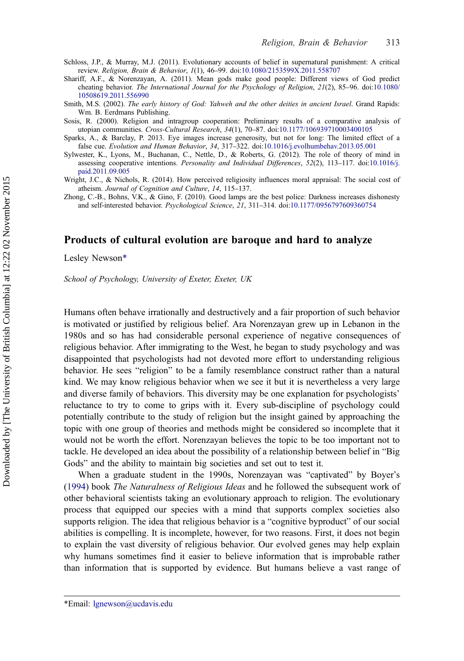<span id="page-48-0"></span>Schloss, J.P., & Murray, M.J. (2011). Evolutionary accounts of belief in supernatural punishment: A critical review. Religion, Brain & Behavior, 1(1), 46–99. doi:[10.1080/2153599X.2011.558707](http://dx.doi.org/10.1080/2153599X.2011.558707)

- Shariff, A.F., & Norenzayan, A. (2011). Mean gods make good people: Different views of God predict cheating behavior. The International Journal for the Psychology of Religion, 21(2), 85–96. doi[:10.1080/](http://dx.doi.org/10.1080/10508619.2011.556990) [10508619.2011.556990](http://dx.doi.org/10.1080/10508619.2011.556990)
- Smith, M.S. (2002). The early history of God: Yahweh and the other deities in ancient Israel. Grand Rapids: Wm. B. Eerdmans Publishing.
- Sosis, R. (2000). Religion and intragroup cooperation: Preliminary results of a comparative analysis of utopian communities. Cross-Cultural Research, 34(1), 70–87. doi:[10.1177/106939710003400105](http://dx.doi.org/10.1177/106939710003400105)
- Sparks, A., & Barclay, P. 2013. Eye images increase generosity, but not for long: The limited effect of a false cue. Evolution and Human Behavior, 34, 317–322. doi[:10.1016/j.evolhumbehav.2013.05.001](http://dx.doi.org/10.1016/j.evolhumbehav.2013.05.001)
- Sylwester, K., Lyons, M., Buchanan, C., Nettle, D., & Roberts, G. (2012). The role of theory of mind in assessing cooperative intentions. Personality and Individual Differences, 52(2), 113–117. doi[:10.1016/j.](http://dx.doi.org/10.1016/j.paid.2011.09.005) [paid.2011.09.005](http://dx.doi.org/10.1016/j.paid.2011.09.005)
- Wright, J.C., & Nichols, R. (2014). How perceived religiosity influences moral appraisal: The social cost of atheism. Journal of Cognition and Culture, 14, 115–137.
- Zhong, C.-B., Bohns, V.K., & Gino, F. (2010). Good lamps are the best police: Darkness increases dishonesty and self-interested behavior. Psychological Science, 21, 311–314. doi:[10.1177/0956797609360754](http://dx.doi.org/10.1177/0956797609360754)

# Products of cultural evolution are baroque and hard to analyze

Lesley Newso[n\\*](#page-1-0)

School of Psychology, University of Exeter, Exeter, UK

Humans often behave irrationally and destructively and a fair proportion of such behavior is motivated or justified by religious belief. Ara Norenzayan grew up in Lebanon in the 1980s and so has had considerable personal experience of negative consequences of religious behavior. After immigrating to the West, he began to study psychology and was disappointed that psychologists had not devoted more effort to understanding religious behavior. He sees "religion" to be a family resemblance construct rather than a natural kind. We may know religious behavior when we see it but it is nevertheless a very large and diverse family of behaviors. This diversity may be one explanation for psychologists' reluctance to try to come to grips with it. Every sub-discipline of psychology could potentially contribute to the study of religion but the insight gained by approaching the topic with one group of theories and methods might be considered so incomplete that it would not be worth the effort. Norenzayan believes the topic to be too important not to tackle. He developed an idea about the possibility of a relationship between belief in "Big Gods" and the ability to maintain big societies and set out to test it.

When a graduate student in the 1990s, Norenzayan was "captivated" by Boyer's [\(1994](#page-52-0)) book The Naturalness of Religious Ideas and he followed the subsequent work of other behavioral scientists taking an evolutionary approach to religion. The evolutionary process that equipped our species with a mind that supports complex societies also supports religion. The idea that religious behavior is a "cognitive byproduct" of our social abilities is compelling. It is incomplete, however, for two reasons. First, it does not begin to explain the vast diversity of religious behavior. Our evolved genes may help explain why humans sometimes find it easier to believe information that is improbable rather than information that is supported by evidence. But humans believe a vast range of

<sup>\*</sup>Email: [lgnewson@ucdavis.edu](mailto:lgnewson@ucdavis.edu)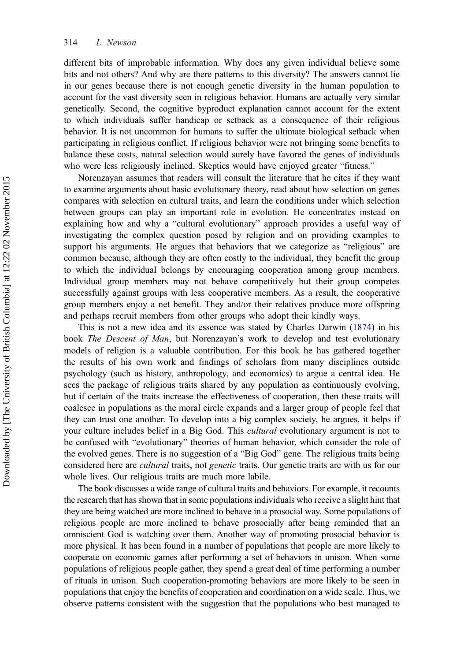different bits of improbable information. Why does any given individual believe some bits and not others? And why are there patterns to this diversity? The answers cannot lie in our genes because there is not enough genetic diversity in the human population to account for the vast diversity seen in religious behavior. Humans are actually very similar genetically. Second, the cognitive byproduct explanation cannot account for the extent to which individuals suffer handicap or setback as a consequence of their religious behavior. It is not uncommon for humans to suffer the ultimate biological setback when participating in religious conflict. If religious behavior were not bringing some benefits to balance these costs, natural selection would surely have favored the genes of individuals who were less religiously inclined. Skeptics would have enjoyed greater "fitness."

Norenzayan assumes that readers will consult the literature that he cites if they want to examine arguments about basic evolutionary theory, read about how selection on genes compares with selection on cultural traits, and learn the conditions under which selection between groups can play an important role in evolution. He concentrates instead on explaining how and why a "cultural evolutionary" approach provides a useful way of investigating the complex question posed by religion and on providing examples to support his arguments. He argues that behaviors that we categorize as "religious" are common because, although they are often costly to the individual, they benefit the group to which the individual belongs by encouraging cooperation among group members. Individual group members may not behave competitively but their group competes successfully against groups with less cooperative members. As a result, the cooperative group members enjoy a net benefit. They and/or their relatives produce more offspring and perhaps recruit members from other groups who adopt their kindly ways.

This is not a new idea and its essence was stated by Charles Darwin [\(1874](#page-52-0)) in his book The Descent of Man, but Norenzayan's work to develop and test evolutionary models of religion is a valuable contribution. For this book he has gathered together the results of his own work and findings of scholars from many disciplines outside psychology (such as history, anthropology, and economics) to argue a central idea. He sees the package of religious traits shared by any population as continuously evolving, but if certain of the traits increase the effectiveness of cooperation, then these traits will coalesce in populations as the moral circle expands and a larger group of people feel that they can trust one another. To develop into a big complex society, he argues, it helps if your culture includes belief in a Big God. This cultural evolutionary argument is not to be confused with "evolutionary" theories of human behavior, which consider the role of the evolved genes. There is no suggestion of a "Big God" gene. The religious traits being considered here are *cultural* traits, not *genetic* traits. Our genetic traits are with us for our whole lives. Our religious traits are much more labile.

The book discusses a wide range of cultural traits and behaviors. For example, it recounts the research that has shown that in some populations individuals who receive a slight hint that they are being watched are more inclined to behave in a prosocial way. Some populations of religious people are more inclined to behave prosocially after being reminded that an omniscient God is watching over them. Another way of promoting prosocial behavior is more physical. It has been found in a number of populations that people are more likely to cooperate on economic games after performing a set of behaviors in unison. When some populations of religious people gather, they spend a great deal of time performing a number of rituals in unison. Such cooperation-promoting behaviors are more likely to be seen in populations that enjoy the benefits of cooperation and coordination on a wide scale. Thus, we observe patterns consistent with the suggestion that the populations who best managed to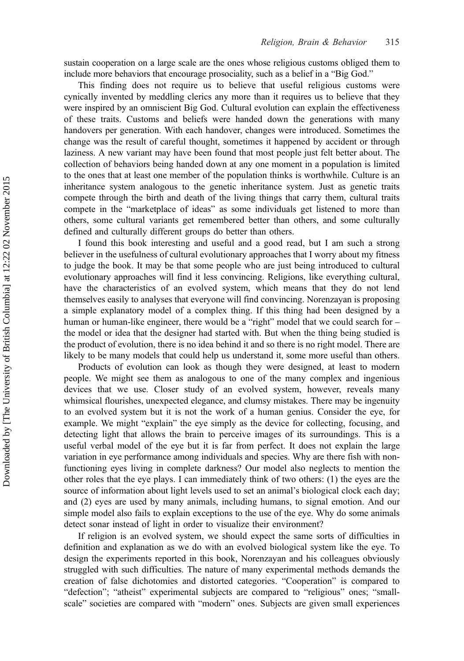sustain cooperation on a large scale are the ones whose religious customs obliged them to include more behaviors that encourage prosociality, such as a belief in a "Big God."

This finding does not require us to believe that useful religious customs were cynically invented by meddling clerics any more than it requires us to believe that they were inspired by an omniscient Big God. Cultural evolution can explain the effectiveness of these traits. Customs and beliefs were handed down the generations with many handovers per generation. With each handover, changes were introduced. Sometimes the change was the result of careful thought, sometimes it happened by accident or through laziness. A new variant may have been found that most people just felt better about. The collection of behaviors being handed down at any one moment in a population is limited to the ones that at least one member of the population thinks is worthwhile. Culture is an inheritance system analogous to the genetic inheritance system. Just as genetic traits compete through the birth and death of the living things that carry them, cultural traits compete in the "marketplace of ideas" as some individuals get listened to more than others, some cultural variants get remembered better than others, and some culturally defined and culturally different groups do better than others.

I found this book interesting and useful and a good read, but I am such a strong believer in the usefulness of cultural evolutionary approaches that I worry about my fitness to judge the book. It may be that some people who are just being introduced to cultural evolutionary approaches will find it less convincing. Religions, like everything cultural, have the characteristics of an evolved system, which means that they do not lend themselves easily to analyses that everyone will find convincing. Norenzayan is proposing a simple explanatory model of a complex thing. If this thing had been designed by a human or human-like engineer, there would be a "right" model that we could search for – the model or idea that the designer had started with. But when the thing being studied is the product of evolution, there is no idea behind it and so there is no right model. There are likely to be many models that could help us understand it, some more useful than others.

Products of evolution can look as though they were designed, at least to modern people. We might see them as analogous to one of the many complex and ingenious devices that we use. Closer study of an evolved system, however, reveals many whimsical flourishes, unexpected elegance, and clumsy mistakes. There may be ingenuity to an evolved system but it is not the work of a human genius. Consider the eye, for example. We might "explain" the eye simply as the device for collecting, focusing, and detecting light that allows the brain to perceive images of its surroundings. This is a useful verbal model of the eye but it is far from perfect. It does not explain the large variation in eye performance among individuals and species. Why are there fish with nonfunctioning eyes living in complete darkness? Our model also neglects to mention the other roles that the eye plays. I can immediately think of two others: (1) the eyes are the source of information about light levels used to set an animal's biological clock each day; and (2) eyes are used by many animals, including humans, to signal emotion. And our simple model also fails to explain exceptions to the use of the eye. Why do some animals detect sonar instead of light in order to visualize their environment?

If religion is an evolved system, we should expect the same sorts of difficulties in definition and explanation as we do with an evolved biological system like the eye. To design the experiments reported in this book, Norenzayan and his colleagues obviously struggled with such difficulties. The nature of many experimental methods demands the creation of false dichotomies and distorted categories. "Cooperation" is compared to "defection"; "atheist" experimental subjects are compared to "religious" ones; "smallscale" societies are compared with "modern" ones. Subjects are given small experiences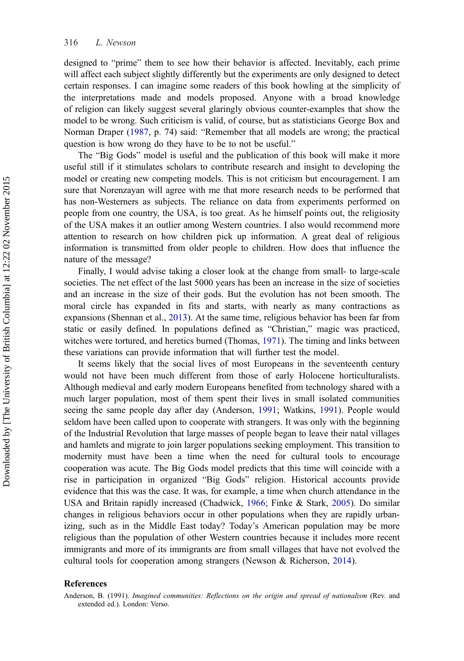designed to "prime" them to see how their behavior is affected. Inevitably, each prime will affect each subject slightly differently but the experiments are only designed to detect certain responses. I can imagine some readers of this book howling at the simplicity of the interpretations made and models proposed. Anyone with a broad knowledge of religion can likely suggest several glaringly obvious counter-examples that show the model to be wrong. Such criticism is valid, of course, but as statisticians George Box and Norman Draper [\(1987](#page-52-0), p. 74) said: "Remember that all models are wrong; the practical question is how wrong do they have to be to not be useful."

The "Big Gods" model is useful and the publication of this book will make it more useful still if it stimulates scholars to contribute research and insight to developing the model or creating new competing models. This is not criticism but encouragement. I am sure that Norenzayan will agree with me that more research needs to be performed that has non-Westerners as subjects. The reliance on data from experiments performed on people from one country, the USA, is too great. As he himself points out, the religiosity of the USA makes it an outlier among Western countries. I also would recommend more attention to research on how children pick up information. A great deal of religious information is transmitted from older people to children. How does that influence the nature of the message?

Finally, I would advise taking a closer look at the change from small- to large-scale societies. The net effect of the last 5000 years has been an increase in the size of societies and an increase in the size of their gods. But the evolution has not been smooth. The moral circle has expanded in fits and starts, with nearly as many contractions as expansions (Shennan et al., [2013](#page-52-0)). At the same time, religious behavior has been far from static or easily defined. In populations defined as "Christian," magic was practiced, witches were tortured, and heretics burned (Thomas, [1971\)](#page-52-0). The timing and links between these variations can provide information that will further test the model.

It seems likely that the social lives of most Europeans in the seventeenth century would not have been much different from those of early Holocene horticulturalists. Although medieval and early modern Europeans benefited from technology shared with a much larger population, most of them spent their lives in small isolated communities seeing the same people day after day (Anderson, 1991; Watkins, [1991\)](#page-52-0). People would seldom have been called upon to cooperate with strangers. It was only with the beginning of the Industrial Revolution that large masses of people began to leave their natal villages and hamlets and migrate to join larger populations seeking employment. This transition to modernity must have been a time when the need for cultural tools to encourage cooperation was acute. The Big Gods model predicts that this time will coincide with a rise in participation in organized "Big Gods" religion. Historical accounts provide evidence that this was the case. It was, for example, a time when church attendance in the USA and Britain rapidly increased (Chadwick, [1966](#page-52-0); Finke & Stark, [2005\)](#page-52-0). Do similar changes in religious behaviors occur in other populations when they are rapidly urbanizing, such as in the Middle East today? Today's American population may be more religious than the population of other Western countries because it includes more recent immigrants and more of its immigrants are from small villages that have not evolved the cultural tools for cooperation among strangers (Newson & Richerson, [2014](#page-52-0)).

#### References

Anderson, B. (1991). Imagined communities: Reflections on the origin and spread of nationalism (Rev. and extended ed.). London: Verso.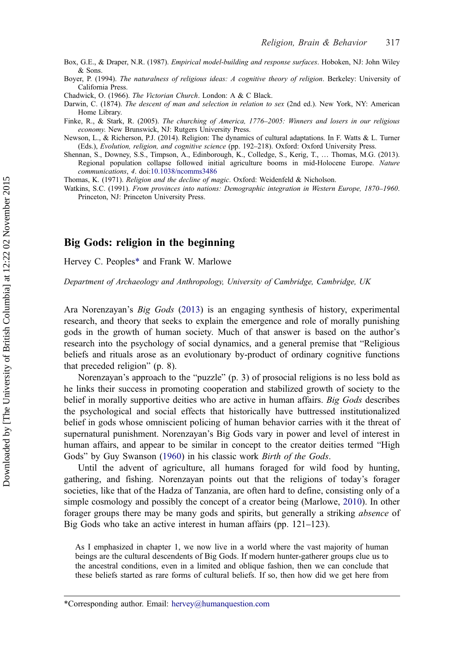- <span id="page-52-0"></span>Box, G.E., & Draper, N.R. (1987). Empirical model-building and response surfaces. Hoboken, NJ: John Wiley & Sons.
- Boyer, P. (1994). The naturalness of religious ideas: A cognitive theory of religion. Berkeley: University of California Press.

Chadwick, O. (1966). The Victorian Church. London: A & C Black.

- Darwin, C. (1874). The descent of man and selection in relation to sex (2nd ed.). New York, NY: American Home Library.
- Finke, R., & Stark, R. (2005). The churching of America, 1776–2005: Winners and losers in our religious economy. New Brunswick, NJ: Rutgers University Press.
- Newson, L., & Richerson, P.J. (2014). Religion: The dynamics of cultural adaptations. In F. Watts & L. Turner (Eds.), Evolution, religion, and cognitive science (pp. 192–218). Oxford: Oxford University Press.
- Shennan, S., Downey, S.S., Timpson, A., Edinborough, K., Colledge, S., Kerig, T., … Thomas, M.G. (2013). Regional population collapse followed initial agriculture booms in mid-Holocene Europe. Nature communications, 4. doi[:10.1038/ncomms3486](http://dx.doi.org/10.1038/ncomms3486)

Thomas, K. (1971). Religion and the decline of magic. Oxford: Weidenfeld & Nicholson.

Watkins, S.C. (1991). From provinces into nations: Demographic integration in Western Europe, 1870–1960. Princeton, NJ: Princeton University Press.

## Big Gods: religion in the beginning

Hervey C. Peoples[\\*](#page-1-0) and Frank W. Marlowe

Department of Archaeology and Anthropology, University of Cambridge, Cambridge, UK

Ara Norenzayan's Big Gods [\(2013\)](#page-57-0) is an engaging synthesis of history, experimental research, and theory that seeks to explain the emergence and role of morally punishing gods in the growth of human society. Much of that answer is based on the author's research into the psychology of social dynamics, and a general premise that "Religious beliefs and rituals arose as an evolutionary by-product of ordinary cognitive functions that preceded religion" (p. 8).

Norenzayan's approach to the "puzzle" (p. 3) of prosocial religions is no less bold as he links their success in promoting cooperation and stabilized growth of society to the belief in morally supportive deities who are active in human affairs. Big Gods describes the psychological and social effects that historically have buttressed institutionalized belief in gods whose omniscient policing of human behavior carries with it the threat of supernatural punishment. Norenzayan's Big Gods vary in power and level of interest in human affairs, and appear to be similar in concept to the creator deities termed "High Gods" by Guy Swanson ([1960\)](#page-58-0) in his classic work *Birth of the Gods*.

Until the advent of agriculture, all humans foraged for wild food by hunting, gathering, and fishing. Norenzayan points out that the religions of today's forager societies, like that of the Hadza of Tanzania, are often hard to define, consisting only of a simple cosmology and possibly the concept of a creator being (Marlowe, [2010\)](#page-57-0). In other forager groups there may be many gods and spirits, but generally a striking absence of Big Gods who take an active interest in human affairs (pp. 121–123).

As I emphasized in chapter 1, we now live in a world where the vast majority of human beings are the cultural descendents of Big Gods. If modern hunter-gatherer groups clue us to the ancestral conditions, even in a limited and oblique fashion, then we can conclude that these beliefs started as rare forms of cultural beliefs. If so, then how did we get here from

<sup>\*</sup>Corresponding author. Email: [hervey@humanquestion.com](mailto:hervey@humanquestion.com)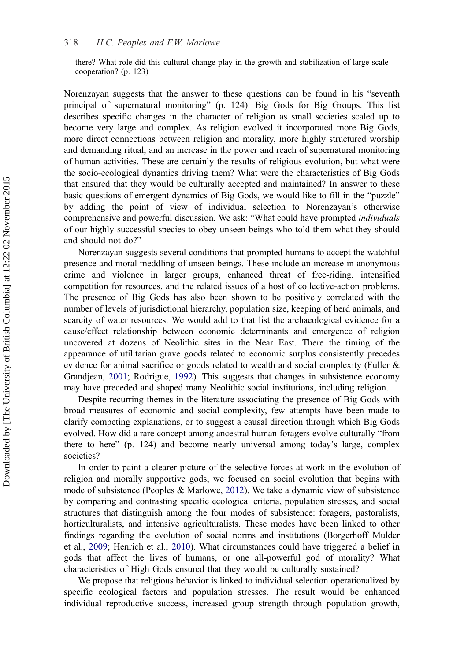there? What role did this cultural change play in the growth and stabilization of large-scale cooperation? (p. 123)

Norenzayan suggests that the answer to these questions can be found in his "seventh principal of supernatural monitoring" (p. 124): Big Gods for Big Groups. This list describes specific changes in the character of religion as small societies scaled up to become very large and complex. As religion evolved it incorporated more Big Gods, more direct connections between religion and morality, more highly structured worship and demanding ritual, and an increase in the power and reach of supernatural monitoring of human activities. These are certainly the results of religious evolution, but what were the socio-ecological dynamics driving them? What were the characteristics of Big Gods that ensured that they would be culturally accepted and maintained? In answer to these basic questions of emergent dynamics of Big Gods, we would like to fill in the "puzzle" by adding the point of view of individual selection to Norenzayan's otherwise comprehensive and powerful discussion. We ask: "What could have prompted individuals of our highly successful species to obey unseen beings who told them what they should and should not do?"

Norenzayan suggests several conditions that prompted humans to accept the watchful presence and moral meddling of unseen beings. These include an increase in anonymous crime and violence in larger groups, enhanced threat of free-riding, intensified competition for resources, and the related issues of a host of collective-action problems. The presence of Big Gods has also been shown to be positively correlated with the number of levels of jurisdictional hierarchy, population size, keeping of herd animals, and scarcity of water resources. We would add to that list the archaeological evidence for a cause/effect relationship between economic determinants and emergence of religion uncovered at dozens of Neolithic sites in the Near East. There the timing of the appearance of utilitarian grave goods related to economic surplus consistently precedes evidence for animal sacrifice or goods related to wealth and social complexity (Fuller & Grandjean, [2001;](#page-57-0) Rodrigue, [1992](#page-57-0)). This suggests that changes in subsistence economy may have preceded and shaped many Neolithic social institutions, including religion.

Despite recurring themes in the literature associating the presence of Big Gods with broad measures of economic and social complexity, few attempts have been made to clarify competing explanations, or to suggest a causal direction through which Big Gods evolved. How did a rare concept among ancestral human foragers evolve culturally "from there to here" (p. 124) and become nearly universal among today's large, complex societies?

In order to paint a clearer picture of the selective forces at work in the evolution of religion and morally supportive gods, we focused on social evolution that begins with mode of subsistence (Peoples & Marlowe, [2012\)](#page-57-0). We take a dynamic view of subsistence by comparing and contrasting specific ecological criteria, population stresses, and social structures that distinguish among the four modes of subsistence: foragers, pastoralists, horticulturalists, and intensive agriculturalists. These modes have been linked to other findings regarding the evolution of social norms and institutions (Borgerhoff Mulder et al., [2009](#page-57-0); Henrich et al., [2010\)](#page-57-0). What circumstances could have triggered a belief in gods that affect the lives of humans, or one all-powerful god of morality? What characteristics of High Gods ensured that they would be culturally sustained?

We propose that religious behavior is linked to individual selection operationalized by specific ecological factors and population stresses. The result would be enhanced individual reproductive success, increased group strength through population growth,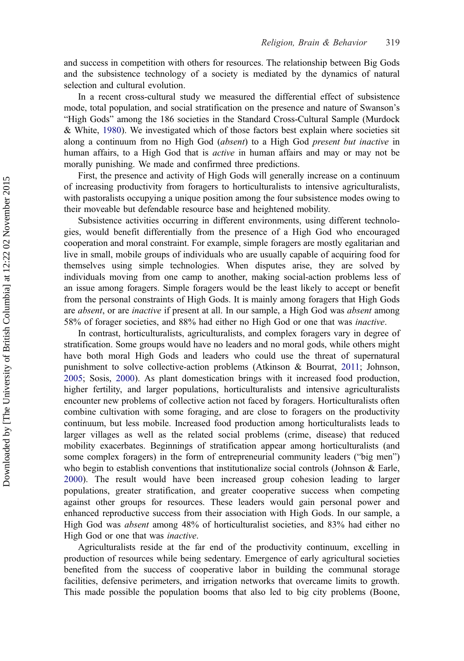and success in competition with others for resources. The relationship between Big Gods and the subsistence technology of a society is mediated by the dynamics of natural selection and cultural evolution.

In a recent cross-cultural study we measured the differential effect of subsistence mode, total population, and social stratification on the presence and nature of Swanson's "High Gods" among the 186 societies in the Standard Cross-Cultural Sample (Murdock & White, [1980](#page-57-0)). We investigated which of those factors best explain where societies sit along a continuum from no High God (*absent*) to a High God *present but inactive* in human affairs, to a High God that is active in human affairs and may or may not be morally punishing. We made and confirmed three predictions.

First, the presence and activity of High Gods will generally increase on a continuum of increasing productivity from foragers to horticulturalists to intensive agriculturalists, with pastoralists occupying a unique position among the four subsistence modes owing to their moveable but defendable resource base and heightened mobility.

Subsistence activities occurring in different environments, using different technologies, would benefit differentially from the presence of a High God who encouraged cooperation and moral constraint. For example, simple foragers are mostly egalitarian and live in small, mobile groups of individuals who are usually capable of acquiring food for themselves using simple technologies. When disputes arise, they are solved by individuals moving from one camp to another, making social-action problems less of an issue among foragers. Simple foragers would be the least likely to accept or benefit from the personal constraints of High Gods. It is mainly among foragers that High Gods are *absent*, or are *inactive* if present at all. In our sample, a High God was *absent* among 58% of forager societies, and 88% had either no High God or one that was inactive.

In contrast, horticulturalists, agriculturalists, and complex foragers vary in degree of stratification. Some groups would have no leaders and no moral gods, while others might have both moral High Gods and leaders who could use the threat of supernatural punishment to solve collective-action problems (Atkinson & Bourrat, [2011;](#page-57-0) Johnson, [2005;](#page-57-0) Sosis, [2000](#page-58-0)). As plant domestication brings with it increased food production, higher fertility, and larger populations, horticulturalists and intensive agriculturalists encounter new problems of collective action not faced by foragers. Horticulturalists often combine cultivation with some foraging, and are close to foragers on the productivity continuum, but less mobile. Increased food production among horticulturalists leads to larger villages as well as the related social problems (crime, disease) that reduced mobility exacerbates. Beginnings of stratification appear among horticulturalists (and some complex foragers) in the form of entrepreneurial community leaders ("big men") who begin to establish conventions that institutionalize social controls (Johnson  $\&$  Earle, [2000\)](#page-57-0). The result would have been increased group cohesion leading to larger populations, greater stratification, and greater cooperative success when competing against other groups for resources. These leaders would gain personal power and enhanced reproductive success from their association with High Gods. In our sample, a High God was absent among 48% of horticulturalist societies, and 83% had either no High God or one that was inactive.

Agriculturalists reside at the far end of the productivity continuum, excelling in production of resources while being sedentary. Emergence of early agricultural societies benefited from the success of cooperative labor in building the communal storage facilities, defensive perimeters, and irrigation networks that overcame limits to growth. This made possible the population booms that also led to big city problems (Boone,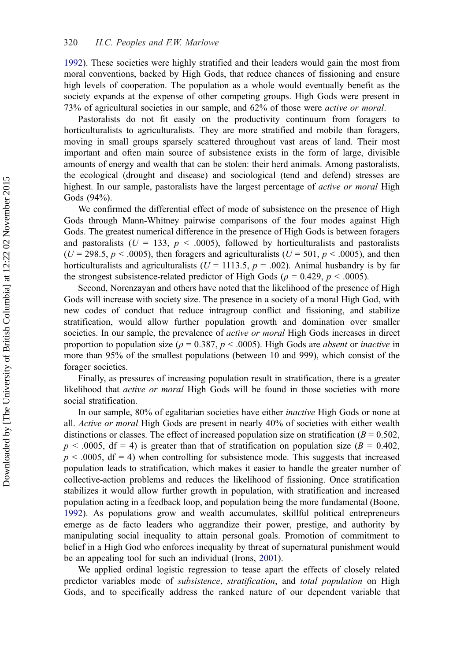[1992\)](#page-57-0). These societies were highly stratified and their leaders would gain the most from moral conventions, backed by High Gods, that reduce chances of fissioning and ensure high levels of cooperation. The population as a whole would eventually benefit as the society expands at the expense of other competing groups. High Gods were present in 73% of agricultural societies in our sample, and 62% of those were active or moral.

Pastoralists do not fit easily on the productivity continuum from foragers to horticulturalists to agriculturalists. They are more stratified and mobile than foragers, moving in small groups sparsely scattered throughout vast areas of land. Their most important and often main source of subsistence exists in the form of large, divisible amounts of energy and wealth that can be stolen: their herd animals. Among pastoralists, the ecological (drought and disease) and sociological (tend and defend) stresses are highest. In our sample, pastoralists have the largest percentage of *active or moral* High Gods (94%).

We confirmed the differential effect of mode of subsistence on the presence of High Gods through Mann-Whitney pairwise comparisons of the four modes against High Gods. The greatest numerical difference in the presence of High Gods is between foragers and pastoralists ( $U = 133$ ,  $p < .0005$ ), followed by horticulturalists and pastoralists ( $U = 298.5$ ,  $p < .0005$ ), then foragers and agriculturalists ( $U = 501$ ,  $p < .0005$ ), and then horticulturalists and agriculturalists ( $U = 1113.5$ ,  $p = .002$ ). Animal husbandry is by far the strongest subsistence-related predictor of High Gods ( $\rho = 0.429$ ,  $p < .0005$ ).

Second, Norenzayan and others have noted that the likelihood of the presence of High Gods will increase with society size. The presence in a society of a moral High God, with new codes of conduct that reduce intragroup conflict and fissioning, and stabilize stratification, would allow further population growth and domination over smaller societies. In our sample, the prevalence of *active or moral* High Gods increases in direct proportion to population size ( $\rho = 0.387$ ,  $p < .0005$ ). High Gods are *absent* or *inactive* in more than 95% of the smallest populations (between 10 and 999), which consist of the forager societies.

Finally, as pressures of increasing population result in stratification, there is a greater likelihood that *active or moral* High Gods will be found in those societies with more social stratification.

In our sample, 80% of egalitarian societies have either inactive High Gods or none at all. Active or moral High Gods are present in nearly 40% of societies with either wealth distinctions or classes. The effect of increased population size on stratification ( $B = 0.502$ ,  $p < .0005$ , df = 4) is greater than that of stratification on population size ( $B = 0.402$ ,  $p < .0005$ , df = 4) when controlling for subsistence mode. This suggests that increased population leads to stratification, which makes it easier to handle the greater number of collective-action problems and reduces the likelihood of fissioning. Once stratification stabilizes it would allow further growth in population, with stratification and increased population acting in a feedback loop, and population being the more fundamental (Boone, [1992\)](#page-57-0). As populations grow and wealth accumulates, skillful political entrepreneurs emerge as de facto leaders who aggrandize their power, prestige, and authority by manipulating social inequality to attain personal goals. Promotion of commitment to belief in a High God who enforces inequality by threat of supernatural punishment would be an appealing tool for such an individual (Irons, [2001\)](#page-57-0).

We applied ordinal logistic regression to tease apart the effects of closely related predictor variables mode of *subsistence*, *stratification*, and *total population* on High Gods, and to specifically address the ranked nature of our dependent variable that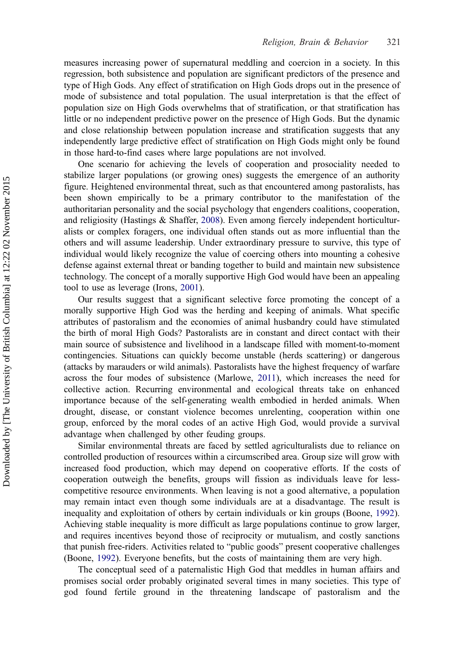measures increasing power of supernatural meddling and coercion in a society. In this regression, both subsistence and population are significant predictors of the presence and type of High Gods. Any effect of stratification on High Gods drops out in the presence of mode of subsistence and total population. The usual interpretation is that the effect of population size on High Gods overwhelms that of stratification, or that stratification has little or no independent predictive power on the presence of High Gods. But the dynamic and close relationship between population increase and stratification suggests that any independently large predictive effect of stratification on High Gods might only be found in those hard-to-find cases where large populations are not involved.

One scenario for achieving the levels of cooperation and prosociality needed to stabilize larger populations (or growing ones) suggests the emergence of an authority figure. Heightened environmental threat, such as that encountered among pastoralists, has been shown empirically to be a primary contributor to the manifestation of the authoritarian personality and the social psychology that engenders coalitions, cooperation, and religiosity (Hastings & Shaffer, [2008\)](#page-57-0). Even among fiercely independent horticulturalists or complex foragers, one individual often stands out as more influential than the others and will assume leadership. Under extraordinary pressure to survive, this type of individual would likely recognize the value of coercing others into mounting a cohesive defense against external threat or banding together to build and maintain new subsistence technology. The concept of a morally supportive High God would have been an appealing tool to use as leverage (Irons, [2001\)](#page-57-0).

Our results suggest that a significant selective force promoting the concept of a morally supportive High God was the herding and keeping of animals. What specific attributes of pastoralism and the economies of animal husbandry could have stimulated the birth of moral High Gods? Pastoralists are in constant and direct contact with their main source of subsistence and livelihood in a landscape filled with moment-to-moment contingencies. Situations can quickly become unstable (herds scattering) or dangerous (attacks by marauders or wild animals). Pastoralists have the highest frequency of warfare across the four modes of subsistence (Marlowe, [2011\)](#page-57-0), which increases the need for collective action. Recurring environmental and ecological threats take on enhanced importance because of the self-generating wealth embodied in herded animals. When drought, disease, or constant violence becomes unrelenting, cooperation within one group, enforced by the moral codes of an active High God, would provide a survival advantage when challenged by other feuding groups.

Similar environmental threats are faced by settled agriculturalists due to reliance on controlled production of resources within a circumscribed area. Group size will grow with increased food production, which may depend on cooperative efforts. If the costs of cooperation outweigh the benefits, groups will fission as individuals leave for lesscompetitive resource environments. When leaving is not a good alternative, a population may remain intact even though some individuals are at a disadvantage. The result is inequality and exploitation of others by certain individuals or kin groups (Boone, [1992](#page-57-0)). Achieving stable inequality is more difficult as large populations continue to grow larger, and requires incentives beyond those of reciprocity or mutualism, and costly sanctions that punish free-riders. Activities related to "public goods" present cooperative challenges (Boone, [1992](#page-57-0)). Everyone benefits, but the costs of maintaining them are very high.

The conceptual seed of a paternalistic High God that meddles in human affairs and promises social order probably originated several times in many societies. This type of god found fertile ground in the threatening landscape of pastoralism and the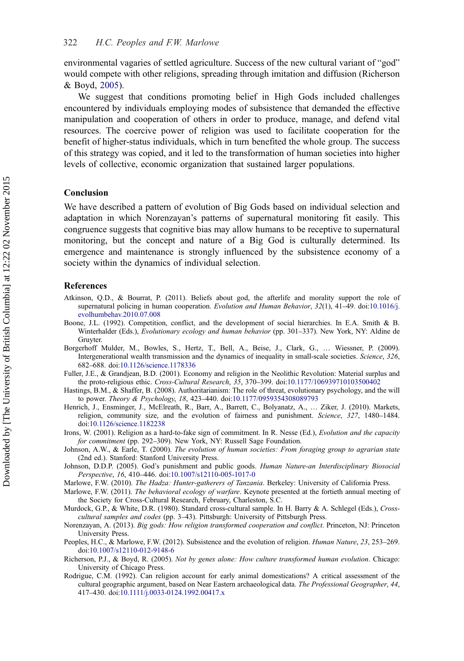<span id="page-57-0"></span>environmental vagaries of settled agriculture. Success of the new cultural variant of "god" would compete with other religions, spreading through imitation and diffusion (Richerson & Boyd, 2005).

We suggest that conditions promoting belief in High Gods included challenges encountered by individuals employing modes of subsistence that demanded the effective manipulation and cooperation of others in order to produce, manage, and defend vital resources. The coercive power of religion was used to facilitate cooperation for the benefit of higher-status individuals, which in turn benefited the whole group. The success of this strategy was copied, and it led to the transformation of human societies into higher levels of collective, economic organization that sustained larger populations.

#### Conclusion

We have described a pattern of evolution of Big Gods based on individual selection and adaptation in which Norenzayan's patterns of supernatural monitoring fit easily. This congruence suggests that cognitive bias may allow humans to be receptive to supernatural monitoring, but the concept and nature of a Big God is culturally determined. Its emergence and maintenance is strongly influenced by the subsistence economy of a society within the dynamics of individual selection.

### References

- Atkinson, Q.D., & Bourrat, P. (2011). Beliefs about god, the afterlife and morality support the role of supernatural policing in human cooperation. Evolution and Human Behavior, 32(1), 41-49. doi[:10.1016/j.](http://dx.doi.org/10.1016/j.evolhumbehav.2010.07.008) [evolhumbehav.2010.07.008](http://dx.doi.org/10.1016/j.evolhumbehav.2010.07.008)
- Boone, J.L. (1992). Competition, conflict, and the development of social hierarchies. In E.A. Smith & B. Winterhalder (Eds.), Evolutionary ecology and human behavior (pp. 301–337). New York, NY: Aldine de Gruyter.
- Borgerhoff Mulder, M., Bowles, S., Hertz, T., Bell, A., Beise, J., Clark, G., … Wiessner, P. (2009). Intergenerational wealth transmission and the dynamics of inequality in small-scale societies. Science, 326, 682–688. doi:[10.1126/science.1178336](http://dx.doi.org/10.1126/science.1178336)
- Fuller, J.E., & Grandjean, B.D. (2001). Economy and religion in the Neolithic Revolution: Material surplus and the proto-religious ethic. Cross-Cultural Research, 35, 370–399. doi:[10.1177/106939710103500402](http://dx.doi.org/10.1177/106939710103500402)
- Hastings, B.M., & Shaffer, B. (2008). Authoritarianism: The role of threat, evolutionary psychology, and the will to power. Theory & Psychology, 18, 423–440. doi[:10.1177/0959354308089793](http://dx.doi.org/10.1177/0959354308089793)
- Henrich, J., Ensminger, J., McElreath, R., Barr, A., Barrett, C., Bolyanatz, A., … Ziker, J. (2010). Markets, religion, community size, and the evolution of fairness and punishment. Science, 327, 1480–1484. doi[:10.1126/science.1182238](http://dx.doi.org/10.1126/science.1182238)
- Irons, W. (2001). Religion as a hard-to-fake sign of commitment. In R. Nesse (Ed.), Evolution and the capacity for commitment (pp. 292-309). New York, NY: Russell Sage Foundation.
- Johnson, A.W., & Earle, T. (2000). The evolution of human societies: From foraging group to agrarian state (2nd ed.). Stanford: Stanford University Press.
- Johnson, D.D.P. (2005). God's punishment and public goods. Human Nature-an Interdisciplinary Biosocial Perspective, 16, 410–446. doi:[10.1007/s12110-005-1017-0](http://dx.doi.org/10.1007/s12110-005-1017-0)
- Marlowe, F.W. (2010). The Hadza: Hunter-gatherers of Tanzania. Berkeley: University of California Press.
- Marlowe, F.W. (2011). The behavioral ecology of warfare. Keynote presented at the fortieth annual meeting of the Society for Cross-Cultural Research, February, Charleston, S.C.
- Murdock, G.P., & White, D.R. (1980). Standard cross-cultural sample. In H. Barry & A. Schlegel (Eds.), Crosscultural samples and codes (pp. 3–43). Pittsburgh: University of Pittsburgh Press.
- Norenzayan, A. (2013). Big gods: How religion transformed cooperation and conflict. Princeton, NJ: Princeton University Press.
- Peoples, H.C., & Marlowe, F.W. (2012). Subsistence and the evolution of religion. Human Nature, 23, 253–269. doi[:10.1007/s12110-012-9148-6](http://dx.doi.org/10.1007/s12110-012-9148-6)
- Richerson, P.J., & Boyd, R. (2005). Not by genes alone: How culture transformed human evolution. Chicago: University of Chicago Press.
- Rodrigue, C.M. (1992). Can religion account for early animal domestications? A critical assessment of the cultural geographic argument, based on Near Eastern archaeological data. The Professional Geographer, 44, 417–430. doi:[10.1111/j.0033-0124.1992.00417.x](http://dx.doi.org/10.1111/j.0033-0124.1992.00417.x)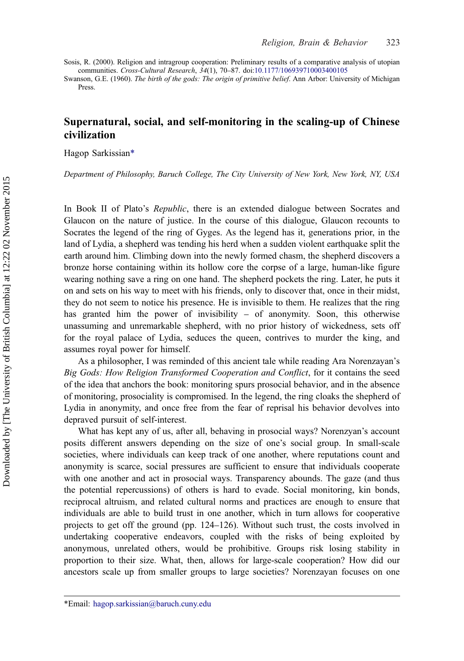<span id="page-58-0"></span>Sosis, R. (2000). Religion and intragroup cooperation: Preliminary results of a comparative analysis of utopian communities. Cross-Cultural Research, 34(1), 70–87. doi:[10.1177/106939710003400105](http://dx.doi.org/10.1177/106939710003400105)

Swanson, G.E. (1960). The birth of the gods: The origin of primitive belief. Ann Arbor: University of Michigan Press.

# Supernatural, social, and self-monitoring in the scaling-up of Chinese civilization

Hagop Sarkissia[n\\*](#page-1-0)

Department of Philosophy, Baruch College, The City University of New York, New York, NY, USA

In Book II of Plato's *Republic*, there is an extended dialogue between Socrates and Glaucon on the nature of justice. In the course of this dialogue, Glaucon recounts to Socrates the legend of the ring of Gyges. As the legend has it, generations prior, in the land of Lydia, a shepherd was tending his herd when a sudden violent earthquake split the earth around him. Climbing down into the newly formed chasm, the shepherd discovers a bronze horse containing within its hollow core the corpse of a large, human-like figure wearing nothing save a ring on one hand. The shepherd pockets the ring. Later, he puts it on and sets on his way to meet with his friends, only to discover that, once in their midst, they do not seem to notice his presence. He is invisible to them. He realizes that the ring has granted him the power of invisibility – of anonymity. Soon, this otherwise unassuming and unremarkable shepherd, with no prior history of wickedness, sets off for the royal palace of Lydia, seduces the queen, contrives to murder the king, and assumes royal power for himself.

As a philosopher, I was reminded of this ancient tale while reading Ara Norenzayan's Big Gods: How Religion Transformed Cooperation and Conflict, for it contains the seed of the idea that anchors the book: monitoring spurs prosocial behavior, and in the absence of monitoring, prosociality is compromised. In the legend, the ring cloaks the shepherd of Lydia in anonymity, and once free from the fear of reprisal his behavior devolves into depraved pursuit of self-interest.

What has kept any of us, after all, behaving in prosocial ways? Norenzyan's account posits different answers depending on the size of one's social group. In small-scale societies, where individuals can keep track of one another, where reputations count and anonymity is scarce, social pressures are sufficient to ensure that individuals cooperate with one another and act in prosocial ways. Transparency abounds. The gaze (and thus the potential repercussions) of others is hard to evade. Social monitoring, kin bonds, reciprocal altruism, and related cultural norms and practices are enough to ensure that individuals are able to build trust in one another, which in turn allows for cooperative projects to get off the ground (pp. 124–126). Without such trust, the costs involved in undertaking cooperative endeavors, coupled with the risks of being exploited by anonymous, unrelated others, would be prohibitive. Groups risk losing stability in proportion to their size. What, then, allows for large-scale cooperation? How did our ancestors scale up from smaller groups to large societies? Norenzayan focuses on one

<sup>\*</sup>Email: [hagop.sarkissian@baruch.cuny.edu](mailto:hagop.sarkissian@baruch.cuny.edu)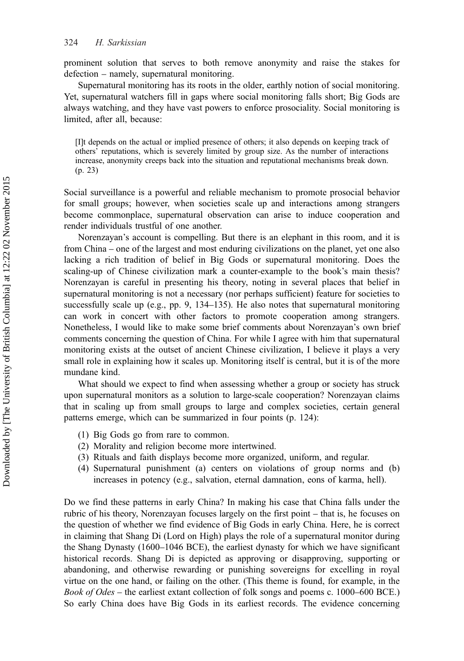prominent solution that serves to both remove anonymity and raise the stakes for defection – namely, supernatural monitoring.

Supernatural monitoring has its roots in the older, earthly notion of social monitoring. Yet, supernatural watchers fill in gaps where social monitoring falls short; Big Gods are always watching, and they have vast powers to enforce prosociality. Social monitoring is limited, after all, because:

[I]t depends on the actual or implied presence of others; it also depends on keeping track of others' reputations, which is severely limited by group size. As the number of interactions increase, anonymity creeps back into the situation and reputational mechanisms break down. (p. 23)

Social surveillance is a powerful and reliable mechanism to promote prosocial behavior for small groups; however, when societies scale up and interactions among strangers become commonplace, supernatural observation can arise to induce cooperation and render individuals trustful of one another.

Norenzayan's account is compelling. But there is an elephant in this room, and it is from China – one of the largest and most enduring civilizations on the planet, yet one also lacking a rich tradition of belief in Big Gods or supernatural monitoring. Does the scaling-up of Chinese civilization mark a counter-example to the book's main thesis? Norenzayan is careful in presenting his theory, noting in several places that belief in supernatural monitoring is not a necessary (nor perhaps sufficient) feature for societies to successfully scale up (e.g., pp. 9, 134–135). He also notes that supernatural monitoring can work in concert with other factors to promote cooperation among strangers. Nonetheless, I would like to make some brief comments about Norenzayan's own brief comments concerning the question of China. For while I agree with him that supernatural monitoring exists at the outset of ancient Chinese civilization, I believe it plays a very small role in explaining how it scales up. Monitoring itself is central, but it is of the more mundane kind.

What should we expect to find when assessing whether a group or society has struck upon supernatural monitors as a solution to large-scale cooperation? Norenzayan claims that in scaling up from small groups to large and complex societies, certain general patterns emerge, which can be summarized in four points (p. 124):

- (1) Big Gods go from rare to common.
- (2) Morality and religion become more intertwined.
- (3) Rituals and faith displays become more organized, uniform, and regular.
- (4) Supernatural punishment (a) centers on violations of group norms and (b) increases in potency (e.g., salvation, eternal damnation, eons of karma, hell).

Do we find these patterns in early China? In making his case that China falls under the rubric of his theory, Norenzayan focuses largely on the first point – that is, he focuses on the question of whether we find evidence of Big Gods in early China. Here, he is correct in claiming that Shang Di (Lord on High) plays the role of a supernatural monitor during the Shang Dynasty (1600–1046 BCE), the earliest dynasty for which we have significant historical records. Shang Di is depicted as approving or disapproving, supporting or abandoning, and otherwise rewarding or punishing sovereigns for excelling in royal virtue on the one hand, or failing on the other. (This theme is found, for example, in the Book of Odes – the earliest extant collection of folk songs and poems c. 1000–600 BCE.) So early China does have Big Gods in its earliest records. The evidence concerning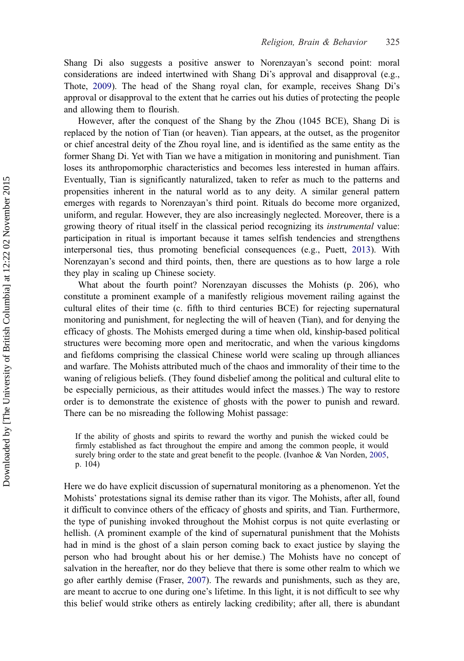Shang Di also suggests a positive answer to Norenzayan's second point: moral considerations are indeed intertwined with Shang Di's approval and disapproval (e.g., Thote, [2009\)](#page-62-0). The head of the Shang royal clan, for example, receives Shang Di's approval or disapproval to the extent that he carries out his duties of protecting the people and allowing them to flourish.

However, after the conquest of the Shang by the Zhou (1045 BCE), Shang Di is replaced by the notion of Tian (or heaven). Tian appears, at the outset, as the progenitor or chief ancestral deity of the Zhou royal line, and is identified as the same entity as the former Shang Di. Yet with Tian we have a mitigation in monitoring and punishment. Tian loses its anthropomorphic characteristics and becomes less interested in human affairs. Eventually, Tian is significantly naturalized, taken to refer as much to the patterns and propensities inherent in the natural world as to any deity. A similar general pattern emerges with regards to Norenzayan's third point. Rituals do become more organized, uniform, and regular. However, they are also increasingly neglected. Moreover, there is a growing theory of ritual itself in the classical period recognizing its instrumental value: participation in ritual is important because it tames selfish tendencies and strengthens interpersonal ties, thus promoting beneficial consequences (e.g., Puett, [2013](#page-62-0)). With Norenzayan's second and third points, then, there are questions as to how large a role they play in scaling up Chinese society.

What about the fourth point? Norenzayan discusses the Mohists (p. 206), who constitute a prominent example of a manifestly religious movement railing against the cultural elites of their time (c. fifth to third centuries BCE) for rejecting supernatural monitoring and punishment, for neglecting the will of heaven (Tian), and for denying the efficacy of ghosts. The Mohists emerged during a time when old, kinship-based political structures were becoming more open and meritocratic, and when the various kingdoms and fiefdoms comprising the classical Chinese world were scaling up through alliances and warfare. The Mohists attributed much of the chaos and immorality of their time to the waning of religious beliefs. (They found disbelief among the political and cultural elite to be especially pernicious, as their attitudes would infect the masses.) The way to restore order is to demonstrate the existence of ghosts with the power to punish and reward. There can be no misreading the following Mohist passage:

If the ability of ghosts and spirits to reward the worthy and punish the wicked could be firmly established as fact throughout the empire and among the common people, it would surely bring order to the state and great benefit to the people. (Ivanhoe & Van Norden, [2005](#page-62-0), p. 104)

Here we do have explicit discussion of supernatural monitoring as a phenomenon. Yet the Mohists' protestations signal its demise rather than its vigor. The Mohists, after all, found it difficult to convince others of the efficacy of ghosts and spirits, and Tian. Furthermore, the type of punishing invoked throughout the Mohist corpus is not quite everlasting or hellish. (A prominent example of the kind of supernatural punishment that the Mohists had in mind is the ghost of a slain person coming back to exact justice by slaying the person who had brought about his or her demise.) The Mohists have no concept of salvation in the hereafter, nor do they believe that there is some other realm to which we go after earthly demise (Fraser, [2007](#page-62-0)). The rewards and punishments, such as they are, are meant to accrue to one during one's lifetime. In this light, it is not difficult to see why this belief would strike others as entirely lacking credibility; after all, there is abundant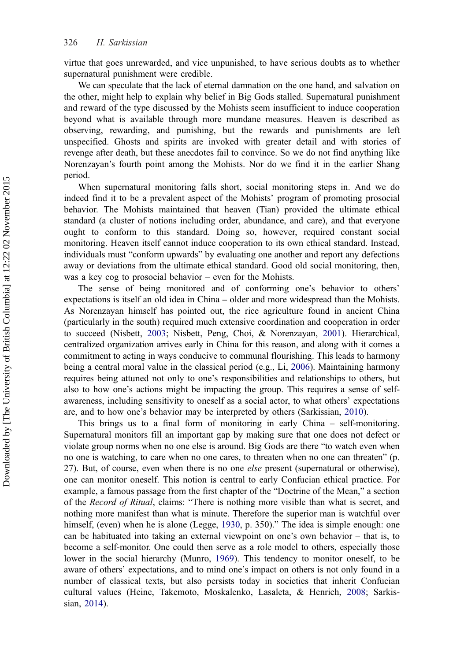virtue that goes unrewarded, and vice unpunished, to have serious doubts as to whether supernatural punishment were credible.

We can speculate that the lack of eternal damnation on the one hand, and salvation on the other, might help to explain why belief in Big Gods stalled. Supernatural punishment and reward of the type discussed by the Mohists seem insufficient to induce cooperation beyond what is available through more mundane measures. Heaven is described as observing, rewarding, and punishing, but the rewards and punishments are left unspecified. Ghosts and spirits are invoked with greater detail and with stories of revenge after death, but these anecdotes fail to convince. So we do not find anything like Norenzayan's fourth point among the Mohists. Nor do we find it in the earlier Shang period.

When supernatural monitoring falls short, social monitoring steps in. And we do indeed find it to be a prevalent aspect of the Mohists' program of promoting prosocial behavior. The Mohists maintained that heaven (Tian) provided the ultimate ethical standard (a cluster of notions including order, abundance, and care), and that everyone ought to conform to this standard. Doing so, however, required constant social monitoring. Heaven itself cannot induce cooperation to its own ethical standard. Instead, individuals must "conform upwards" by evaluating one another and report any defections away or deviations from the ultimate ethical standard. Good old social monitoring, then, was a key cog to prosocial behavior – even for the Mohists.

The sense of being monitored and of conforming one's behavior to others' expectations is itself an old idea in China – older and more widespread than the Mohists. As Norenzayan himself has pointed out, the rice agriculture found in ancient China (particularly in the south) required much extensive coordination and cooperation in order to succeed (Nisbett, [2003;](#page-62-0) Nisbett, Peng, Choi, & Norenzayan, [2001](#page-62-0)). Hierarchical, centralized organization arrives early in China for this reason, and along with it comes a commitment to acting in ways conducive to communal flourishing. This leads to harmony being a central moral value in the classical period (e.g., Li, [2006\)](#page-62-0). Maintaining harmony requires being attuned not only to one's responsibilities and relationships to others, but also to how one's actions might be impacting the group. This requires a sense of selfawareness, including sensitivity to oneself as a social actor, to what others' expectations are, and to how one's behavior may be interpreted by others (Sarkissian, [2010](#page-62-0)).

This brings us to a final form of monitoring in early China – self-monitoring. Supernatural monitors fill an important gap by making sure that one does not defect or violate group norms when no one else is around. Big Gods are there "to watch even when no one is watching, to care when no one cares, to threaten when no one can threaten" (p. 27). But, of course, even when there is no one *else* present (supernatural or otherwise), one can monitor oneself. This notion is central to early Confucian ethical practice. For example, a famous passage from the first chapter of the "Doctrine of the Mean," a section of the Record of Ritual, claims: "There is nothing more visible than what is secret, and nothing more manifest than what is minute. Therefore the superior man is watchful over himself, (even) when he is alone (Legge, [1930](#page-62-0), p. 350)." The idea is simple enough: one can be habituated into taking an external viewpoint on one's own behavior – that is, to become a self-monitor. One could then serve as a role model to others, especially those lower in the social hierarchy (Munro, [1969\)](#page-62-0). This tendency to monitor oneself, to be aware of others' expectations, and to mind one's impact on others is not only found in a number of classical texts, but also persists today in societies that inherit Confucian cultural values (Heine, Takemoto, Moskalenko, Lasaleta, & Henrich, [2008;](#page-62-0) Sarkissian, [2014\)](#page-62-0).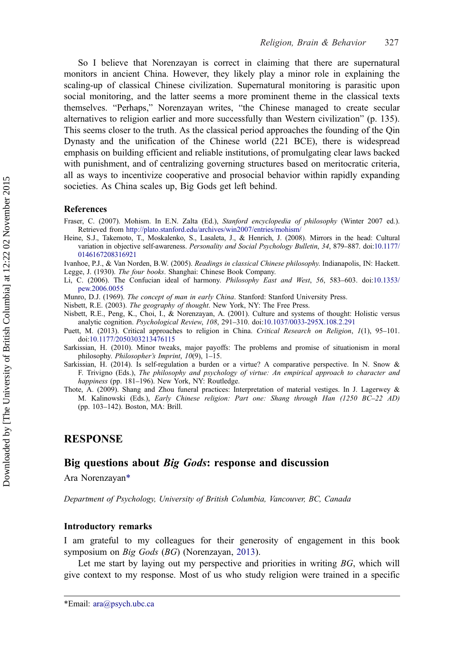<span id="page-62-0"></span>So I believe that Norenzayan is correct in claiming that there are supernatural monitors in ancient China. However, they likely play a minor role in explaining the scaling-up of classical Chinese civilization. Supernatural monitoring is parasitic upon social monitoring, and the latter seems a more prominent theme in the classical texts themselves. "Perhaps," Norenzayan writes, "the Chinese managed to create secular alternatives to religion earlier and more successfully than Western civilization" (p. 135). This seems closer to the truth. As the classical period approaches the founding of the Qin Dynasty and the unification of the Chinese world (221 BCE), there is widespread emphasis on building efficient and reliable institutions, of promulgating clear laws backed with punishment, and of centralizing governing structures based on meritocratic criteria, all as ways to incentivize cooperative and prosocial behavior within rapidly expanding societies. As China scales up, Big Gods get left behind.

### References

- Fraser, C. (2007). Mohism. In E.N. Zalta (Ed.), Stanford encyclopedia of philosophy (Winter 2007 ed.). Retrieved from <http://plato.stanford.edu/archives/win2007/entries/mohism/>
- Heine, S.J., Takemoto, T., Moskalenko, S., Lasaleta, J., & Henrich, J. (2008). Mirrors in the head: Cultural variation in objective self-awareness. Personality and Social Psychology Bulletin, 34, 879–887. doi[:10.1177/](http://dx.doi.org/10.1177/0146167208316921) [0146167208316921](http://dx.doi.org/10.1177/0146167208316921)

Ivanhoe, P.J., & Van Norden, B.W. (2005). Readings in classical Chinese philosophy. Indianapolis, IN: Hackett. Legge, J. (1930). The four books. Shanghai: Chinese Book Company.

- Li, C. (2006). The Confucian ideal of harmony. Philosophy East and West, 56, 583–603. doi[:10.1353/](http://dx.doi.org/10.1353/pew.2006.0055) [pew.2006.0055](http://dx.doi.org/10.1353/pew.2006.0055)
- Munro, D.J. (1969). The concept of man in early China. Stanford: Stanford University Press.
- Nisbett, R.E. (2003). The geography of thought. New York, NY: The Free Press.
- Nisbett, R.E., Peng, K., Choi, I., & Norenzayan, A. (2001). Culture and systems of thought: Holistic versus analytic cognition. Psychological Review, 108, 291–310. doi[:10.1037/0033-295X.108.2.291](http://dx.doi.org/10.1037/0033-295X.108.2.291)
- Puett, M. (2013). Critical approaches to religion in China. Critical Research on Religion, 1(1), 95-101. doi[:10.1177/2050303213476115](http://dx.doi.org/10.1177/2050303213476115)
- Sarkissian, H. (2010). Minor tweaks, major payoffs: The problems and promise of situationism in moral philosophy. Philosopher's Imprint, 10(9), 1–15.
- Sarkissian, H. (2014). Is self-regulation a burden or a virtue? A comparative perspective. In N. Snow & F. Trivigno (Eds.), The philosophy and psychology of virtue: An empirical approach to character and happiness (pp. 181-196). New York, NY: Routledge.
- Thote, A. (2009). Shang and Zhou funeral practices: Interpretation of material vestiges. In J. Lagerwey & M. Kalinowski (Eds.), Early Chinese religion: Part one: Shang through Han (1250 BC–22 AD) (pp. 103–142). Boston, MA: Brill.

## RESPONSE

## Big questions about Big Gods: response and discussion

Ara Norenzayan[\\*](#page-1-0)

Department of Psychology, University of British Columbia, Vancouver, BC, Canada

### Introductory remarks

I am grateful to my colleagues for their generosity of engagement in this book symposium on *Big Gods (BG)* (Norenzayan, [2013\)](#page-76-0).

Let me start by laying out my perspective and priorities in writing  $BG$ , which will give context to my response. Most of us who study religion were trained in a specific

<sup>\*</sup>Email: [ara@psych.ubc.ca](mailto:ara@psych.ubc.ca)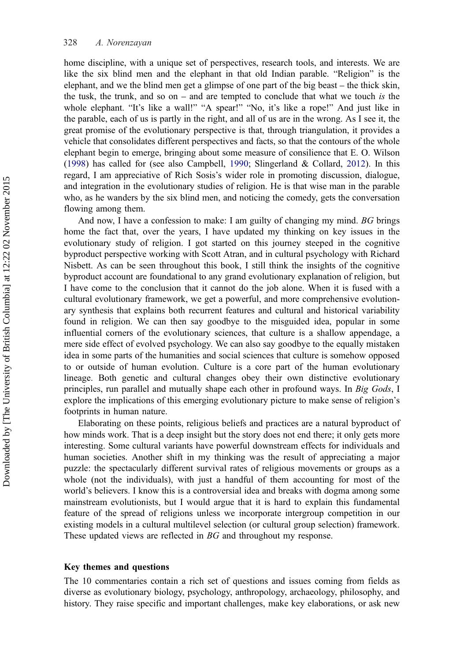home discipline, with a unique set of perspectives, research tools, and interests. We are like the six blind men and the elephant in that old Indian parable. "Religion" is the elephant, and we the blind men get a glimpse of one part of the big beast – the thick skin, the tusk, the trunk, and so on – and are tempted to conclude that what we touch is the whole elephant. "It's like a wall!" "A spear!" "No, it's like a rope!" And just like in the parable, each of us is partly in the right, and all of us are in the wrong. As I see it, the great promise of the evolutionary perspective is that, through triangulation, it provides a vehicle that consolidates different perspectives and facts, so that the contours of the whole elephant begin to emerge, bringing about some measure of consilience that E. O. Wilson [\(1998](#page-77-0)) has called for (see also Campbell, [1990](#page-75-0); Slingerland & Collard, [2012\)](#page-77-0). In this regard, I am appreciative of Rich Sosis's wider role in promoting discussion, dialogue, and integration in the evolutionary studies of religion. He is that wise man in the parable who, as he wanders by the six blind men, and noticing the comedy, gets the conversation flowing among them.

And now, I have a confession to make: I am guilty of changing my mind. BG brings home the fact that, over the years, I have updated my thinking on key issues in the evolutionary study of religion. I got started on this journey steeped in the cognitive byproduct perspective working with Scott Atran, and in cultural psychology with Richard Nisbett. As can be seen throughout this book, I still think the insights of the cognitive byproduct account are foundational to any grand evolutionary explanation of religion, but I have come to the conclusion that it cannot do the job alone. When it is fused with a cultural evolutionary framework, we get a powerful, and more comprehensive evolutionary synthesis that explains both recurrent features and cultural and historical variability found in religion. We can then say goodbye to the misguided idea, popular in some influential corners of the evolutionary sciences, that culture is a shallow appendage, a mere side effect of evolved psychology. We can also say goodbye to the equally mistaken idea in some parts of the humanities and social sciences that culture is somehow opposed to or outside of human evolution. Culture is a core part of the human evolutionary lineage. Both genetic and cultural changes obey their own distinctive evolutionary principles, run parallel and mutually shape each other in profound ways. In Big Gods, I explore the implications of this emerging evolutionary picture to make sense of religion's footprints in human nature.

Elaborating on these points, religious beliefs and practices are a natural byproduct of how minds work. That is a deep insight but the story does not end there; it only gets more interesting. Some cultural variants have powerful downstream effects for individuals and human societies. Another shift in my thinking was the result of appreciating a major puzzle: the spectacularly different survival rates of religious movements or groups as a whole (not the individuals), with just a handful of them accounting for most of the world's believers. I know this is a controversial idea and breaks with dogma among some mainstream evolutionists, but I would argue that it is hard to explain this fundamental feature of the spread of religions unless we incorporate intergroup competition in our existing models in a cultural multilevel selection (or cultural group selection) framework. These updated views are reflected in BG and throughout my response.

#### Key themes and questions

The 10 commentaries contain a rich set of questions and issues coming from fields as diverse as evolutionary biology, psychology, anthropology, archaeology, philosophy, and history. They raise specific and important challenges, make key elaborations, or ask new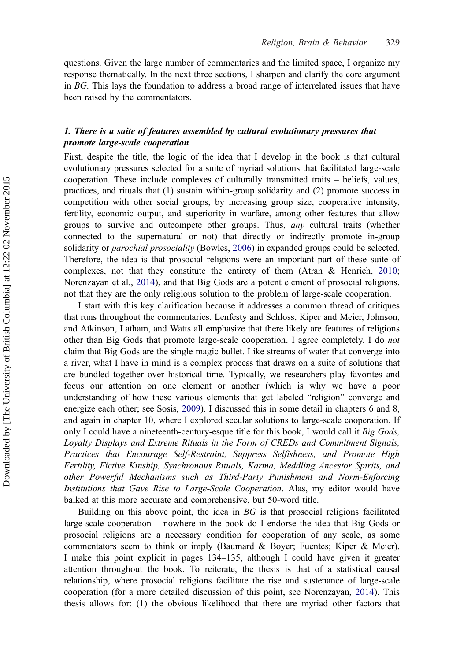questions. Given the large number of commentaries and the limited space, I organize my response thematically. In the next three sections, I sharpen and clarify the core argument in BG. This lays the foundation to address a broad range of interrelated issues that have been raised by the commentators.

# 1. There is a suite of features assembled by cultural evolutionary pressures that promote large-scale cooperation

First, despite the title, the logic of the idea that I develop in the book is that cultural evolutionary pressures selected for a suite of myriad solutions that facilitated large-scale cooperation. These include complexes of culturally transmitted traits – beliefs, values, practices, and rituals that (1) sustain within-group solidarity and (2) promote success in competition with other social groups, by increasing group size, cooperative intensity, fertility, economic output, and superiority in warfare, among other features that allow groups to survive and outcompete other groups. Thus, any cultural traits (whether connected to the supernatural or not) that directly or indirectly promote in-group solidarity or *parochial prosociality* (Bowles, [2006](#page-75-0)) in expanded groups could be selected. Therefore, the idea is that prosocial religions were an important part of these suite of complexes, not that they constitute the entirety of them (Atran & Henrich, [2010](#page-75-0); Norenzayan et al., [2014\)](#page-76-0), and that Big Gods are a potent element of prosocial religions, not that they are the only religious solution to the problem of large-scale cooperation.

I start with this key clarification because it addresses a common thread of critiques that runs throughout the commentaries. Lenfesty and Schloss, Kiper and Meier, Johnson, and Atkinson, Latham, and Watts all emphasize that there likely are features of religions other than Big Gods that promote large-scale cooperation. I agree completely. I do not claim that Big Gods are the single magic bullet. Like streams of water that converge into a river, what I have in mind is a complex process that draws on a suite of solutions that are bundled together over historical time. Typically, we researchers play favorites and focus our attention on one element or another (which is why we have a poor understanding of how these various elements that get labeled "religion" converge and energize each other; see Sosis, [2009](#page-77-0)). I discussed this in some detail in chapters 6 and 8, and again in chapter 10, where I explored secular solutions to large-scale cooperation. If only I could have a nineteenth-century-esque title for this book, I would call it Big Gods, Loyalty Displays and Extreme Rituals in the Form of CREDs and Commitment Signals, Practices that Encourage Self-Restraint, Suppress Selfishness, and Promote High Fertility, Fictive Kinship, Synchronous Rituals, Karma, Meddling Ancestor Spirits, and other Powerful Mechanisms such as Third-Party Punishment and Norm-Enforcing Institutions that Gave Rise to Large-Scale Cooperation. Alas, my editor would have balked at this more accurate and comprehensive, but 50-word title.

Building on this above point, the idea in BG is that prosocial religions facilitated large-scale cooperation – nowhere in the book do I endorse the idea that Big Gods or prosocial religions are a necessary condition for cooperation of any scale, as some commentators seem to think or imply (Baumard & Boyer; Fuentes; Kiper & Meier). I make this point explicit in pages 134–135, although I could have given it greater attention throughout the book. To reiterate, the thesis is that of a statistical causal relationship, where prosocial religions facilitate the rise and sustenance of large-scale cooperation (for a more detailed discussion of this point, see Norenzayan, [2014\)](#page-76-0). This thesis allows for: (1) the obvious likelihood that there are myriad other factors that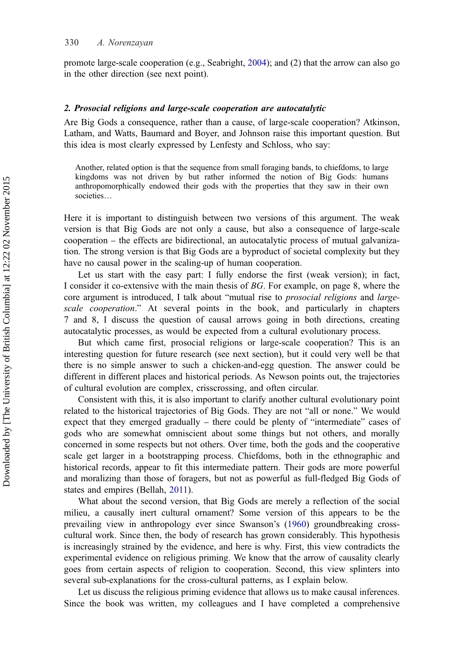promote large-scale cooperation (e.g., Seabright, [2004](#page-77-0)); and (2) that the arrow can also go in the other direction (see next point).

#### 2. Prosocial religions and large-scale cooperation are autocatalytic

Are Big Gods a consequence, rather than a cause, of large-scale cooperation? Atkinson, Latham, and Watts, Baumard and Boyer, and Johnson raise this important question. But this idea is most clearly expressed by Lenfesty and Schloss, who say:

Another, related option is that the sequence from small foraging bands, to chiefdoms, to large kingdoms was not driven by but rather informed the notion of Big Gods: humans anthropomorphically endowed their gods with the properties that they saw in their own societies…

Here it is important to distinguish between two versions of this argument. The weak version is that Big Gods are not only a cause, but also a consequence of large-scale cooperation – the effects are bidirectional, an autocatalytic process of mutual galvanization. The strong version is that Big Gods are a byproduct of societal complexity but they have no causal power in the scaling-up of human cooperation.

Let us start with the easy part: I fully endorse the first (weak version); in fact, I consider it co-extensive with the main thesis of  $BG$ . For example, on page 8, where the core argument is introduced, I talk about "mutual rise to *prosocial religions* and *large*scale cooperation." At several points in the book, and particularly in chapters 7 and 8, I discuss the question of causal arrows going in both directions, creating autocatalytic processes, as would be expected from a cultural evolutionary process.

But which came first, prosocial religions or large-scale cooperation? This is an interesting question for future research (see next section), but it could very well be that there is no simple answer to such a chicken-and-egg question. The answer could be different in different places and historical periods. As Newson points out, the trajectories of cultural evolution are complex, crisscrossing, and often circular.

Consistent with this, it is also important to clarify another cultural evolutionary point related to the historical trajectories of Big Gods. They are not "all or none." We would expect that they emerged gradually – there could be plenty of "intermediate" cases of gods who are somewhat omniscient about some things but not others, and morally concerned in some respects but not others. Over time, both the gods and the cooperative scale get larger in a bootstrapping process. Chiefdoms, both in the ethnographic and historical records, appear to fit this intermediate pattern. Their gods are more powerful and moralizing than those of foragers, but not as powerful as full-fledged Big Gods of states and empires (Bellah, [2011\)](#page-75-0).

What about the second version, that Big Gods are merely a reflection of the social milieu, a causally inert cultural ornament? Some version of this appears to be the prevailing view in anthropology ever since Swanson's ([1960\)](#page-77-0) groundbreaking crosscultural work. Since then, the body of research has grown considerably. This hypothesis is increasingly strained by the evidence, and here is why. First, this view contradicts the experimental evidence on religious priming. We know that the arrow of causality clearly goes from certain aspects of religion to cooperation. Second, this view splinters into several sub-explanations for the cross-cultural patterns, as I explain below.

Let us discuss the religious priming evidence that allows us to make causal inferences. Since the book was written, my colleagues and I have completed a comprehensive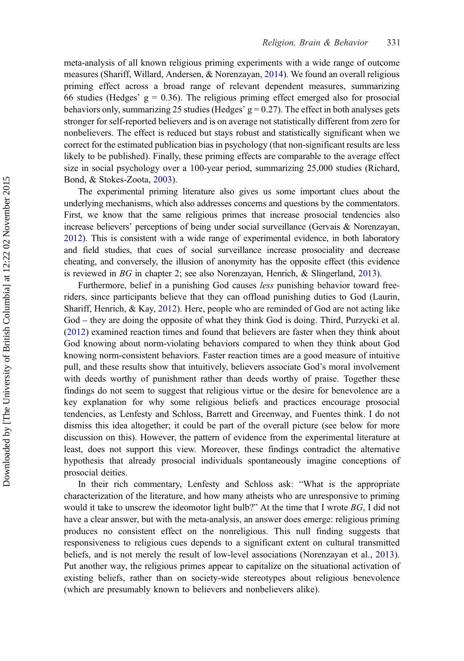meta-analysis of all known religious priming experiments with a wide range of outcome measures (Shariff, Willard, Andersen, & Norenzayan, [2014](#page-77-0)). We found an overall religious priming effect across a broad range of relevant dependent measures, summarizing 66 studies (Hedges'  $g = 0.36$ ). The religious priming effect emerged also for prosocial behaviors only, summarizing 25 studies (Hedges'  $g = 0.27$ ). The effect in both analyses gets stronger for self-reported believers and is on average not statistically different from zero for nonbelievers. The effect is reduced but stays robust and statistically significant when we correct for the estimated publication bias in psychology (that non-significant results are less likely to be published). Finally, these priming effects are comparable to the average effect size in social psychology over a 100-year period, summarizing 25,000 studies (Richard, Bond, & Stokes-Zoota, [2003](#page-76-0)).

The experimental priming literature also gives us some important clues about the underlying mechanisms, which also addresses concerns and questions by the commentators. First, we know that the same religious primes that increase prosocial tendencies also increase believers' perceptions of being under social surveillance (Gervais & Norenzayan, [2012\)](#page-75-0). This is consistent with a wide range of experimental evidence, in both laboratory and field studies, that cues of social surveillance increase prosociality and decrease cheating, and conversely, the illusion of anonymity has the opposite effect (this evidence is reviewed in BG in chapter 2; see also Norenzayan, Henrich, & Slingerland, [2013\)](#page-76-0).

Furthermore, belief in a punishing God causes less punishing behavior toward freeriders, since participants believe that they can offload punishing duties to God (Laurin, Shariff, Henrich,  $\&$  Kay, [2012](#page-76-0)). Here, people who are reminded of God are not acting like God – they are doing the opposite of what they think God is doing. Third, Purzycki et al. [\(2012](#page-76-0)) examined reaction times and found that believers are faster when they think about God knowing about norm-violating behaviors compared to when they think about God knowing norm-consistent behaviors. Faster reaction times are a good measure of intuitive pull, and these results show that intuitively, believers associate God's moral involvement with deeds worthy of punishment rather than deeds worthy of praise. Together these findings do not seem to suggest that religious virtue or the desire for benevolence are a key explanation for why some religious beliefs and practices encourage prosocial tendencies, as Lenfesty and Schloss, Barrett and Greenway, and Fuentes think. I do not dismiss this idea altogether; it could be part of the overall picture (see below for more discussion on this). However, the pattern of evidence from the experimental literature at least, does not support this view. Moreover, these findings contradict the alternative hypothesis that already prosocial individuals spontaneously imagine conceptions of prosocial deities.

In their rich commentary, Lenfesty and Schloss ask: "What is the appropriate characterization of the literature, and how many atheists who are unresponsive to priming would it take to unscrew the ideomotor light bulb?" At the time that I wrote BG, I did not have a clear answer, but with the meta-analysis, an answer does emerge: religious priming produces no consistent effect on the nonreligious. This null finding suggests that responsiveness to religious cues depends to a significant extent on cultural transmitted beliefs, and is not merely the result of low-level associations (Norenzayan et al., [2013](#page-76-0)). Put another way, the religious primes appear to capitalize on the situational activation of existing beliefs, rather than on society-wide stereotypes about religious benevolence (which are presumably known to believers and nonbelievers alike).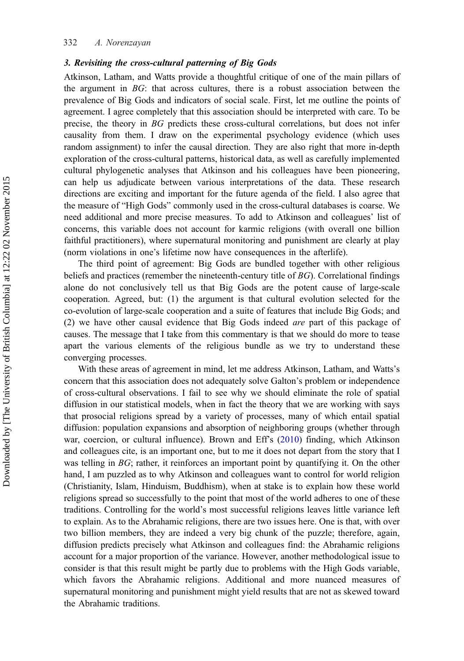## 3. Revisiting the cross-cultural patterning of Big Gods

Atkinson, Latham, and Watts provide a thoughtful critique of one of the main pillars of the argument in  $BG$ : that across cultures, there is a robust association between the prevalence of Big Gods and indicators of social scale. First, let me outline the points of agreement. I agree completely that this association should be interpreted with care. To be precise, the theory in BG predicts these cross-cultural correlations, but does not infer causality from them. I draw on the experimental psychology evidence (which uses random assignment) to infer the causal direction. They are also right that more in-depth exploration of the cross-cultural patterns, historical data, as well as carefully implemented cultural phylogenetic analyses that Atkinson and his colleagues have been pioneering, can help us adjudicate between various interpretations of the data. These research directions are exciting and important for the future agenda of the field. I also agree that the measure of "High Gods" commonly used in the cross-cultural databases is coarse. We need additional and more precise measures. To add to Atkinson and colleagues' list of concerns, this variable does not account for karmic religions (with overall one billion faithful practitioners), where supernatural monitoring and punishment are clearly at play (norm violations in one's lifetime now have consequences in the afterlife).

The third point of agreement: Big Gods are bundled together with other religious beliefs and practices (remember the nineteenth-century title of BG). Correlational findings alone do not conclusively tell us that Big Gods are the potent cause of large-scale cooperation. Agreed, but: (1) the argument is that cultural evolution selected for the co-evolution of large-scale cooperation and a suite of features that include Big Gods; and (2) we have other causal evidence that Big Gods indeed are part of this package of causes. The message that I take from this commentary is that we should do more to tease apart the various elements of the religious bundle as we try to understand these converging processes.

With these areas of agreement in mind, let me address Atkinson, Latham, and Watts's concern that this association does not adequately solve Galton's problem or independence of cross-cultural observations. I fail to see why we should eliminate the role of spatial diffusion in our statistical models, when in fact the theory that we are working with says that prosocial religions spread by a variety of processes, many of which entail spatial diffusion: population expansions and absorption of neighboring groups (whether through war, coercion, or cultural influence). Brown and Eff's [\(2010](#page-76-0)) finding, which Atkinson and colleagues cite, is an important one, but to me it does not depart from the story that I was telling in BG; rather, it reinforces an important point by quantifying it. On the other hand, I am puzzled as to why Atkinson and colleagues want to control for world religion (Christianity, Islam, Hinduism, Buddhism), when at stake is to explain how these world religions spread so successfully to the point that most of the world adheres to one of these traditions. Controlling for the world's most successful religions leaves little variance left to explain. As to the Abrahamic religions, there are two issues here. One is that, with over two billion members, they are indeed a very big chunk of the puzzle; therefore, again, diffusion predicts precisely what Atkinson and colleagues find: the Abrahamic religions account for a major proportion of the variance. However, another methodological issue to consider is that this result might be partly due to problems with the High Gods variable, which favors the Abrahamic religions. Additional and more nuanced measures of supernatural monitoring and punishment might yield results that are not as skewed toward the Abrahamic traditions.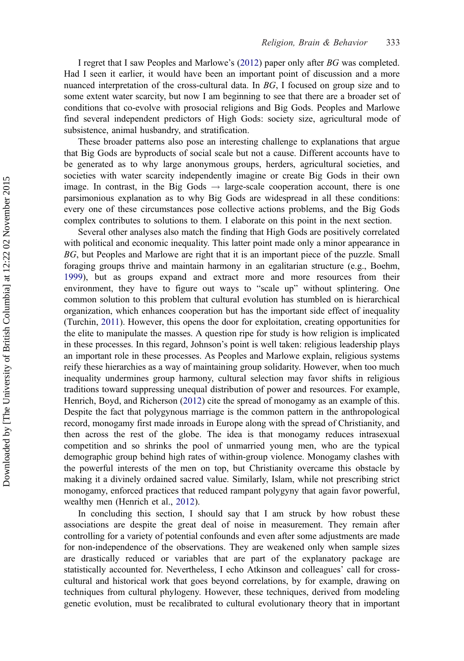I regret that I saw Peoples and Marlowe's [\(2012](#page-76-0)) paper only after BG was completed. Had I seen it earlier, it would have been an important point of discussion and a more nuanced interpretation of the cross-cultural data. In BG, I focused on group size and to some extent water scarcity, but now I am beginning to see that there are a broader set of conditions that co-evolve with prosocial religions and Big Gods. Peoples and Marlowe find several independent predictors of High Gods: society size, agricultural mode of subsistence, animal husbandry, and stratification.

These broader patterns also pose an interesting challenge to explanations that argue that Big Gods are byproducts of social scale but not a cause. Different accounts have to be generated as to why large anonymous groups, herders, agricultural societies, and societies with water scarcity independently imagine or create Big Gods in their own image. In contrast, in the Big Gods  $\rightarrow$  large-scale cooperation account, there is one parsimonious explanation as to why Big Gods are widespread in all these conditions: every one of these circumstances pose collective actions problems, and the Big Gods complex contributes to solutions to them. I elaborate on this point in the next section.

Several other analyses also match the finding that High Gods are positively correlated with political and economic inequality. This latter point made only a minor appearance in BG, but Peoples and Marlowe are right that it is an important piece of the puzzle. Small foraging groups thrive and maintain harmony in an egalitarian structure (e.g., Boehm, [1999\)](#page-75-0), but as groups expand and extract more and more resources from their environment, they have to figure out ways to "scale up" without splintering. One common solution to this problem that cultural evolution has stumbled on is hierarchical organization, which enhances cooperation but has the important side effect of inequality (Turchin, [2011](#page-77-0)). However, this opens the door for exploitation, creating opportunities for the elite to manipulate the masses. A question ripe for study is how religion is implicated in these processes. In this regard, Johnson's point is well taken: religious leadership plays an important role in these processes. As Peoples and Marlowe explain, religious systems reify these hierarchies as a way of maintaining group solidarity. However, when too much inequality undermines group harmony, cultural selection may favor shifts in religious traditions toward suppressing unequal distribution of power and resources. For example, Henrich, Boyd, and Richerson ([2012\)](#page-76-0) cite the spread of monogamy as an example of this. Despite the fact that polygynous marriage is the common pattern in the anthropological record, monogamy first made inroads in Europe along with the spread of Christianity, and then across the rest of the globe. The idea is that monogamy reduces intrasexual competition and so shrinks the pool of unmarried young men, who are the typical demographic group behind high rates of within-group violence. Monogamy clashes with the powerful interests of the men on top, but Christianity overcame this obstacle by making it a divinely ordained sacred value. Similarly, Islam, while not prescribing strict monogamy, enforced practices that reduced rampant polygyny that again favor powerful, wealthy men (Henrich et al., [2012](#page-76-0)).

In concluding this section, I should say that I am struck by how robust these associations are despite the great deal of noise in measurement. They remain after controlling for a variety of potential confounds and even after some adjustments are made for non-independence of the observations. They are weakened only when sample sizes are drastically reduced or variables that are part of the explanatory package are statistically accounted for. Nevertheless, I echo Atkinson and colleagues' call for crosscultural and historical work that goes beyond correlations, by for example, drawing on techniques from cultural phylogeny. However, these techniques, derived from modeling genetic evolution, must be recalibrated to cultural evolutionary theory that in important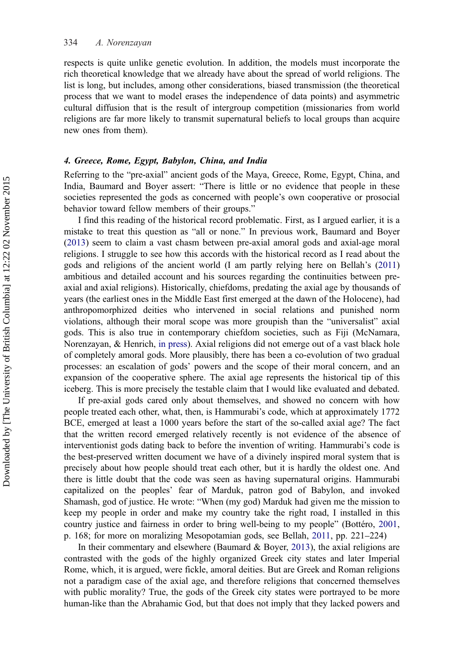respects is quite unlike genetic evolution. In addition, the models must incorporate the rich theoretical knowledge that we already have about the spread of world religions. The list is long, but includes, among other considerations, biased transmission (the theoretical process that we want to model erases the independence of data points) and asymmetric cultural diffusion that is the result of intergroup competition (missionaries from world religions are far more likely to transmit supernatural beliefs to local groups than acquire new ones from them).

#### 4. Greece, Rome, Egypt, Babylon, China, and India

Referring to the "pre-axial" ancient gods of the Maya, Greece, Rome, Egypt, China, and India, Baumard and Boyer assert: "There is little or no evidence that people in these societies represented the gods as concerned with people's own cooperative or prosocial behavior toward fellow members of their groups."

I find this reading of the historical record problematic. First, as I argued earlier, it is a mistake to treat this question as "all or none." In previous work, Baumard and Boyer [\(2013](#page-75-0)) seem to claim a vast chasm between pre-axial amoral gods and axial-age moral religions. I struggle to see how this accords with the historical record as I read about the gods and religions of the ancient world (I am partly relying here on Bellah's [\(2011\)](#page-75-0) ambitious and detailed account and his sources regarding the continuities between preaxial and axial religions). Historically, chiefdoms, predating the axial age by thousands of years (the earliest ones in the Middle East first emerged at the dawn of the Holocene), had anthropomorphized deities who intervened in social relations and punished norm violations, although their moral scope was more groupish than the "universalist" axial gods. This is also true in contemporary chiefdom societies, such as Fiji (McNamara, Norenzayan, & Henrich, [in press](#page-76-0)). Axial religions did not emerge out of a vast black hole of completely amoral gods. More plausibly, there has been a co-evolution of two gradual processes: an escalation of gods' powers and the scope of their moral concern, and an expansion of the cooperative sphere. The axial age represents the historical tip of this iceberg. This is more precisely the testable claim that I would like evaluated and debated.

If pre-axial gods cared only about themselves, and showed no concern with how people treated each other, what, then, is Hammurabi's code, which at approximately 1772 BCE, emerged at least a 1000 years before the start of the so-called axial age? The fact that the written record emerged relatively recently is not evidence of the absence of interventionist gods dating back to before the invention of writing. Hammurabi's code is the best-preserved written document we have of a divinely inspired moral system that is precisely about how people should treat each other, but it is hardly the oldest one. And there is little doubt that the code was seen as having supernatural origins. Hammurabi capitalized on the peoples' fear of Marduk, patron god of Babylon, and invoked Shamash, god of justice. He wrote: "When (my god) Marduk had given me the mission to keep my people in order and make my country take the right road, I installed in this country justice and fairness in order to bring well-being to my people" (Bottéro, [2001,](#page-75-0) p. 168; for more on moralizing Mesopotamian gods, see Bellah, [2011](#page-75-0), pp. 221–224)

In their commentary and elsewhere (Baumard & Boyer, [2013\)](#page-75-0), the axial religions are contrasted with the gods of the highly organized Greek city states and later Imperial Rome, which, it is argued, were fickle, amoral deities. But are Greek and Roman religions not a paradigm case of the axial age, and therefore religions that concerned themselves with public morality? True, the gods of the Greek city states were portrayed to be more human-like than the Abrahamic God, but that does not imply that they lacked powers and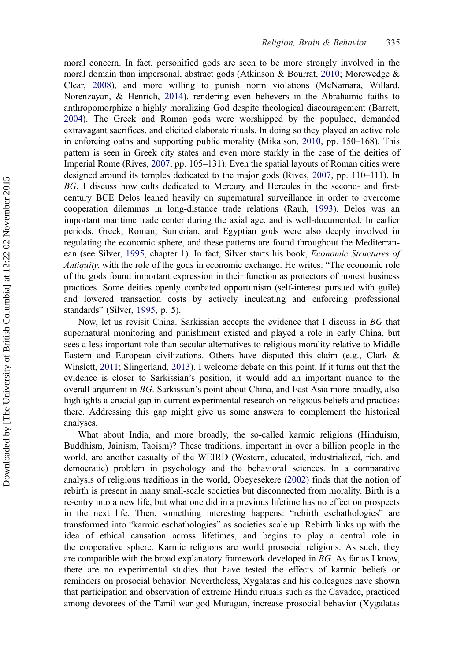moral concern. In fact, personified gods are seen to be more strongly involved in the moral domain than impersonal, abstract gods (Atkinson & Bourrat, [2010](#page-75-0); Morewedge & Clear, [2008](#page-76-0)), and more willing to punish norm violations (McNamara, Willard, Norenzayan, & Henrich, [2014](#page-76-0)), rendering even believers in the Abrahamic faiths to anthropomorphize a highly moralizing God despite theological discouragement (Barrett, [2004\)](#page-75-0). The Greek and Roman gods were worshipped by the populace, demanded extravagant sacrifices, and elicited elaborate rituals. In doing so they played an active role in enforcing oaths and supporting public morality (Mikalson, [2010](#page-76-0), pp. 150–168). This pattern is seen in Greek city states and even more starkly in the case of the deities of Imperial Rome (Rives, [2007,](#page-76-0) pp. 105–131). Even the spatial layouts of Roman cities were designed around its temples dedicated to the major gods (Rives, [2007](#page-76-0), pp. 110–111). In BG, I discuss how cults dedicated to Mercury and Hercules in the second- and firstcentury BCE Delos leaned heavily on supernatural surveillance in order to overcome cooperation dilemmas in long-distance trade relations (Rauh, [1993](#page-76-0)). Delos was an important maritime trade center during the axial age, and is well-documented. In earlier periods, Greek, Roman, Sumerian, and Egyptian gods were also deeply involved in regulating the economic sphere, and these patterns are found throughout the Mediterranean (see Silver, [1995,](#page-77-0) chapter 1). In fact, Silver starts his book, Economic Structures of Antiquity, with the role of the gods in economic exchange. He writes: "The economic role of the gods found important expression in their function as protectors of honest business practices. Some deities openly combated opportunism (self-interest pursued with guile) and lowered transaction costs by actively inculcating and enforcing professional standards" (Silver, [1995](#page-77-0), p. 5).

Now, let us revisit China. Sarkissian accepts the evidence that I discuss in BG that supernatural monitoring and punishment existed and played a role in early China, but sees a less important role than secular alternatives to religious morality relative to Middle Eastern and European civilizations. Others have disputed this claim (e.g., Clark & Winslett, [2011](#page-75-0); Slingerland, [2013](#page-77-0)). I welcome debate on this point. If it turns out that the evidence is closer to Sarkissian's position, it would add an important nuance to the overall argument in BG. Sarkissian's point about China, and East Asia more broadly, also highlights a crucial gap in current experimental research on religious beliefs and practices there. Addressing this gap might give us some answers to complement the historical analyses.

What about India, and more broadly, the so-called karmic religions (Hinduism, Buddhism, Jainism, Taoism)? These traditions, important in over a billion people in the world, are another casualty of the WEIRD (Western, educated, industrialized, rich, and democratic) problem in psychology and the behavioral sciences. In a comparative analysis of religious traditions in the world, Obeyesekere ([2002](#page-76-0)) finds that the notion of rebirth is present in many small-scale societies but disconnected from morality. Birth is a re-entry into a new life, but what one did in a previous lifetime has no effect on prospects in the next life. Then, something interesting happens: "rebirth eschathologies" are transformed into "karmic eschathologies" as societies scale up. Rebirth links up with the idea of ethical causation across lifetimes, and begins to play a central role in the cooperative sphere. Karmic religions are world prosocial religions. As such, they are compatible with the broad explanatory framework developed in  $BG$ . As far as I know, there are no experimental studies that have tested the effects of karmic beliefs or reminders on prosocial behavior. Nevertheless, Xygalatas and his colleagues have shown that participation and observation of extreme Hindu rituals such as the Cavadee, practiced among devotees of the Tamil war god Murugan, increase prosocial behavior (Xygalatas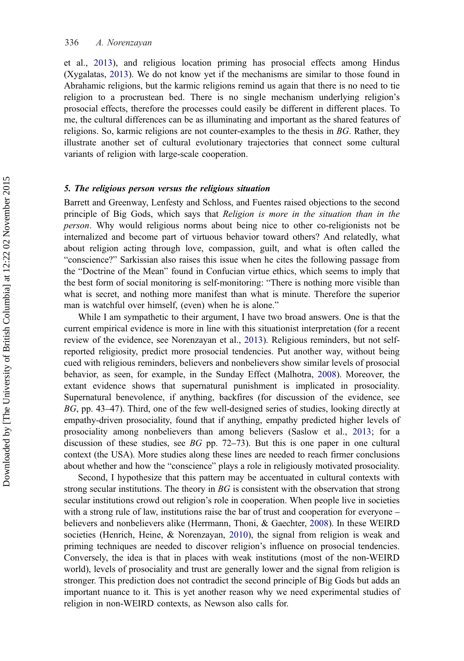et al., [2013\)](#page-77-0), and religious location priming has prosocial effects among Hindus (Xygalatas, [2013\)](#page-77-0). We do not know yet if the mechanisms are similar to those found in Abrahamic religions, but the karmic religions remind us again that there is no need to tie religion to a procrustean bed. There is no single mechanism underlying religion's prosocial effects, therefore the processes could easily be different in different places. To me, the cultural differences can be as illuminating and important as the shared features of religions. So, karmic religions are not counter-examples to the thesis in BG. Rather, they illustrate another set of cultural evolutionary trajectories that connect some cultural variants of religion with large-scale cooperation.

## 5. The religious person versus the religious situation

Barrett and Greenway, Lenfesty and Schloss, and Fuentes raised objections to the second principle of Big Gods, which says that Religion is more in the situation than in the person. Why would religious norms about being nice to other co-religionists not be internalized and become part of virtuous behavior toward others? And relatedly, what about religion acting through love, compassion, guilt, and what is often called the "conscience?" Sarkissian also raises this issue when he cites the following passage from the "Doctrine of the Mean" found in Confucian virtue ethics, which seems to imply that the best form of social monitoring is self-monitoring: "There is nothing more visible than what is secret, and nothing more manifest than what is minute. Therefore the superior man is watchful over himself, (even) when he is alone."

While I am sympathetic to their argument, I have two broad answers. One is that the current empirical evidence is more in line with this situationist interpretation (for a recent review of the evidence, see Norenzayan et al., [2013\)](#page-76-0). Religious reminders, but not selfreported religiosity, predict more prosocial tendencies. Put another way, without being cued with religious reminders, believers and nonbelievers show similar levels of prosocial behavior, as seen, for example, in the Sunday Effect (Malhotra, [2008\)](#page-76-0). Moreover, the extant evidence shows that supernatural punishment is implicated in prosociality. Supernatural benevolence, if anything, backfires (for discussion of the evidence, see BG, pp. 43–47). Third, one of the few well-designed series of studies, looking directly at empathy-driven prosociality, found that if anything, empathy predicted higher levels of prosociality among nonbelievers than among believers (Saslow et al., [2013](#page-76-0); for a discussion of these studies, see  $BG$  pp. 72–73). But this is one paper in one cultural context (the USA). More studies along these lines are needed to reach firmer conclusions about whether and how the "conscience" plays a role in religiously motivated prosociality.

Second, I hypothesize that this pattern may be accentuated in cultural contexts with strong secular institutions. The theory in  $BG$  is consistent with the observation that strong secular institutions crowd out religion's role in cooperation. When people live in societies with a strong rule of law, institutions raise the bar of trust and cooperation for everyone – believers and nonbelievers alike (Herrmann, Thoni, & Gaechter, [2008](#page-76-0)). In these WEIRD societies (Henrich, Heine, & Norenzayan, [2010\)](#page-76-0), the signal from religion is weak and priming techniques are needed to discover religion's influence on prosocial tendencies. Conversely, the idea is that in places with weak institutions (most of the non-WEIRD world), levels of prosociality and trust are generally lower and the signal from religion is stronger. This prediction does not contradict the second principle of Big Gods but adds an important nuance to it. This is yet another reason why we need experimental studies of religion in non-WEIRD contexts, as Newson also calls for.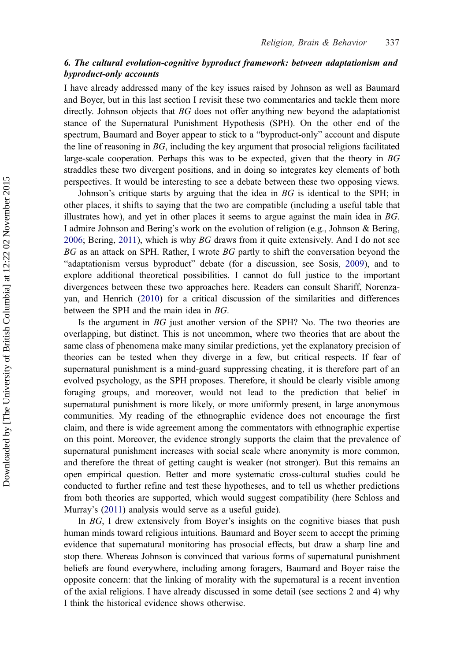## 6. The cultural evolution-cognitive byproduct framework: between adaptationism and byproduct-only accounts

I have already addressed many of the key issues raised by Johnson as well as Baumard and Boyer, but in this last section I revisit these two commentaries and tackle them more directly. Johnson objects that BG does not offer anything new beyond the adaptationist stance of the Supernatural Punishment Hypothesis (SPH). On the other end of the spectrum, Baumard and Boyer appear to stick to a "byproduct-only" account and dispute the line of reasoning in  $BG$ , including the key argument that prosocial religions facilitated large-scale cooperation. Perhaps this was to be expected, given that the theory in  $BG$ straddles these two divergent positions, and in doing so integrates key elements of both perspectives. It would be interesting to see a debate between these two opposing views.

Johnson's critique starts by arguing that the idea in BG is identical to the SPH; in other places, it shifts to saying that the two are compatible (including a useful table that illustrates how), and yet in other places it seems to argue against the main idea in  $BG$ . I admire Johnson and Bering's work on the evolution of religion (e.g., Johnson & Bering, [2006;](#page-76-0) Bering, [2011\)](#page-75-0), which is why  $BG$  draws from it quite extensively. And I do not see BG as an attack on SPH. Rather, I wrote BG partly to shift the conversation beyond the "adaptationism versus byproduct" debate (for a discussion, see Sosis, [2009](#page-77-0)), and to explore additional theoretical possibilities. I cannot do full justice to the important divergences between these two approaches here. Readers can consult Shariff, Norenzayan, and Henrich ([2010\)](#page-77-0) for a critical discussion of the similarities and differences between the SPH and the main idea in BG.

Is the argument in BG just another version of the SPH? No. The two theories are overlapping, but distinct. This is not uncommon, where two theories that are about the same class of phenomena make many similar predictions, yet the explanatory precision of theories can be tested when they diverge in a few, but critical respects. If fear of supernatural punishment is a mind-guard suppressing cheating, it is therefore part of an evolved psychology, as the SPH proposes. Therefore, it should be clearly visible among foraging groups, and moreover, would not lead to the prediction that belief in supernatural punishment is more likely, or more uniformly present, in large anonymous communities. My reading of the ethnographic evidence does not encourage the first claim, and there is wide agreement among the commentators with ethnographic expertise on this point. Moreover, the evidence strongly supports the claim that the prevalence of supernatural punishment increases with social scale where anonymity is more common, and therefore the threat of getting caught is weaker (not stronger). But this remains an open empirical question. Better and more systematic cross-cultural studies could be conducted to further refine and test these hypotheses, and to tell us whether predictions from both theories are supported, which would suggest compatibility (here Schloss and Murray's ([2011](#page-76-0)) analysis would serve as a useful guide).

In BG, I drew extensively from Boyer's insights on the cognitive biases that push human minds toward religious intuitions. Baumard and Boyer seem to accept the priming evidence that supernatural monitoring has prosocial effects, but draw a sharp line and stop there. Whereas Johnson is convinced that various forms of supernatural punishment beliefs are found everywhere, including among foragers, Baumard and Boyer raise the opposite concern: that the linking of morality with the supernatural is a recent invention of the axial religions. I have already discussed in some detail (see sections 2 and 4) why I think the historical evidence shows otherwise.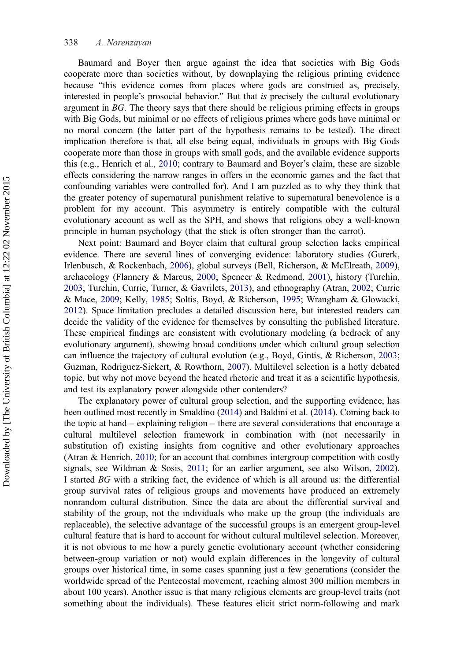Baumard and Boyer then argue against the idea that societies with Big Gods cooperate more than societies without, by downplaying the religious priming evidence because "this evidence comes from places where gods are construed as, precisely, interested in people's prosocial behavior." But that is precisely the cultural evolutionary argument in  $BG$ . The theory says that there should be religious priming effects in groups with Big Gods, but minimal or no effects of religious primes where gods have minimal or no moral concern (the latter part of the hypothesis remains to be tested). The direct implication therefore is that, all else being equal, individuals in groups with Big Gods cooperate more than those in groups with small gods, and the available evidence supports this (e.g., Henrich et al., [2010;](#page-76-0) contrary to Baumard and Boyer's claim, these are sizable effects considering the narrow ranges in offers in the economic games and the fact that confounding variables were controlled for). And I am puzzled as to why they think that the greater potency of supernatural punishment relative to supernatural benevolence is a problem for my account. This asymmetry is entirely compatible with the cultural evolutionary account as well as the SPH, and shows that religions obey a well-known principle in human psychology (that the stick is often stronger than the carrot).

Next point: Baumard and Boyer claim that cultural group selection lacks empirical evidence. There are several lines of converging evidence: laboratory studies (Gurerk, Irlenbusch, & Rockenbach, [2006\)](#page-75-0), global surveys (Bell, Richerson, & McElreath, [2009](#page-75-0)), archaeology (Flannery & Marcus, [2000](#page-75-0); Spencer & Redmond, [2001\)](#page-77-0), history (Turchin, [2003;](#page-77-0) Turchin, Currie, Turner, & Gavrilets, [2013\)](#page-77-0), and ethnography (Atran, [2002](#page-75-0); Currie & Mace, [2009](#page-75-0); Kelly, [1985](#page-76-0); Soltis, Boyd, & Richerson, [1995;](#page-77-0) Wrangham & Glowacki, [2012\)](#page-77-0). Space limitation precludes a detailed discussion here, but interested readers can decide the validity of the evidence for themselves by consulting the published literature. These empirical findings are consistent with evolutionary modeling (a bedrock of any evolutionary argument), showing broad conditions under which cultural group selection can influence the trajectory of cultural evolution (e.g., Boyd, Gintis, & Richerson, [2003](#page-75-0); Guzman, Rodriguez-Sickert, & Rowthorn, [2007\)](#page-75-0). Multilevel selection is a hotly debated topic, but why not move beyond the heated rhetoric and treat it as a scientific hypothesis, and test its explanatory power alongside other contenders?

The explanatory power of cultural group selection, and the supporting evidence, has been outlined most recently in Smaldino [\(2014](#page-77-0)) and Baldini et al. [\(2014](#page-75-0)). Coming back to the topic at hand – explaining religion – there are several considerations that encourage a cultural multilevel selection framework in combination with (not necessarily in substitution of) existing insights from cognitive and other evolutionary approaches (Atran & Henrich, [2010;](#page-75-0) for an account that combines intergroup competition with costly signals, see Wildman & Sosis, [2011;](#page-77-0) for an earlier argument, see also Wilson, [2002](#page-77-0)). I started BG with a striking fact, the evidence of which is all around us: the differential group survival rates of religious groups and movements have produced an extremely nonrandom cultural distribution. Since the data are about the differential survival and stability of the group, not the individuals who make up the group (the individuals are replaceable), the selective advantage of the successful groups is an emergent group-level cultural feature that is hard to account for without cultural multilevel selection. Moreover, it is not obvious to me how a purely genetic evolutionary account (whether considering between-group variation or not) would explain differences in the longevity of cultural groups over historical time, in some cases spanning just a few generations (consider the worldwide spread of the Pentecostal movement, reaching almost 300 million members in about 100 years). Another issue is that many religious elements are group-level traits (not something about the individuals). These features elicit strict norm-following and mark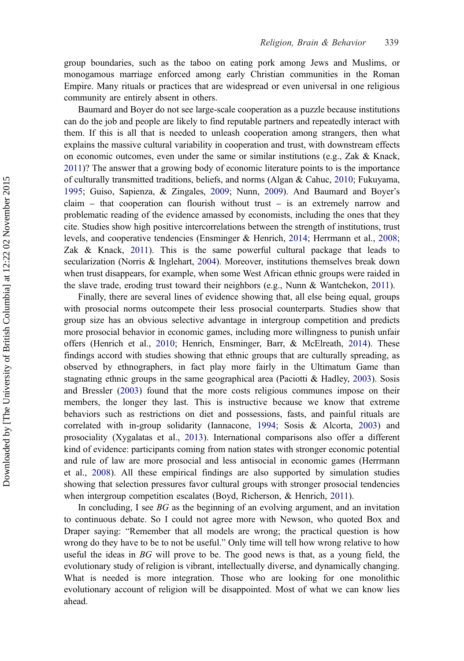group boundaries, such as the taboo on eating pork among Jews and Muslims, or monogamous marriage enforced among early Christian communities in the Roman Empire. Many rituals or practices that are widespread or even universal in one religious community are entirely absent in others.

Baumard and Boyer do not see large-scale cooperation as a puzzle because institutions can do the job and people are likely to find reputable partners and repeatedly interact with them. If this is all that is needed to unleash cooperation among strangers, then what explains the massive cultural variability in cooperation and trust, with downstream effects on economic outcomes, even under the same or similar institutions (e.g., Zak & Knack, [2011\)](#page-77-0)? The answer that a growing body of economic literature points to is the importance of culturally transmitted traditions, beliefs, and norms (Algan & Cahuc, [2010](#page-75-0); Fukuyama, [1995;](#page-75-0) Guiso, Sapienza, & Zingales, [2009;](#page-75-0) Nunn, [2009](#page-76-0)). And Baumard and Boyer's claim – that cooperation can flourish without trust – is an extremely narrow and problematic reading of the evidence amassed by economists, including the ones that they cite. Studies show high positive intercorrelations between the strength of institutions, trust levels, and cooperative tendencies (Ensminger & Henrich, [2014](#page-75-0); Herrmann et al., [2008](#page-76-0); Zak & Knack, [2011](#page-77-0)). This is the same powerful cultural package that leads to secularization (Norris & Inglehart, [2004\)](#page-76-0). Moreover, institutions themselves break down when trust disappears, for example, when some West African ethnic groups were raided in the slave trade, eroding trust toward their neighbors (e.g., Nunn & Wantchekon, [2011\)](#page-76-0).

Finally, there are several lines of evidence showing that, all else being equal, groups with prosocial norms outcompete their less prosocial counterparts. Studies show that group size has an obvious selective advantage in intergroup competition and predicts more prosocial behavior in economic games, including more willingness to punish unfair offers (Henrich et al., [2010;](#page-76-0) Henrich, Ensminger, Barr, & McElreath, [2014\)](#page-76-0). These findings accord with studies showing that ethnic groups that are culturally spreading, as observed by ethnographers, in fact play more fairly in the Ultimatum Game than stagnating ethnic groups in the same geographical area (Paciotti & Hadley, [2003](#page-76-0)). Sosis and Bressler ([2003\)](#page-77-0) found that the more costs religious communes impose on their members, the longer they last. This is instructive because we know that extreme behaviors such as restrictions on diet and possessions, fasts, and painful rituals are correlated with in-group solidarity (Iannacone, [1994](#page-76-0); Sosis & Alcorta, [2003](#page-77-0)) and prosociality (Xygalatas et al., [2013](#page-77-0)). International comparisons also offer a different kind of evidence: participants coming from nation states with stronger economic potential and rule of law are more prosocial and less antisocial in economic games (Herrmann et al., [2008\)](#page-76-0). All these empirical findings are also supported by simulation studies showing that selection pressures favor cultural groups with stronger prosocial tendencies when intergroup competition escalates (Boyd, Richerson, & Henrich, [2011\)](#page-75-0).

In concluding, I see  $BG$  as the beginning of an evolving argument, and an invitation to continuous debate. So I could not agree more with Newson, who quoted Box and Draper saying: "Remember that all models are wrong; the practical question is how wrong do they have to be to not be useful." Only time will tell how wrong relative to how useful the ideas in BG will prove to be. The good news is that, as a young field, the evolutionary study of religion is vibrant, intellectually diverse, and dynamically changing. What is needed is more integration. Those who are looking for one monolithic evolutionary account of religion will be disappointed. Most of what we can know lies ahead.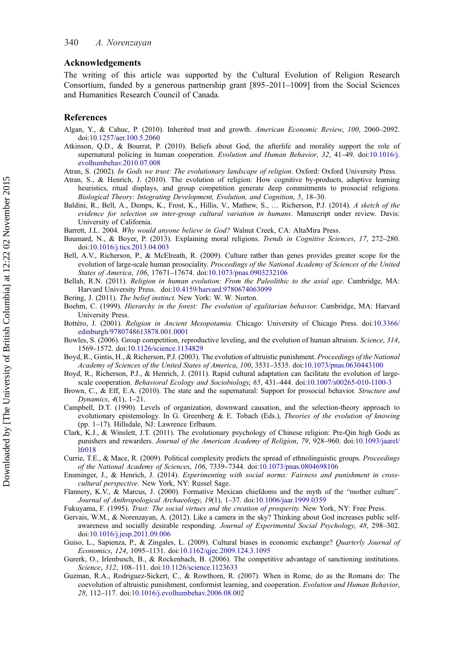## <span id="page-75-0"></span>Acknowledgements

The writing of this article was supported by the Cultural Evolution of Religion Research Consortium, funded by a generous partnership grant [895–2011–1009] from the Social Sciences and Humanities Research Council of Canada.

## References

- Algan, Y., & Cahuc, P. (2010). Inherited trust and growth. American Economic Review, 100, 2060–2092. doi[:10.1257/aer.100.5.2060](http://dx.doi.org/10.1257/aer.100.5.2060)
- Atkinson, Q.D., & Bourrat, P. (2010). Beliefs about God, the afterlife and morality support the role of supernatural policing in human cooperation. Evolution and Human Behavior, 32, 41-49. doi[:10.1016/j.](http://dx.doi.org/10.1016/j.evolhumbehav.2010.07.008) [evolhumbehav.2010.07.008](http://dx.doi.org/10.1016/j.evolhumbehav.2010.07.008)
- Atran, S. (2002). In Gods we trust: The evolutionary landscape of religion. Oxford: Oxford University Press.
- Atran, S., & Henrich, J. (2010). The evolution of religion: How cognitive by-products, adaptive learning heuristics, ritual displays, and group competition generate deep commitments to prosocial religions. Biological Theory: Integrating Development, Evolution, and Cognition, 5, 18–30.
- Baldini, R., Bell, A., Demps, K., Frost, K., Hillis, V., Mathew, S., ... Richerson, P.J. (2014). A sketch of the evidence for selection on inter-group cultural variation in humans. Manuscript under review. Davis: University of California.

Barrett, J.L. 2004. Why would anyone believe in God? Walnut Creek, CA: AltaMira Press.

- Baumard, N., & Boyer, P. (2013). Explaining moral religions. Trends in Cognitive Sciences, 17, 272–280. doi[:10.1016/j.tics.2013.04.003](http://dx.doi.org/10.1016/j.tics.2013.04.003)
- Bell, A.V., Richerson, P., & McElreath, R. (2009). Culture rather than genes provides greater scope for the evolution of large-scale human prosociality. Proceedings of the National Academy of Sciences of the United States of America, 106, 17671–17674. doi:[10.1073/pnas.0903232106](http://dx.doi.org/10.1073/pnas.0903232106)
- Bellah, R.N. (2011). Religion in human evolution: From the Paleolithic to the axial age. Cambridge, MA: Harvard University Press. doi[:10.4159/harvard.9780674063099](http://dx.doi.org/10.4159/harvard.9780674063099)
- Bering, J. (2011). The belief instinct. New York: W. W. Norton.
- Boehm, C. (1999). Hierarchy in the forest: The evolution of egalitarian behavior. Cambridge, MA: Harvard University Press.
- Bottéro, J. (2001). Religion in Ancient Mesopotamia. Chicago: University of Chicago Press. doi[:10.3366/](http://dx.doi.org/10.3366/edinburgh/9780748613878.001.0001) [edinburgh/9780748613878.001.0001](http://dx.doi.org/10.3366/edinburgh/9780748613878.001.0001)
- Bowles, S. (2006). Group competition, reproductive leveling, and the evolution of human altruism. Science, 314, 1569–1572. doi:[10.1126/science.1134829](http://dx.doi.org/10.1126/science.1134829)
- Boyd, R., Gintis, H., & Richerson, P.J. (2003). The evolution of altruistic punishment. Proceedings of the National Academy of Sciences of the United States of America, 100, 3531–3535. doi[:10.1073/pnas.0630443100](http://dx.doi.org/10.1073/pnas.0630443100)
- Boyd, R., Richerson, P.J., & Henrich, J. (2011). Rapid cultural adaptation can facilitate the evolution of large-scale cooperation. Behavioral Ecology and Sociobiology, 65, 431-444. doi[:10.1007/s00265-010-1100-3](http://dx.doi.org/10.1007/s00265-010-1100-3)
- Brown, C., & Eff, E.A. (2010). The state and the supernatural: Support for prosocial behavior. Structure and Dynamics, 4(1), 1–21.
- Campbell, D.T. (1990). Levels of organization, downward causation, and the selection-theory approach to evolutionary epistemology. In G. Greenberg  $\&$  E. Tobach (Eds.), Theories of the evolution of knowing (pp. 1–17). Hillsdale, NJ: Lawrence Erlbaum.
- Clark, K.J., & Winslett, J.T. (2011). The evolutionary psychology of Chinese religion: Pre-Qin high Gods as punishers and rewarders. Journal of the American Academy of Religion, 79, 928-960. doi:[10.1093/jaarel/](http://dx.doi.org/10.1093/jaarel/lfr018) [lfr018](http://dx.doi.org/10.1093/jaarel/lfr018)
- Currie, T.E., & Mace, R. (2009). Political complexity predicts the spread of ethnolinguistic groups. Proceedings of the National Academy of Sciences, 106, 7339–7344. doi:[10.1073/pnas.0804698106](http://dx.doi.org/10.1073/pnas.0804698106)
- Ensminger, J., & Henrich, J. (2014). Experimenting with social norms: Fairness and punishment in crosscultural perspective. New York, NY: Russel Sage.
- Flannery, K.V., & Marcus, J. (2000). Formative Mexican chiefdoms and the myth of the "mother culture". Journal of Anthropological Archaeology, 19(1), 1–37. doi:[10.1006/jaar.1999.0359](http://dx.doi.org/10.1006/jaar.1999.0359)
- Fukuyama, F. (1995). Trust: The social virtues and the creation of prosperity. New York, NY: Free Press.
- Gervais, W.M., & Norenzayan, A. (2012). Like a camera in the sky? Thinking about God increases public selfawareness and socially desirable responding. Journal of Experimental Social Psychology, 48, 298–302. doi[:10.1016/j.jesp.2011.09.006](http://dx.doi.org/10.1016/j.jesp.2011.09.006)
- Guiso, L., Sapienza, P., & Zingales, L. (2009). Cultural biases in economic exchange? Quarterly Journal of Economics, 124, 1095–1131. doi[:10.1162/qjec.2009.124.3.1095](http://dx.doi.org/10.1162/qjec.2009.124.3.1095)
- Gurerk, O., Irlenbusch, B., & Rockenbach, B. (2006). The competitive advantage of sanctioning institutions. Science, 312, 108–111. doi[:10.1126/science.1123633](http://dx.doi.org/10.1126/science.1123633)
- Guzman, R.A., Rodriguez-Sickert, C., & Rowthorn, R. (2007). When in Rome, do as the Romans do: The coevolution of altruistic punishment, conformist learning, and cooperation. Evolution and Human Behavior, 28, 112–117. doi:[10.1016/j.evolhumbehav.2006.08.002](http://dx.doi.org/10.1016/j.evolhumbehav.2006.08.002)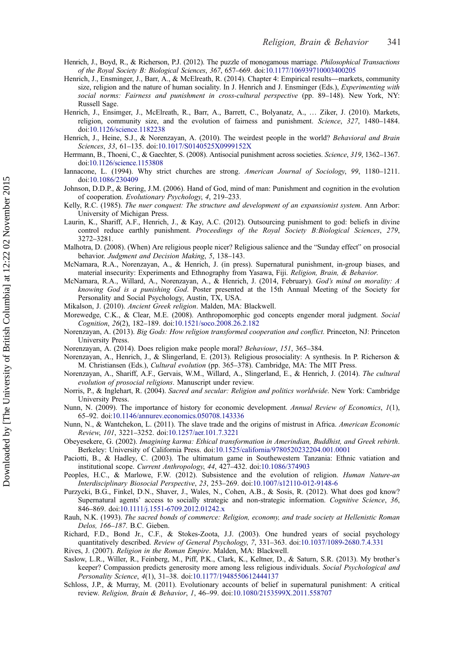- <span id="page-76-0"></span>Henrich, J., Boyd, R., & Richerson, P.J. (2012). The puzzle of monogamous marriage. Philosophical Transactions of the Royal Society B: Biological Sciences, 367, 657–669. doi[:10.1177/106939710003400205](http://dx.doi.org/10.1177/106939710003400205)
- Henrich, J., Ensminger, J., Barr, A., & McElreath, R. (2014). Chapter 4: Empirical results—markets, community size, religion and the nature of human sociality. In J. Henrich and J. Ensminger (Eds.), *Experimenting with* social norms: Fairness and punishment in cross-cultural perspective (pp. 89–148). New York, NY: Russell Sage.
- Henrich, J., Ensimger, J., McElreath, R., Barr, A., Barrett, C., Bolyanatz, A., … Ziker, J. (2010). Markets, religion, community size, and the evolution of fairness and punishment. Science, 327, 1480–1484. doi[:10.1126/science.1182238](http://dx.doi.org/10.1126/science.1182238)
- Henrich, J., Heine, S.J., & Norenzayan, A. (2010). The weirdest people in the world? Behavioral and Brain Sciences, 33, 61–135. doi[:10.1017/S0140525X0999152X](http://dx.doi.org/10.1017/S0140525X0999152X)
- Herrmann, B., Thoeni, C., & Gaechter, S. (2008). Antisocial punishment across societies. Science, 319, 1362-1367. doi[:10.1126/science.1153808](http://dx.doi.org/10.1126/science.1153808)
- Iannacone, L. (1994). Why strict churches are strong. American Journal of Sociology, 99, 1180–1211. doi[:10.1086/230409](http://dx.doi.org/10.1086/230409)
- Johnson, D.D.P., & Bering, J.M. (2006). Hand of God, mind of man: Punishment and cognition in the evolution of cooperation. Evolutionary Psychology, 4, 219–233.
- Kelly, R.C. (1985). The nuer conquest: The structure and development of an expansionist system. Ann Arbor: University of Michigan Press.
- Laurin, K., Shariff, A.F., Henrich, J., & Kay, A.C. (2012). Outsourcing punishment to god: beliefs in divine control reduce earthly punishment. Proceedings of the Royal Society B:Biological Sciences, 279, 3272–3281.
- Malhotra, D. (2008). (When) Are religious people nicer? Religious salience and the "Sunday effect" on prosocial behavior. Judgment and Decision Making, 5, 138–143.
- McNamara, R.A., Norenzayan, A., & Henrich, J. (in press). Supernatural punishment, in-group biases, and material insecurity: Experiments and Ethnography from Yasawa, Fiji. Religion, Brain, & Behavior.
- McNamara, R.A., Willard, A., Norenzayan, A., & Henrich, J. (2014, February). God's mind on morality: A knowing God is a punishing God. Poster presented at the 15th Annual Meeting of the Society for Personality and Social Psychology, Austin, TX, USA.
- Mikalson, J. (2010). Ancient Greek religion. Malden, MA: Blackwell.
- Morewedge, C.K., & Clear, M.E. (2008). Anthropomorphic god concepts engender moral judgment. Social Cognition, 26(2), 182–189. doi:[10.1521/soco.2008.26.2.182](http://dx.doi.org/10.1521/soco.2008.26.2.182)
- Norenzayan, A. (2013). Big Gods: How religion transformed cooperation and conflict. Princeton, NJ: Princeton University Press.
- Norenzayan, A. (2014). Does religion make people moral? Behaviour, 151, 365–384.
- Norenzayan, A., Henrich, J., & Slingerland, E. (2013). Religious prosociality: A synthesis. In P. Richerson & M. Christiansen (Eds.), Cultural evolution (pp. 365–378). Cambridge, MA: The MIT Press.
- Norenzayan, A., Shariff, A.F., Gervais, W.M., Willard, A., Slingerland, E., & Henrich, J. (2014). The cultural evolution of prosocial religions. Manuscript under review.
- Norris, P., & Inglehart, R. (2004). Sacred and secular: Religion and politics worldwide. New York: Cambridge University Press.
- Nunn, N. (2009). The importance of history for economic development. Annual Review of Economics, 1(1), 65–92. doi:[10.1146/annurev.economics.050708.143336](http://dx.doi.org/10.1146/annurev.economics.050708.143336)
- Nunn, N., & Wantchekon, L. (2011). The slave trade and the origins of mistrust in Africa. American Economic Review, 101, 3221–3252. doi[:10.1257/aer.101.7.3221](http://dx.doi.org/10.1257/aer.101.7.3221)
- Obeyesekere, G. (2002). Imagining karma: Ethical transformation in Amerindian, Buddhist, and Greek rebirth. Berkeley: University of California Press. doi[:10.1525/california/9780520232204.001.0001](http://dx.doi.org/10.1525/california/9780520232204.001.0001)
- Paciotti, B., & Hadley, C. (2003). The ultimatum game in Southewestern Tanzania: Ethnic vatiation and institutional scope. Current Anthropology, 44, 427–432. doi:[10.1086/374903](http://dx.doi.org/10.1086/374903)
- Peoples, H.C., & Marlowe, F.W. (2012). Subsistence and the evolution of religion. Human Nature-an Interdisciplinary Biosocial Perspective, 23, 253–269. doi[:10.1007/s12110-012-9148-6](http://dx.doi.org/10.1007/s12110-012-9148-6)
- Purzycki, B.G., Finkel, D.N., Shaver, J., Wales, N., Cohen, A.B., & Sosis, R. (2012). What does god know? Supernatural agents' access to socially strategic and non-strategic information. Cognitive Science, 36, 846–869. doi:[10.1111/j.1551-6709.2012.01242.x](http://dx.doi.org/10.1111/j.1551-6709.2012.01242.x)
- Rauh, N.K. (1993). The sacred bonds of commerce: Religion, economy, and trade society at Hellenistic Roman Delos, 166–187. B.C. Gieben.
- Richard, F.D., Bond Jr., C.F., & Stokes-Zoota, J.J. (2003). One hundred years of social psychology quantitatively described. Review of General Psychology, 7, 331–363. doi[:10.1037/1089-2680.7.4.331](http://dx.doi.org/10.1037/1089-2680.7.4.331)
- Rives, J. (2007). Religion in the Roman Empire. Malden, MA: Blackwell.
- Saslow, L.R., Willer, R., Feinberg, M., Piff, P.K., Clark, K., Keltner, D., & Saturn, S.R. (2013). My brother's keeper? Compassion predicts generosity more among less religious individuals. Social Psychological and Personality Science, 4(1), 31–38. doi[:10.1177/1948550612444137](http://dx.doi.org/10.1177/1948550612444137)
- Schloss, J.P., & Murray, M. (2011). Evolutionary accounts of belief in supernatural punishment: A critical review. Religion, Brain & Behavior, 1, 46–99. doi:[10.1080/2153599X.2011.558707](http://dx.doi.org/10.1080/2153599X.2011.558707)